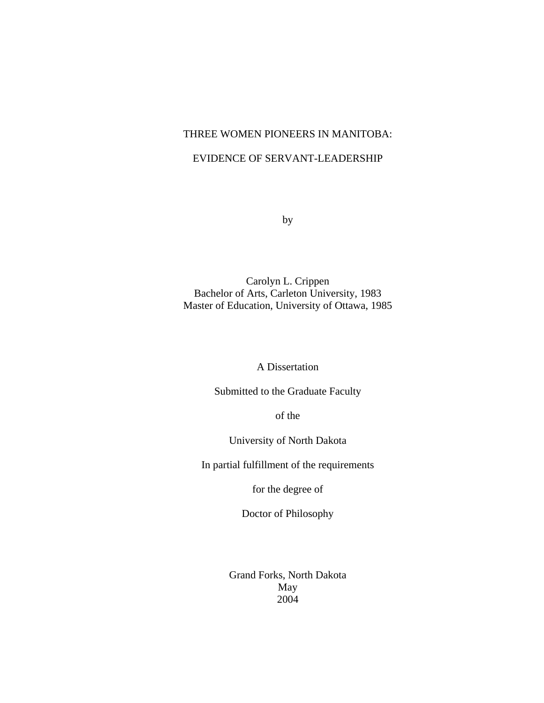# THREE WOMEN PIONEERS IN MANITOBA:

# EVIDENCE OF SERVANT-LEADERSHIP

by

Carolyn L. Crippen Bachelor of Arts, Carleton University, 1983 Master of Education, University of Ottawa, 1985

A Dissertation

Submitted to the Graduate Faculty

of the

University of North Dakota

In partial fulfillment of the requirements

for the degree of

Doctor of Philosophy

Grand Forks, North Dakota May 2004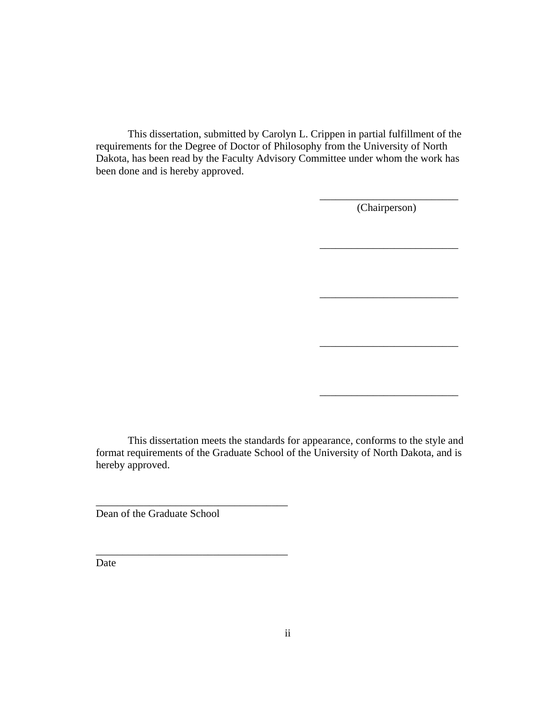This dissertation, submitted by Carolyn L. Crippen in partial fulfillment of the requirements for the Degree of Doctor of Philosophy from the University of North Dakota, has been read by the Faculty Advisory Committee under whom the work has been done and is hereby approved.

 $\overline{\phantom{a}}$  , which is a set of the set of the set of the set of the set of the set of the set of the set of the set of the set of the set of the set of the set of the set of the set of the set of the set of the set of th

 $\overline{\phantom{a}}$  , which is a set of the set of the set of the set of the set of the set of the set of the set of the set of the set of the set of the set of the set of the set of the set of the set of the set of the set of th

 $\overline{\phantom{a}}$  , which is a set of the set of the set of the set of the set of the set of the set of the set of the set of the set of the set of the set of the set of the set of the set of the set of the set of the set of th

 $\overline{\phantom{a}}$  , which is a set of the set of the set of the set of the set of the set of the set of the set of the set of the set of the set of the set of the set of the set of the set of the set of the set of the set of th

(Chairperson)

\_\_\_\_\_\_\_\_\_\_\_\_\_\_\_\_\_\_\_\_\_\_\_\_\_\_

This dissertation meets the standards for appearance, conforms to the style and format requirements of the Graduate School of the University of North Dakota, and is hereby approved.

Dean of the Graduate School

\_\_\_\_\_\_\_\_\_\_\_\_\_\_\_\_\_\_\_\_\_\_\_\_\_\_\_\_\_\_\_\_\_\_\_\_

\_\_\_\_\_\_\_\_\_\_\_\_\_\_\_\_\_\_\_\_\_\_\_\_\_\_\_\_\_\_\_\_\_\_\_\_

Date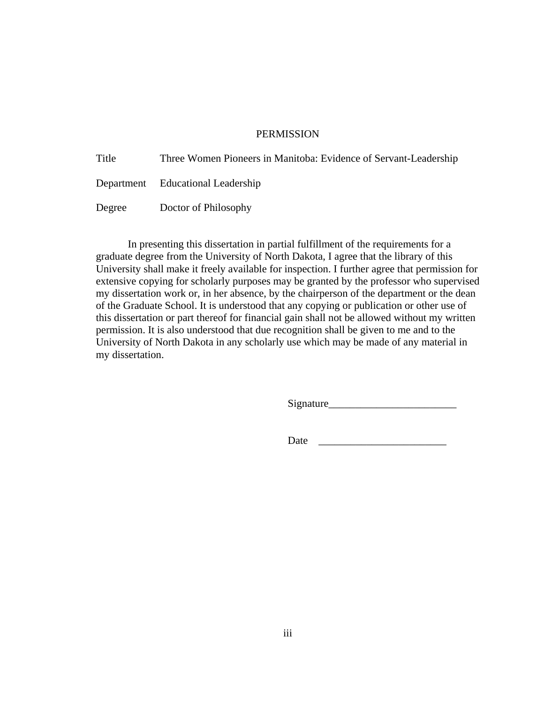## **PERMISSION**

| Title  | Three Women Pioneers in Manitoba: Evidence of Servant-Leadership |
|--------|------------------------------------------------------------------|
|        | Department Educational Leadership                                |
| Degree | Doctor of Philosophy                                             |

 In presenting this dissertation in partial fulfillment of the requirements for a graduate degree from the University of North Dakota, I agree that the library of this University shall make it freely available for inspection. I further agree that permission for extensive copying for scholarly purposes may be granted by the professor who supervised my dissertation work or, in her absence, by the chairperson of the department or the dean of the Graduate School. It is understood that any copying or publication or other use of this dissertation or part thereof for financial gain shall not be allowed without my written permission. It is also understood that due recognition shall be given to me and to the University of North Dakota in any scholarly use which may be made of any material in my dissertation.

Signature\_\_\_\_\_\_\_\_\_\_\_\_\_\_\_\_\_\_\_\_\_\_\_\_

Date \_\_\_\_\_\_\_\_\_\_\_\_\_\_\_\_\_\_\_\_\_\_\_\_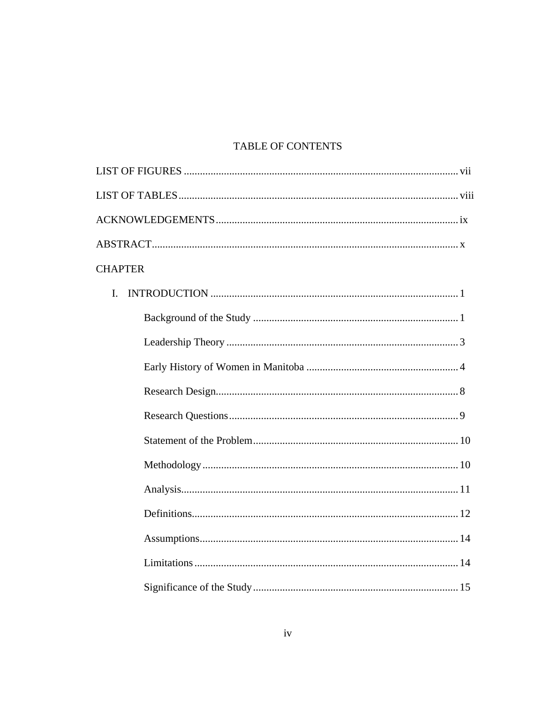# TABLE OF CONTENTS

| <b>CHAPTER</b> |
|----------------|
| L              |
|                |
|                |
|                |
|                |
|                |
|                |
|                |
|                |
|                |
|                |
|                |
|                |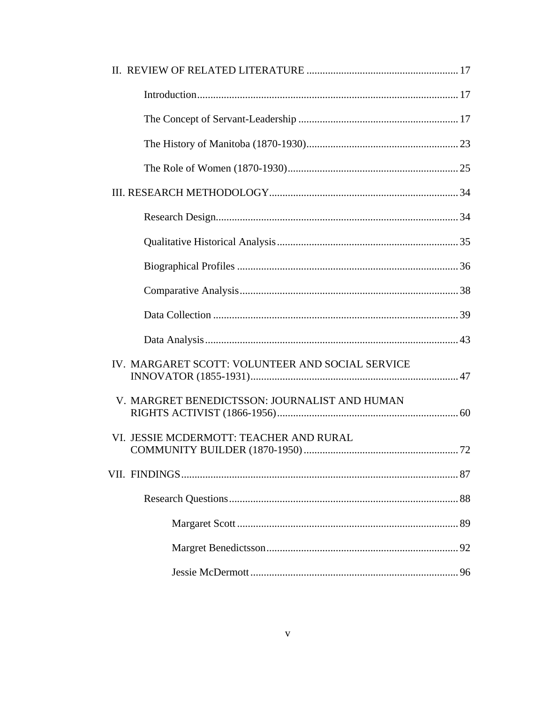| IV. MARGARET SCOTT: VOLUNTEER AND SOCIAL SERVICE |  |
|--------------------------------------------------|--|
| V. MARGRET BENEDICTSSON: JOURNALIST AND HUMAN    |  |
| VI. JESSIE MCDERMOTT: TEACHER AND RURAL          |  |
|                                                  |  |
|                                                  |  |
|                                                  |  |
|                                                  |  |
|                                                  |  |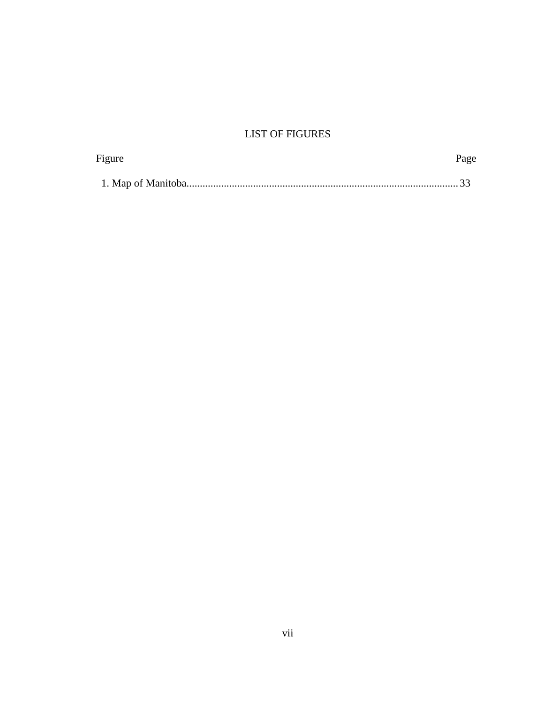# **LIST OF FIGURES**

| Figure | Page |
|--------|------|
|        |      |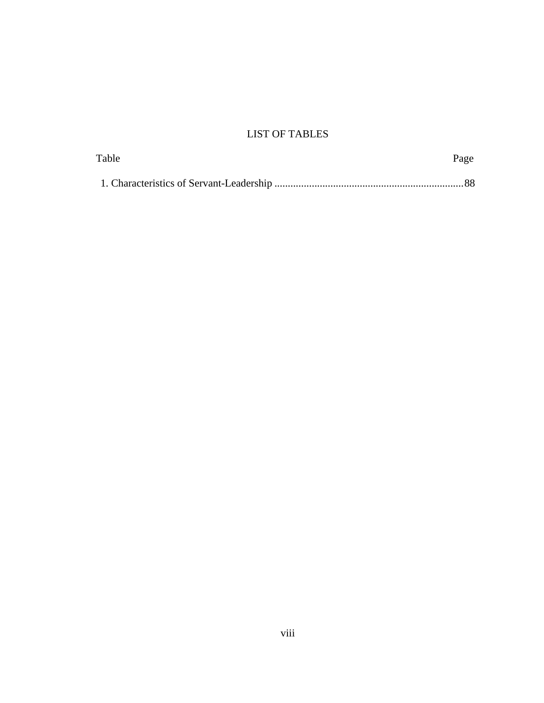# LIST OF TABLES

| Table | Page |  |
|-------|------|--|
|       |      |  |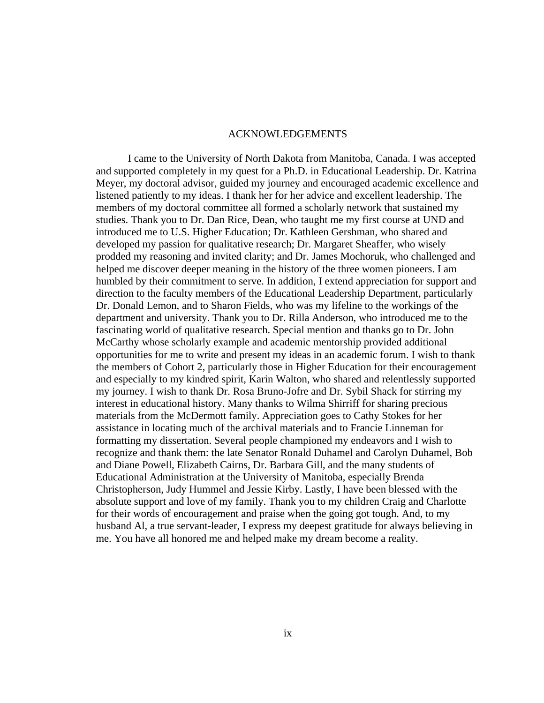#### ACKNOWLEDGEMENTS

I came to the University of North Dakota from Manitoba, Canada. I was accepted and supported completely in my quest for a Ph.D. in Educational Leadership. Dr. Katrina Meyer, my doctoral advisor, guided my journey and encouraged academic excellence and listened patiently to my ideas. I thank her for her advice and excellent leadership. The members of my doctoral committee all formed a scholarly network that sustained my studies. Thank you to Dr. Dan Rice, Dean, who taught me my first course at UND and introduced me to U.S. Higher Education; Dr. Kathleen Gershman, who shared and developed my passion for qualitative research; Dr. Margaret Sheaffer, who wisely prodded my reasoning and invited clarity; and Dr. James Mochoruk, who challenged and helped me discover deeper meaning in the history of the three women pioneers. I am humbled by their commitment to serve. In addition, I extend appreciation for support and direction to the faculty members of the Educational Leadership Department, particularly Dr. Donald Lemon, and to Sharon Fields, who was my lifeline to the workings of the department and university. Thank you to Dr. Rilla Anderson, who introduced me to the fascinating world of qualitative research. Special mention and thanks go to Dr. John McCarthy whose scholarly example and academic mentorship provided additional opportunities for me to write and present my ideas in an academic forum. I wish to thank the members of Cohort 2, particularly those in Higher Education for their encouragement and especially to my kindred spirit, Karin Walton, who shared and relentlessly supported my journey. I wish to thank Dr. Rosa Bruno-Jofre and Dr. Sybil Shack for stirring my interest in educational history. Many thanks to Wilma Shirriff for sharing precious materials from the McDermott family. Appreciation goes to Cathy Stokes for her assistance in locating much of the archival materials and to Francie Linneman for formatting my dissertation. Several people championed my endeavors and I wish to recognize and thank them: the late Senator Ronald Duhamel and Carolyn Duhamel, Bob and Diane Powell, Elizabeth Cairns, Dr. Barbara Gill, and the many students of Educational Administration at the University of Manitoba, especially Brenda Christopherson, Judy Hummel and Jessie Kirby. Lastly, I have been blessed with the absolute support and love of my family. Thank you to my children Craig and Charlotte for their words of encouragement and praise when the going got tough. And, to my husband Al, a true servant-leader, I express my deepest gratitude for always believing in me. You have all honored me and helped make my dream become a reality.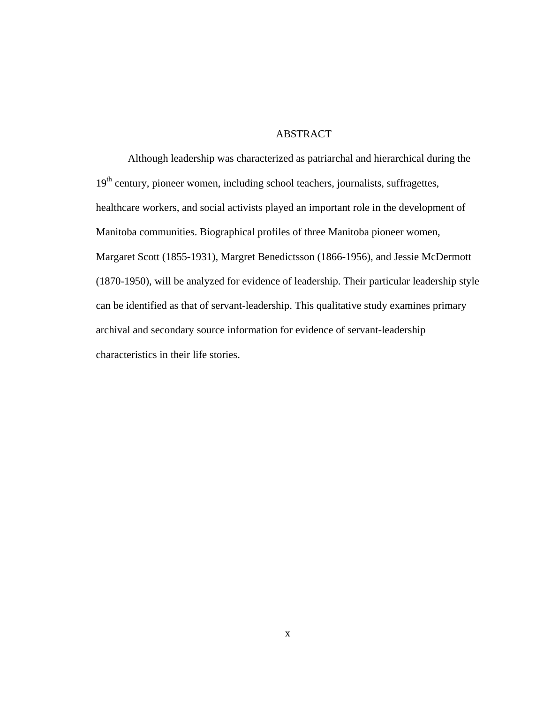# ABSTRACT

 Although leadership was characterized as patriarchal and hierarchical during the 19<sup>th</sup> century, pioneer women, including school teachers, journalists, suffragettes, healthcare workers, and social activists played an important role in the development of Manitoba communities. Biographical profiles of three Manitoba pioneer women, Margaret Scott (1855-1931), Margret Benedictsson (1866-1956), and Jessie McDermott (1870-1950), will be analyzed for evidence of leadership. Their particular leadership style can be identified as that of servant-leadership. This qualitative study examines primary archival and secondary source information for evidence of servant-leadership characteristics in their life stories.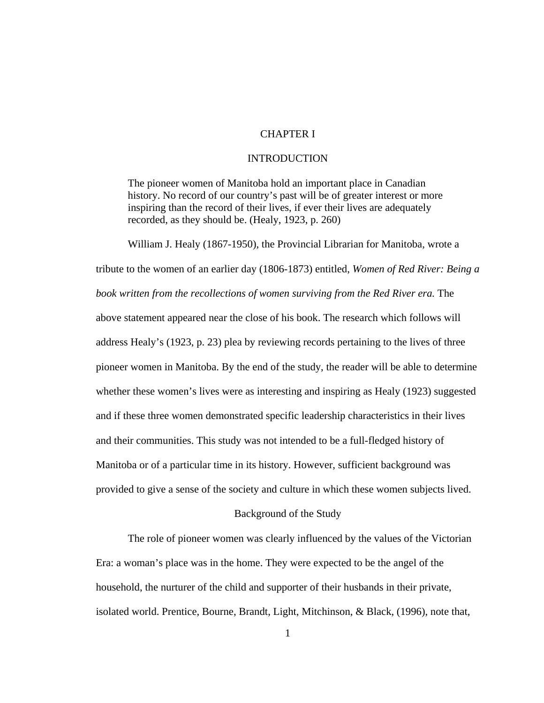# CHAPTER I

#### INTRODUCTION

The pioneer women of Manitoba hold an important place in Canadian history. No record of our country's past will be of greater interest or more inspiring than the record of their lives, if ever their lives are adequately recorded, as they should be. (Healy, 1923, p. 260)

William J. Healy (1867-1950), the Provincial Librarian for Manitoba, wrote a tribute to the women of an earlier day (1806-1873) entitled, *Women of Red River: Being a book written from the recollections of women surviving from the Red River era.* The above statement appeared near the close of his book. The research which follows will address Healy's (1923, p. 23) plea by reviewing records pertaining to the lives of three pioneer women in Manitoba. By the end of the study, the reader will be able to determine whether these women's lives were as interesting and inspiring as Healy (1923) suggested and if these three women demonstrated specific leadership characteristics in their lives and their communities. This study was not intended to be a full-fledged history of Manitoba or of a particular time in its history. However, sufficient background was provided to give a sense of the society and culture in which these women subjects lived.

### Background of the Study

The role of pioneer women was clearly influenced by the values of the Victorian Era: a woman's place was in the home. They were expected to be the angel of the household, the nurturer of the child and supporter of their husbands in their private, isolated world. Prentice, Bourne, Brandt, Light, Mitchinson, & Black, (1996), note that,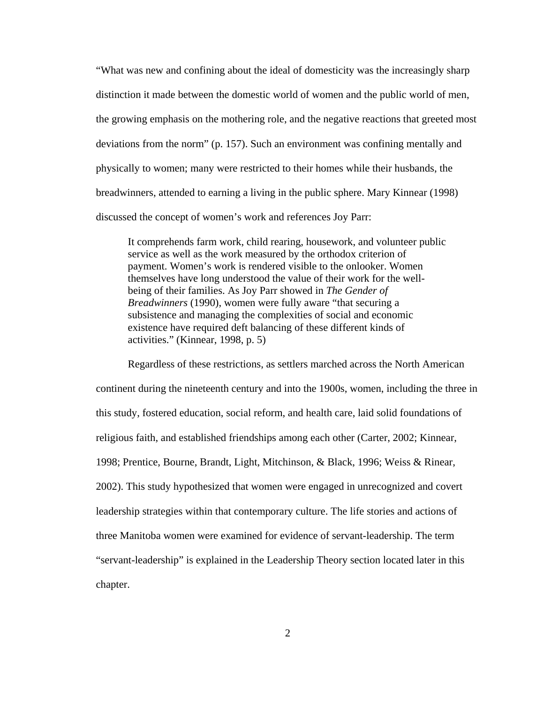"What was new and confining about the ideal of domesticity was the increasingly sharp distinction it made between the domestic world of women and the public world of men, the growing emphasis on the mothering role, and the negative reactions that greeted most deviations from the norm" (p. 157). Such an environment was confining mentally and physically to women; many were restricted to their homes while their husbands, the breadwinners, attended to earning a living in the public sphere. Mary Kinnear (1998) discussed the concept of women's work and references Joy Parr:

It comprehends farm work, child rearing, housework, and volunteer public service as well as the work measured by the orthodox criterion of payment. Women's work is rendered visible to the onlooker. Women themselves have long understood the value of their work for the wellbeing of their families. As Joy Parr showed in *The Gender of Breadwinners* (1990), women were fully aware "that securing a subsistence and managing the complexities of social and economic existence have required deft balancing of these different kinds of activities." (Kinnear, 1998, p. 5)

Regardless of these restrictions, as settlers marched across the North American continent during the nineteenth century and into the 1900s, women, including the three in this study, fostered education, social reform, and health care, laid solid foundations of religious faith, and established friendships among each other (Carter, 2002; Kinnear, 1998; Prentice, Bourne, Brandt, Light, Mitchinson, & Black, 1996; Weiss & Rinear, 2002). This study hypothesized that women were engaged in unrecognized and covert leadership strategies within that contemporary culture. The life stories and actions of three Manitoba women were examined for evidence of servant-leadership. The term "servant-leadership" is explained in the Leadership Theory section located later in this chapter.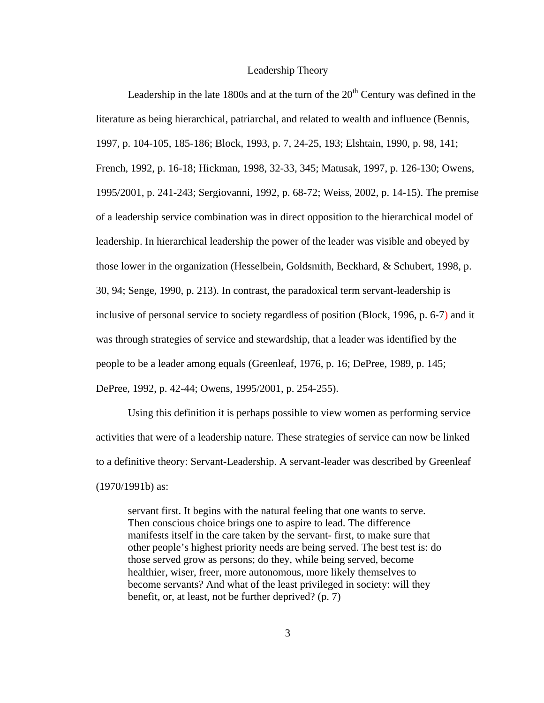#### Leadership Theory

Leadership in the late 1800s and at the turn of the  $20<sup>th</sup>$  Century was defined in the literature as being hierarchical, patriarchal, and related to wealth and influence (Bennis, 1997, p. 104-105, 185-186; Block, 1993, p. 7, 24-25, 193; Elshtain, 1990, p. 98, 141; French, 1992, p. 16-18; Hickman, 1998, 32-33, 345; Matusak, 1997, p. 126-130; Owens, 1995/2001, p. 241-243; Sergiovanni, 1992, p. 68-72; Weiss, 2002, p. 14-15). The premise of a leadership service combination was in direct opposition to the hierarchical model of leadership. In hierarchical leadership the power of the leader was visible and obeyed by those lower in the organization (Hesselbein, Goldsmith, Beckhard, & Schubert, 1998, p. 30, 94; Senge, 1990, p. 213). In contrast, the paradoxical term servant-leadership is inclusive of personal service to society regardless of position (Block, 1996, p. 6-7) and it was through strategies of service and stewardship, that a leader was identified by the people to be a leader among equals (Greenleaf, 1976, p. 16; DePree, 1989, p. 145; DePree, 1992, p. 42-44; Owens, 1995/2001, p. 254-255).

Using this definition it is perhaps possible to view women as performing service activities that were of a leadership nature. These strategies of service can now be linked to a definitive theory: Servant-Leadership. A servant-leader was described by Greenleaf (1970/1991b) as:

servant first. It begins with the natural feeling that one wants to serve. Then conscious choice brings one to aspire to lead. The difference manifests itself in the care taken by the servant- first, to make sure that other people's highest priority needs are being served. The best test is: do those served grow as persons; do they, while being served, become healthier, wiser, freer, more autonomous, more likely themselves to become servants? And what of the least privileged in society: will they benefit, or, at least, not be further deprived? (p. 7)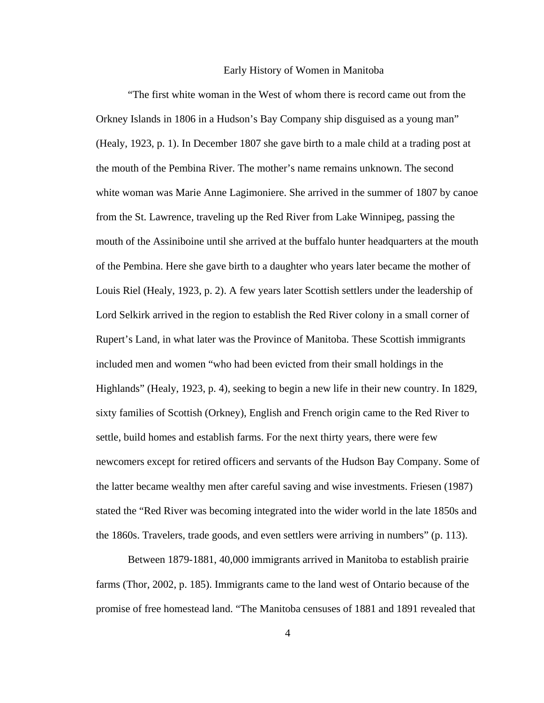#### Early History of Women in Manitoba

"The first white woman in the West of whom there is record came out from the Orkney Islands in 1806 in a Hudson's Bay Company ship disguised as a young man" (Healy, 1923, p. 1). In December 1807 she gave birth to a male child at a trading post at the mouth of the Pembina River. The mother's name remains unknown. The second white woman was Marie Anne Lagimoniere. She arrived in the summer of 1807 by canoe from the St. Lawrence, traveling up the Red River from Lake Winnipeg, passing the mouth of the Assiniboine until she arrived at the buffalo hunter headquarters at the mouth of the Pembina. Here she gave birth to a daughter who years later became the mother of Louis Riel (Healy, 1923, p. 2). A few years later Scottish settlers under the leadership of Lord Selkirk arrived in the region to establish the Red River colony in a small corner of Rupert's Land, in what later was the Province of Manitoba. These Scottish immigrants included men and women "who had been evicted from their small holdings in the Highlands" (Healy, 1923, p. 4), seeking to begin a new life in their new country. In 1829, sixty families of Scottish (Orkney), English and French origin came to the Red River to settle, build homes and establish farms. For the next thirty years, there were few newcomers except for retired officers and servants of the Hudson Bay Company. Some of the latter became wealthy men after careful saving and wise investments. Friesen (1987) stated the "Red River was becoming integrated into the wider world in the late 1850s and the 1860s. Travelers, trade goods, and even settlers were arriving in numbers" (p. 113).

Between 1879-1881, 40,000 immigrants arrived in Manitoba to establish prairie farms (Thor, 2002, p. 185). Immigrants came to the land west of Ontario because of the promise of free homestead land. "The Manitoba censuses of 1881 and 1891 revealed that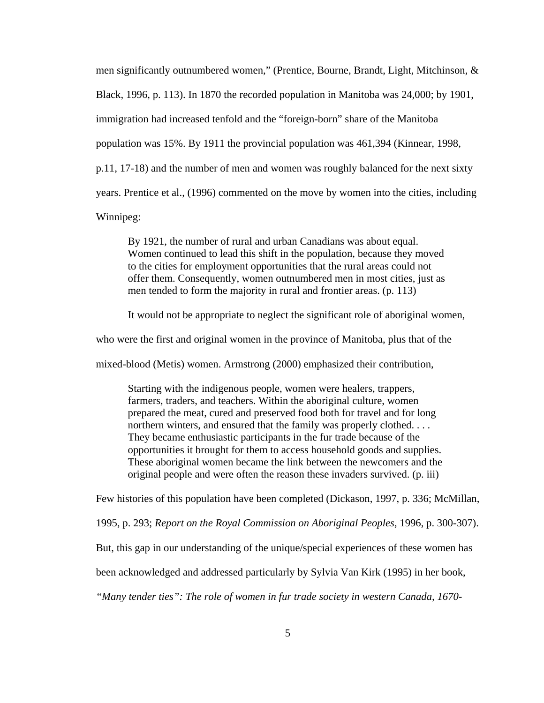men significantly outnumbered women," (Prentice, Bourne, Brandt, Light, Mitchinson, & Black, 1996, p. 113). In 1870 the recorded population in Manitoba was 24,000; by 1901, immigration had increased tenfold and the "foreign-born" share of the Manitoba population was 15%. By 1911 the provincial population was 461,394 (Kinnear, 1998, p.11, 17-18) and the number of men and women was roughly balanced for the next sixty years. Prentice et al., (1996) commented on the move by women into the cities, including

Winnipeg:

By 1921, the number of rural and urban Canadians was about equal. Women continued to lead this shift in the population, because they moved to the cities for employment opportunities that the rural areas could not offer them. Consequently, women outnumbered men in most cities, just as men tended to form the majority in rural and frontier areas. (p. 113)

It would not be appropriate to neglect the significant role of aboriginal women,

who were the first and original women in the province of Manitoba, plus that of the

mixed-blood (Metis) women. Armstrong (2000) emphasized their contribution,

Starting with the indigenous people, women were healers, trappers, farmers, traders, and teachers. Within the aboriginal culture, women prepared the meat, cured and preserved food both for travel and for long northern winters, and ensured that the family was properly clothed. . . . They became enthusiastic participants in the fur trade because of the opportunities it brought for them to access household goods and supplies. These aboriginal women became the link between the newcomers and the original people and were often the reason these invaders survived. (p. iii)

Few histories of this population have been completed (Dickason, 1997, p. 336; McMillan,

1995, p. 293; *Report on the Royal Commission on Aboriginal Peoples*, 1996, p. 300-307).

But, this gap in our understanding of the unique/special experiences of these women has

been acknowledged and addressed particularly by Sylvia Van Kirk (1995) in her book,

*"Many tender ties": The role of women in fur trade society in western Canada, 1670-*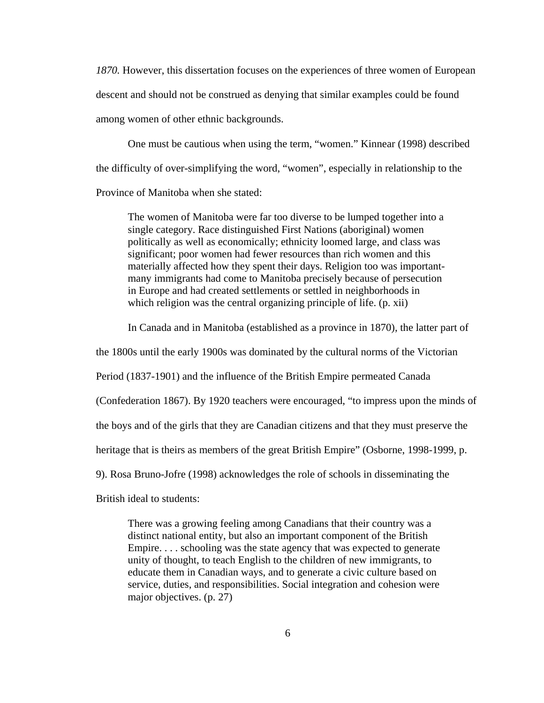*1870.* However, this dissertation focuses on the experiences of three women of European descent and should not be construed as denying that similar examples could be found among women of other ethnic backgrounds.

One must be cautious when using the term, "women." Kinnear (1998) described the difficulty of over-simplifying the word, "women", especially in relationship to the Province of Manitoba when she stated:

The women of Manitoba were far too diverse to be lumped together into a single category. Race distinguished First Nations (aboriginal) women politically as well as economically; ethnicity loomed large, and class was significant; poor women had fewer resources than rich women and this materially affected how they spent their days. Religion too was importantmany immigrants had come to Manitoba precisely because of persecution in Europe and had created settlements or settled in neighborhoods in which religion was the central organizing principle of life. (p. xii)

In Canada and in Manitoba (established as a province in 1870), the latter part of

the 1800s until the early 1900s was dominated by the cultural norms of the Victorian

Period (1837-1901) and the influence of the British Empire permeated Canada

(Confederation 1867). By 1920 teachers were encouraged, "to impress upon the minds of

the boys and of the girls that they are Canadian citizens and that they must preserve the

heritage that is theirs as members of the great British Empire" (Osborne, 1998-1999, p.

9). Rosa Bruno-Jofre (1998) acknowledges the role of schools in disseminating the

British ideal to students:

There was a growing feeling among Canadians that their country was a distinct national entity, but also an important component of the British Empire. . . . schooling was the state agency that was expected to generate unity of thought, to teach English to the children of new immigrants, to educate them in Canadian ways, and to generate a civic culture based on service, duties, and responsibilities. Social integration and cohesion were major objectives. (p. 27)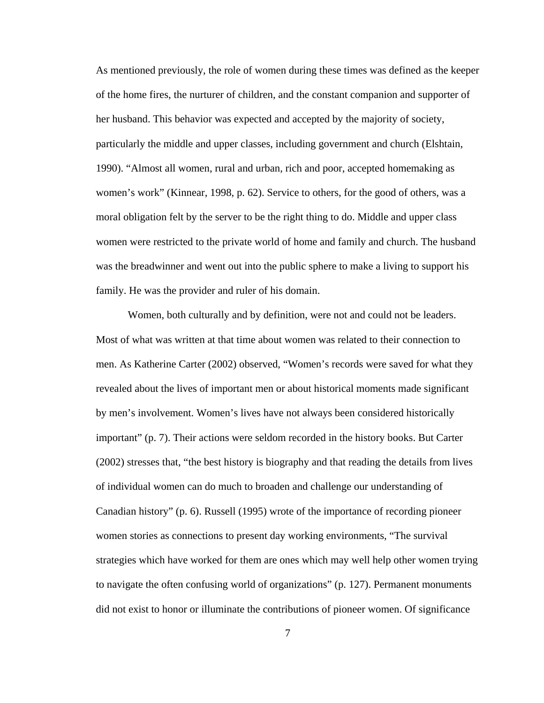As mentioned previously, the role of women during these times was defined as the keeper of the home fires, the nurturer of children, and the constant companion and supporter of her husband. This behavior was expected and accepted by the majority of society, particularly the middle and upper classes, including government and church (Elshtain, 1990). "Almost all women, rural and urban, rich and poor, accepted homemaking as women's work" (Kinnear, 1998, p. 62). Service to others, for the good of others, was a moral obligation felt by the server to be the right thing to do. Middle and upper class women were restricted to the private world of home and family and church. The husband was the breadwinner and went out into the public sphere to make a living to support his family. He was the provider and ruler of his domain.

Women, both culturally and by definition, were not and could not be leaders. Most of what was written at that time about women was related to their connection to men. As Katherine Carter (2002) observed, "Women's records were saved for what they revealed about the lives of important men or about historical moments made significant by men's involvement. Women's lives have not always been considered historically important" (p. 7). Their actions were seldom recorded in the history books. But Carter (2002) stresses that, "the best history is biography and that reading the details from lives of individual women can do much to broaden and challenge our understanding of Canadian history" (p. 6). Russell (1995) wrote of the importance of recording pioneer women stories as connections to present day working environments, "The survival strategies which have worked for them are ones which may well help other women trying to navigate the often confusing world of organizations" (p. 127). Permanent monuments did not exist to honor or illuminate the contributions of pioneer women. Of significance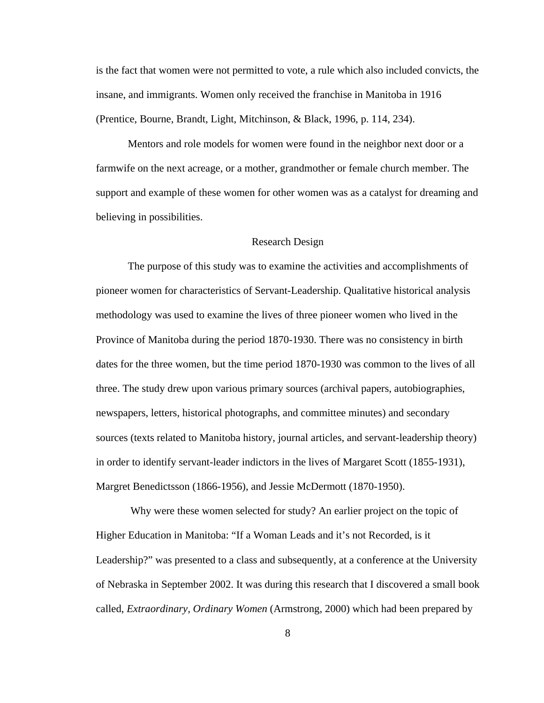is the fact that women were not permitted to vote, a rule which also included convicts, the insane, and immigrants. Women only received the franchise in Manitoba in 1916 (Prentice, Bourne, Brandt, Light, Mitchinson, & Black, 1996, p. 114, 234).

Mentors and role models for women were found in the neighbor next door or a farmwife on the next acreage, or a mother, grandmother or female church member. The support and example of these women for other women was as a catalyst for dreaming and believing in possibilities.

#### Research Design

The purpose of this study was to examine the activities and accomplishments of pioneer women for characteristics of Servant-Leadership. Qualitative historical analysis methodology was used to examine the lives of three pioneer women who lived in the Province of Manitoba during the period 1870-1930. There was no consistency in birth dates for the three women, but the time period 1870-1930 was common to the lives of all three. The study drew upon various primary sources (archival papers, autobiographies, newspapers, letters, historical photographs, and committee minutes) and secondary sources (texts related to Manitoba history, journal articles, and servant-leadership theory) in order to identify servant-leader indictors in the lives of Margaret Scott (1855-1931), Margret Benedictsson (1866-1956), and Jessie McDermott (1870-1950).

 Why were these women selected for study? An earlier project on the topic of Higher Education in Manitoba: "If a Woman Leads and it's not Recorded, is it Leadership?" was presented to a class and subsequently, at a conference at the University of Nebraska in September 2002. It was during this research that I discovered a small book called, *Extraordinary, Ordinary Women* (Armstrong, 2000) which had been prepared by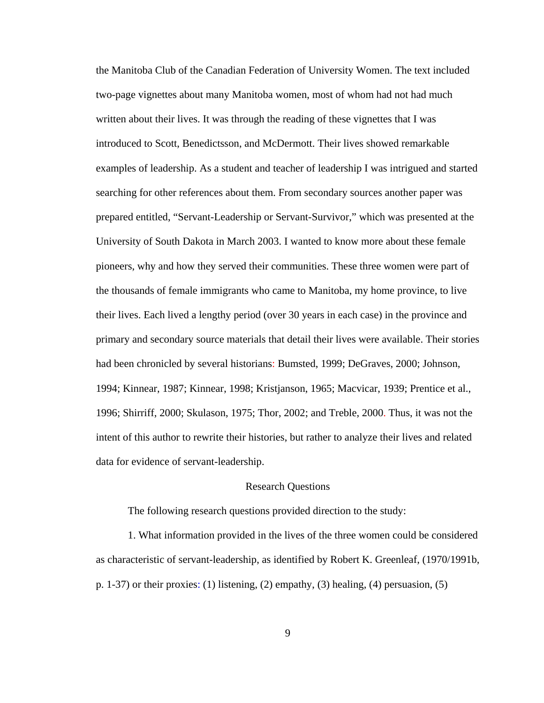the Manitoba Club of the Canadian Federation of University Women. The text included two-page vignettes about many Manitoba women, most of whom had not had much written about their lives. It was through the reading of these vignettes that I was introduced to Scott, Benedictsson, and McDermott. Their lives showed remarkable examples of leadership. As a student and teacher of leadership I was intrigued and started searching for other references about them. From secondary sources another paper was prepared entitled, "Servant-Leadership or Servant-Survivor," which was presented at the University of South Dakota in March 2003. I wanted to know more about these female pioneers, why and how they served their communities. These three women were part of the thousands of female immigrants who came to Manitoba, my home province, to live their lives. Each lived a lengthy period (over 30 years in each case) in the province and primary and secondary source materials that detail their lives were available. Their stories had been chronicled by several historians: Bumsted, 1999; DeGraves, 2000; Johnson, 1994; Kinnear, 1987; Kinnear, 1998; Kristjanson, 1965; Macvicar, 1939; Prentice et al., 1996; Shirriff, 2000; Skulason, 1975; Thor, 2002; and Treble, 2000. Thus, it was not the intent of this author to rewrite their histories, but rather to analyze their lives and related data for evidence of servant-leadership.

#### Research Questions

The following research questions provided direction to the study:

1. What information provided in the lives of the three women could be considered as characteristic of servant-leadership, as identified by Robert K. Greenleaf, (1970/1991b, p. 1-37) or their proxies: (1) listening, (2) empathy, (3) healing, (4) persuasion, (5)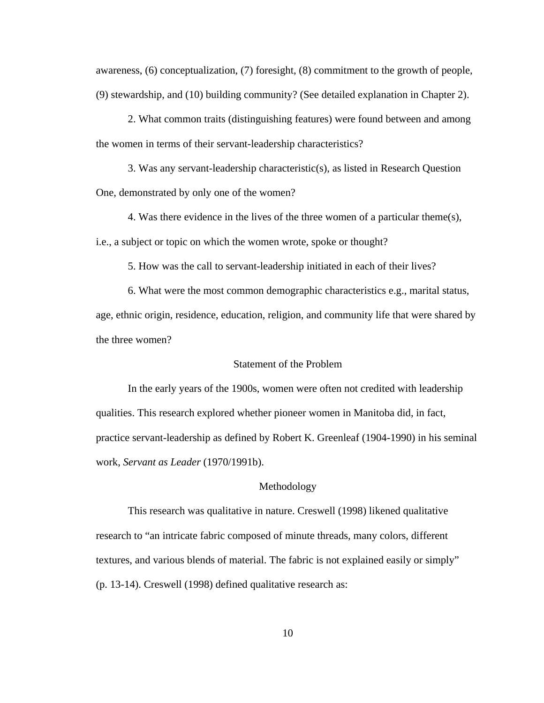awareness, (6) conceptualization, (7) foresight, (8) commitment to the growth of people, (9) stewardship, and (10) building community? (See detailed explanation in Chapter 2).

2. What common traits (distinguishing features) were found between and among the women in terms of their servant-leadership characteristics?

3. Was any servant-leadership characteristic(s), as listed in Research Question One, demonstrated by only one of the women?

4. Was there evidence in the lives of the three women of a particular theme(s), i.e., a subject or topic on which the women wrote, spoke or thought?

5. How was the call to servant-leadership initiated in each of their lives?

6. What were the most common demographic characteristics e.g., marital status, age, ethnic origin, residence, education, religion, and community life that were shared by the three women?

## Statement of the Problem

In the early years of the 1900s, women were often not credited with leadership qualities. This research explored whether pioneer women in Manitoba did, in fact, practice servant-leadership as defined by Robert K. Greenleaf (1904-1990) in his seminal work, *Servant as Leader* (1970/1991b).

### Methodology

This research was qualitative in nature. Creswell (1998) likened qualitative research to "an intricate fabric composed of minute threads, many colors, different textures, and various blends of material. The fabric is not explained easily or simply" (p. 13-14). Creswell (1998) defined qualitative research as: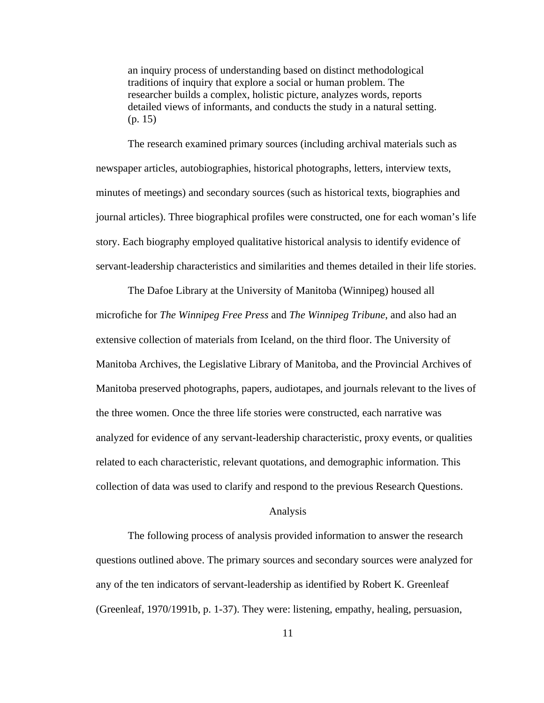an inquiry process of understanding based on distinct methodological traditions of inquiry that explore a social or human problem. The researcher builds a complex, holistic picture, analyzes words, reports detailed views of informants, and conducts the study in a natural setting. (p. 15)

The research examined primary sources (including archival materials such as newspaper articles, autobiographies, historical photographs, letters, interview texts, minutes of meetings) and secondary sources (such as historical texts, biographies and journal articles). Three biographical profiles were constructed, one for each woman's life story. Each biography employed qualitative historical analysis to identify evidence of servant-leadership characteristics and similarities and themes detailed in their life stories.

The Dafoe Library at the University of Manitoba (Winnipeg) housed all microfiche for *The Winnipeg Free Press* and *The Winnipeg Tribune*, and also had an extensive collection of materials from Iceland, on the third floor. The University of Manitoba Archives, the Legislative Library of Manitoba, and the Provincial Archives of Manitoba preserved photographs, papers, audiotapes, and journals relevant to the lives of the three women. Once the three life stories were constructed, each narrative was analyzed for evidence of any servant-leadership characteristic, proxy events, or qualities related to each characteristic, relevant quotations, and demographic information. This collection of data was used to clarify and respond to the previous Research Questions.

#### Analysis

The following process of analysis provided information to answer the research questions outlined above. The primary sources and secondary sources were analyzed for any of the ten indicators of servant-leadership as identified by Robert K. Greenleaf (Greenleaf, 1970/1991b, p. 1-37). They were: listening, empathy, healing, persuasion,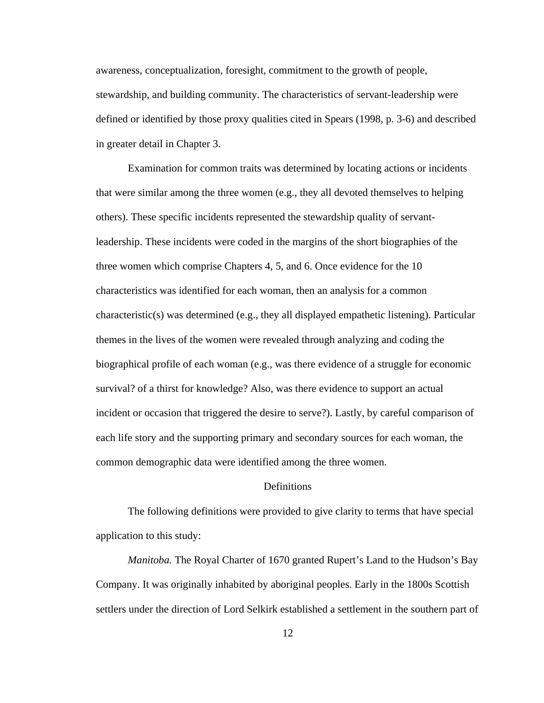awareness, conceptualization, foresight, commitment to the growth of people, stewardship, and building community. The characteristics of servant-leadership were defined or identified by those proxy qualities cited in Spears (1998, p. 3-6) and described in greater detail in Chapter 3.

Examination for common traits was determined by locating actions or incidents that were similar among the three women (e.g., they all devoted themselves to helping others). These specific incidents represented the stewardship quality of servantleadership. These incidents were coded in the margins of the short biographies of the three women which comprise Chapters 4, 5, and 6. Once evidence for the 10 characteristics was identified for each woman, then an analysis for a common characteristic(s) was determined (e.g., they all displayed empathetic listening). Particular themes in the lives of the women were revealed through analyzing and coding the biographical profile of each woman (e.g., was there evidence of a struggle for economic survival? of a thirst for knowledge? Also, was there evidence to support an actual incident or occasion that triggered the desire to serve?). Lastly, by careful comparison of each life story and the supporting primary and secondary sources for each woman, the common demographic data were identified among the three women.

# **Definitions**

 The following definitions were provided to give clarity to terms that have special application to this study:

*Manitoba.* The Royal Charter of 1670 granted Rupert's Land to the Hudson's Bay Company. It was originally inhabited by aboriginal peoples. Early in the 1800s Scottish settlers under the direction of Lord Selkirk established a settlement in the southern part of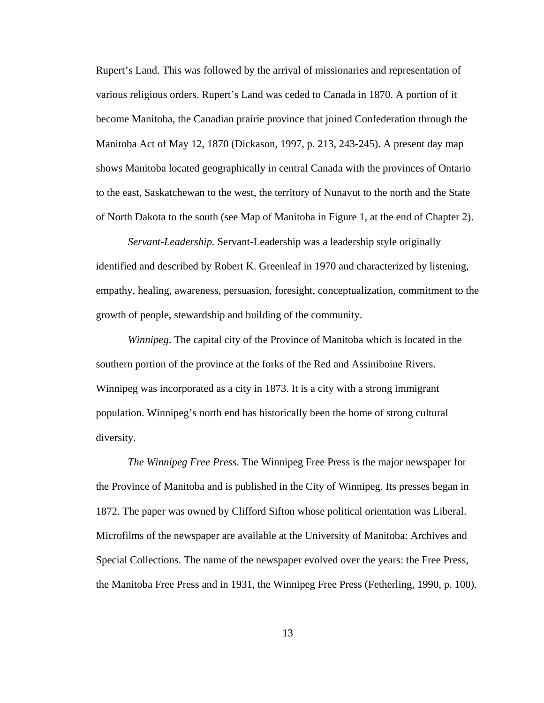Rupert's Land. This was followed by the arrival of missionaries and representation of various religious orders. Rupert's Land was ceded to Canada in 1870. A portion of it become Manitoba, the Canadian prairie province that joined Confederation through the Manitoba Act of May 12, 1870 (Dickason, 1997, p. 213, 243-245). A present day map shows Manitoba located geographically in central Canada with the provinces of Ontario to the east, Saskatchewan to the west, the territory of Nunavut to the north and the State of North Dakota to the south (see Map of Manitoba in Figure 1, at the end of Chapter 2).

*Servant-Leadership.* Servant-Leadership was a leadership style originally identified and described by Robert K. Greenleaf in 1970 and characterized by listening, empathy, healing, awareness, persuasion, foresight, conceptualization, commitment to the growth of people, stewardship and building of the community.

*Winnipeg*. The capital city of the Province of Manitoba which is located in the southern portion of the province at the forks of the Red and Assiniboine Rivers. Winnipeg was incorporated as a city in 1873. It is a city with a strong immigrant population. Winnipeg's north end has historically been the home of strong cultural diversity.

*The Winnipeg Free Press*. The Winnipeg Free Press is the major newspaper for the Province of Manitoba and is published in the City of Winnipeg. Its presses began in 1872. The paper was owned by Clifford Sifton whose political orientation was Liberal. Microfilms of the newspaper are available at the University of Manitoba: Archives and Special Collections. The name of the newspaper evolved over the years: the Free Press, the Manitoba Free Press and in 1931, the Winnipeg Free Press (Fetherling, 1990, p. 100).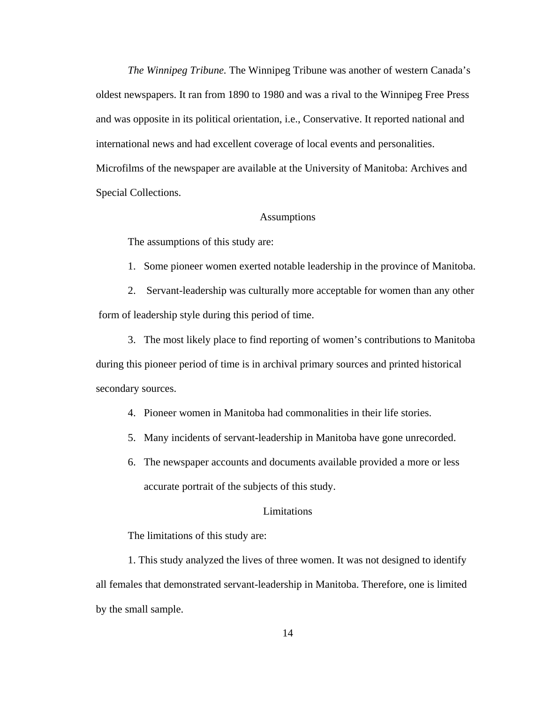*The Winnipeg Tribune.* The Winnipeg Tribune was another of western Canada's oldest newspapers. It ran from 1890 to 1980 and was a rival to the Winnipeg Free Press and was opposite in its political orientation, i.e., Conservative. It reported national and international news and had excellent coverage of local events and personalities. Microfilms of the newspaper are available at the University of Manitoba: Archives and Special Collections.

### Assumptions

The assumptions of this study are:

1. Some pioneer women exerted notable leadership in the province of Manitoba.

2. Servant-leadership was culturally more acceptable for women than any other form of leadership style during this period of time.

3. The most likely place to find reporting of women's contributions to Manitoba during this pioneer period of time is in archival primary sources and printed historical secondary sources.

4. Pioneer women in Manitoba had commonalities in their life stories.

- 5. Many incidents of servant-leadership in Manitoba have gone unrecorded.
- 6. The newspaper accounts and documents available provided a more or less accurate portrait of the subjects of this study.

### Limitations

The limitations of this study are:

1. This study analyzed the lives of three women. It was not designed to identify all females that demonstrated servant-leadership in Manitoba. Therefore, one is limited by the small sample.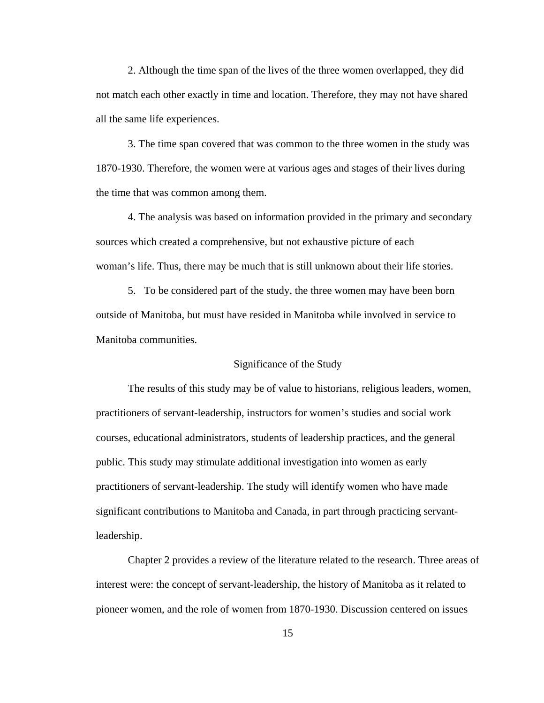2. Although the time span of the lives of the three women overlapped, they did not match each other exactly in time and location. Therefore, they may not have shared all the same life experiences.

3. The time span covered that was common to the three women in the study was 1870-1930. Therefore, the women were at various ages and stages of their lives during the time that was common among them.

4. The analysis was based on information provided in the primary and secondary sources which created a comprehensive, but not exhaustive picture of each woman's life. Thus, there may be much that is still unknown about their life stories.

5. To be considered part of the study, the three women may have been born outside of Manitoba, but must have resided in Manitoba while involved in service to Manitoba communities.

#### Significance of the Study

The results of this study may be of value to historians, religious leaders, women, practitioners of servant-leadership, instructors for women's studies and social work courses, educational administrators, students of leadership practices, and the general public. This study may stimulate additional investigation into women as early practitioners of servant-leadership. The study will identify women who have made significant contributions to Manitoba and Canada, in part through practicing servantleadership.

Chapter 2 provides a review of the literature related to the research. Three areas of interest were: the concept of servant-leadership, the history of Manitoba as it related to pioneer women, and the role of women from 1870-1930. Discussion centered on issues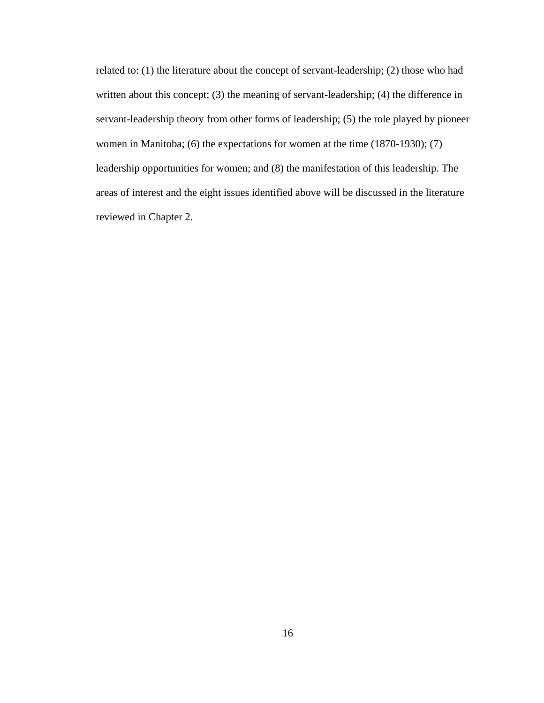related to: (1) the literature about the concept of servant-leadership; (2) those who had written about this concept; (3) the meaning of servant-leadership; (4) the difference in servant-leadership theory from other forms of leadership; (5) the role played by pioneer women in Manitoba; (6) the expectations for women at the time (1870-1930); (7) leadership opportunities for women; and (8) the manifestation of this leadership. The areas of interest and the eight issues identified above will be discussed in the literature reviewed in Chapter 2.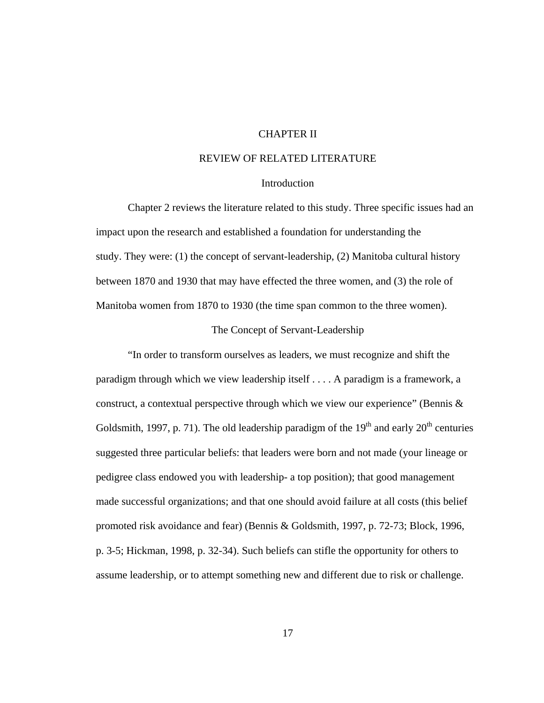# CHAPTER II

# REVIEW OF RELATED LITERATURE

### **Introduction**

Chapter 2 reviews the literature related to this study. Three specific issues had an impact upon the research and established a foundation for understanding the study. They were: (1) the concept of servant-leadership, (2) Manitoba cultural history between 1870 and 1930 that may have effected the three women, and (3) the role of Manitoba women from 1870 to 1930 (the time span common to the three women).

#### The Concept of Servant-Leadership

"In order to transform ourselves as leaders, we must recognize and shift the paradigm through which we view leadership itself . . . . A paradigm is a framework, a construct, a contextual perspective through which we view our experience" (Bennis  $\&$ Goldsmith, 1997, p. 71). The old leadership paradigm of the  $19<sup>th</sup>$  and early  $20<sup>th</sup>$  centuries suggested three particular beliefs: that leaders were born and not made (your lineage or pedigree class endowed you with leadership- a top position); that good management made successful organizations; and that one should avoid failure at all costs (this belief promoted risk avoidance and fear) (Bennis & Goldsmith, 1997, p. 72-73; Block, 1996, p. 3-5; Hickman, 1998, p. 32-34). Such beliefs can stifle the opportunity for others to assume leadership, or to attempt something new and different due to risk or challenge.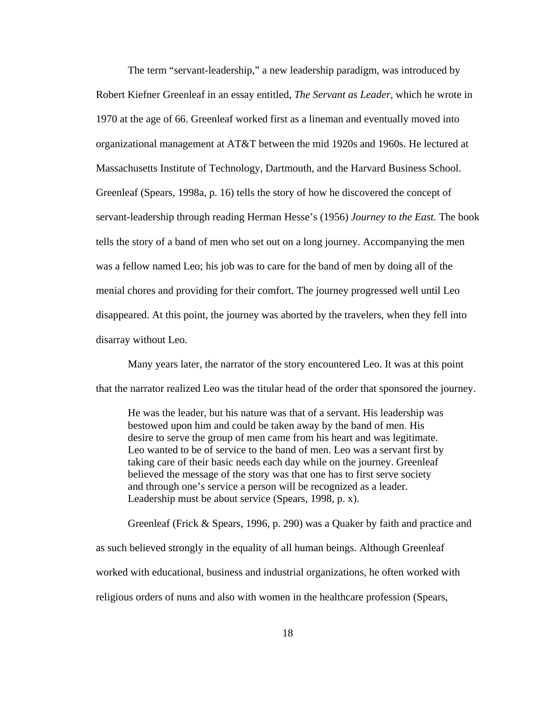The term "servant-leadership," a new leadership paradigm, was introduced by Robert Kiefner Greenleaf in an essay entitled, *The Servant as Leader*, which he wrote in 1970 at the age of 66. Greenleaf worked first as a lineman and eventually moved into organizational management at AT&T between the mid 1920s and 1960s. He lectured at Massachusetts Institute of Technology, Dartmouth, and the Harvard Business School. Greenleaf (Spears, 1998a, p. 16) tells the story of how he discovered the concept of servant-leadership through reading Herman Hesse's (1956) *Journey to the East.* The book tells the story of a band of men who set out on a long journey. Accompanying the men was a fellow named Leo; his job was to care for the band of men by doing all of the menial chores and providing for their comfort. The journey progressed well until Leo disappeared. At this point, the journey was aborted by the travelers, when they fell into disarray without Leo.

Many years later, the narrator of the story encountered Leo. It was at this point that the narrator realized Leo was the titular head of the order that sponsored the journey.

He was the leader, but his nature was that of a servant. His leadership was bestowed upon him and could be taken away by the band of men. His desire to serve the group of men came from his heart and was legitimate. Leo wanted to be of service to the band of men. Leo was a servant first by taking care of their basic needs each day while on the journey. Greenleaf believed the message of the story was that one has to first serve society and through one's service a person will be recognized as a leader. Leadership must be about service (Spears, 1998, p. x).

Greenleaf (Frick & Spears, 1996, p. 290) was a Quaker by faith and practice and as such believed strongly in the equality of all human beings. Although Greenleaf worked with educational, business and industrial organizations, he often worked with religious orders of nuns and also with women in the healthcare profession (Spears,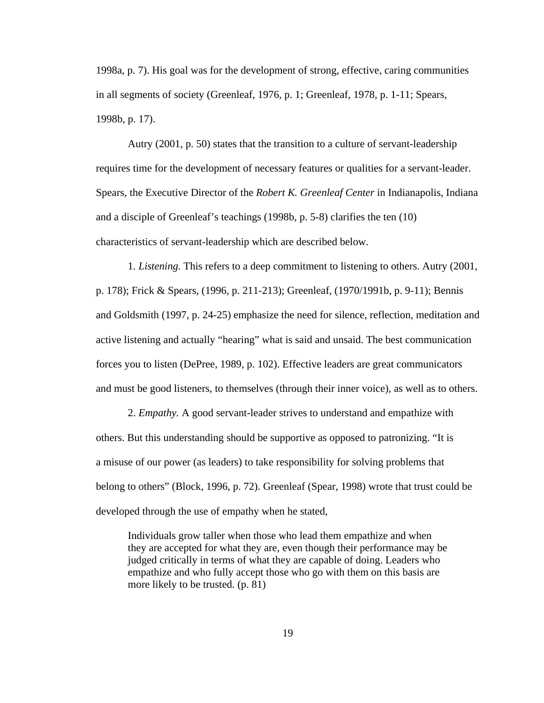1998a, p. 7). His goal was for the development of strong, effective, caring communities in all segments of society (Greenleaf, 1976, p. 1; Greenleaf, 1978, p. 1-11; Spears, 1998b, p. 17).

Autry (2001, p. 50) states that the transition to a culture of servant-leadership requires time for the development of necessary features or qualities for a servant-leader. Spears, the Executive Director of the *Robert K. Greenleaf Center* in Indianapolis, Indiana and a disciple of Greenleaf's teachings (1998b, p. 5-8) clarifies the ten (10) characteristics of servant-leadership which are described below.

1*. Listening.* This refers to a deep commitment to listening to others. Autry (2001, p. 178); Frick & Spears, (1996, p. 211-213); Greenleaf, (1970/1991b, p. 9-11); Bennis and Goldsmith (1997, p. 24-25) emphasize the need for silence, reflection, meditation and active listening and actually "hearing" what is said and unsaid. The best communication forces you to listen (DePree, 1989, p. 102). Effective leaders are great communicators and must be good listeners, to themselves (through their inner voice), as well as to others.

2. *Empathy.* A good servant-leader strives to understand and empathize with others. But this understanding should be supportive as opposed to patronizing. "It is a misuse of our power (as leaders) to take responsibility for solving problems that belong to others" (Block, 1996, p. 72). Greenleaf (Spear, 1998) wrote that trust could be developed through the use of empathy when he stated,

Individuals grow taller when those who lead them empathize and when they are accepted for what they are, even though their performance may be judged critically in terms of what they are capable of doing. Leaders who empathize and who fully accept those who go with them on this basis are more likely to be trusted. (p. 81)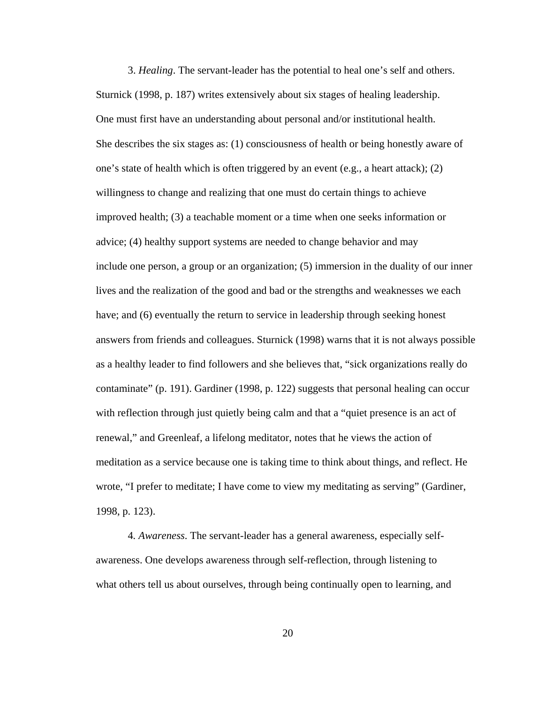3. *Healing*. The servant-leader has the potential to heal one's self and others. Sturnick (1998, p. 187) writes extensively about six stages of healing leadership. One must first have an understanding about personal and/or institutional health. She describes the six stages as: (1) consciousness of health or being honestly aware of one's state of health which is often triggered by an event (e.g., a heart attack); (2) willingness to change and realizing that one must do certain things to achieve improved health; (3) a teachable moment or a time when one seeks information or advice; (4) healthy support systems are needed to change behavior and may include one person, a group or an organization; (5) immersion in the duality of our inner lives and the realization of the good and bad or the strengths and weaknesses we each have; and (6) eventually the return to service in leadership through seeking honest answers from friends and colleagues. Sturnick (1998) warns that it is not always possible as a healthy leader to find followers and she believes that, "sick organizations really do contaminate" (p. 191). Gardiner (1998, p. 122) suggests that personal healing can occur with reflection through just quietly being calm and that a "quiet presence is an act of renewal," and Greenleaf, a lifelong meditator, notes that he views the action of meditation as a service because one is taking time to think about things, and reflect. He wrote, "I prefer to meditate; I have come to view my meditating as serving" (Gardiner, 1998, p. 123).

4*. Awareness*. The servant-leader has a general awareness, especially selfawareness. One develops awareness through self-reflection, through listening to what others tell us about ourselves, through being continually open to learning, and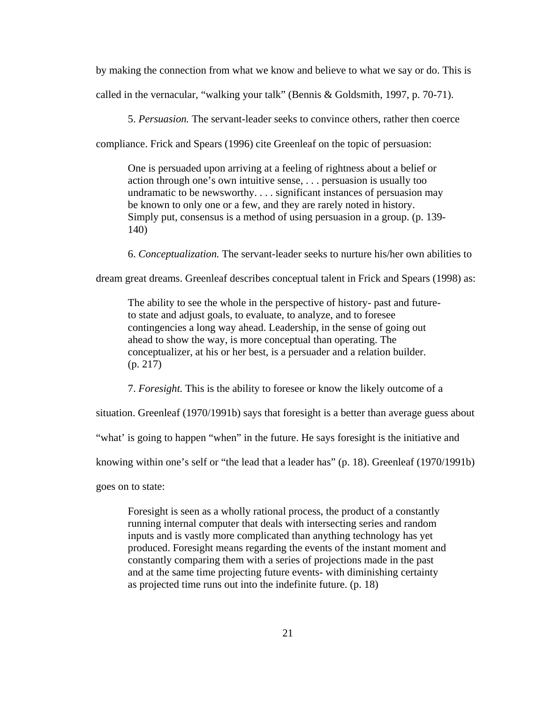by making the connection from what we know and believe to what we say or do. This is called in the vernacular, "walking your talk" (Bennis & Goldsmith, 1997, p. 70-71).

5. *Persuasion.* The servant-leader seeks to convince others, rather then coerce

compliance. Frick and Spears (1996) cite Greenleaf on the topic of persuasion:

One is persuaded upon arriving at a feeling of rightness about a belief or action through one's own intuitive sense, . . . persuasion is usually too undramatic to be newsworthy. . . . significant instances of persuasion may be known to only one or a few, and they are rarely noted in history. Simply put, consensus is a method of using persuasion in a group. (p. 139- 140)

6. *Conceptualization.* The servant-leader seeks to nurture his/her own abilities to

dream great dreams. Greenleaf describes conceptual talent in Frick and Spears (1998) as:

The ability to see the whole in the perspective of history- past and futureto state and adjust goals, to evaluate, to analyze, and to foresee contingencies a long way ahead. Leadership, in the sense of going out ahead to show the way, is more conceptual than operating. The conceptualizer, at his or her best, is a persuader and a relation builder. (p. 217)

7. *Foresight.* This is the ability to foresee or know the likely outcome of a

situation. Greenleaf (1970/1991b) says that foresight is a better than average guess about

"what' is going to happen "when" in the future. He says foresight is the initiative and

knowing within one's self or "the lead that a leader has" (p. 18). Greenleaf (1970/1991b)

goes on to state:

Foresight is seen as a wholly rational process, the product of a constantly running internal computer that deals with intersecting series and random inputs and is vastly more complicated than anything technology has yet produced. Foresight means regarding the events of the instant moment and constantly comparing them with a series of projections made in the past and at the same time projecting future events- with diminishing certainty as projected time runs out into the indefinite future. (p. 18)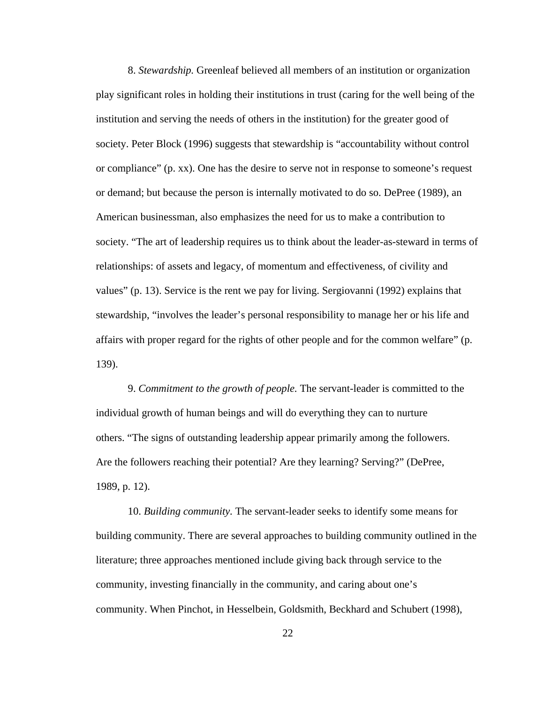8. *Stewardship.* Greenleaf believed all members of an institution or organization play significant roles in holding their institutions in trust (caring for the well being of the institution and serving the needs of others in the institution) for the greater good of society. Peter Block (1996) suggests that stewardship is "accountability without control or compliance" (p. xx). One has the desire to serve not in response to someone's request or demand; but because the person is internally motivated to do so. DePree (1989), an American businessman, also emphasizes the need for us to make a contribution to society. "The art of leadership requires us to think about the leader-as-steward in terms of relationships: of assets and legacy, of momentum and effectiveness, of civility and values" (p. 13). Service is the rent we pay for living. Sergiovanni (1992) explains that stewardship, "involves the leader's personal responsibility to manage her or his life and affairs with proper regard for the rights of other people and for the common welfare" (p. 139).

9. *Commitment to the growth of people.* The servant-leader is committed to the individual growth of human beings and will do everything they can to nurture others. "The signs of outstanding leadership appear primarily among the followers. Are the followers reaching their potential? Are they learning? Serving?" (DePree, 1989, p. 12).

10. *Building community.* The servant-leader seeks to identify some means for building community. There are several approaches to building community outlined in the literature; three approaches mentioned include giving back through service to the community, investing financially in the community, and caring about one's community. When Pinchot, in Hesselbein, Goldsmith, Beckhard and Schubert (1998),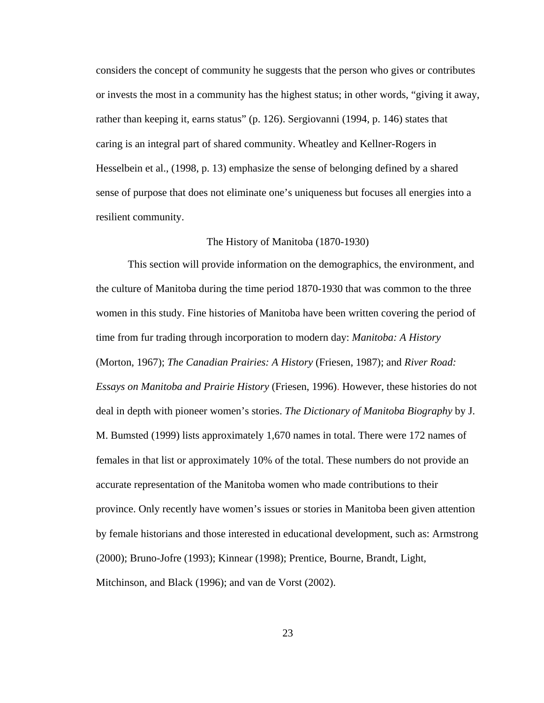considers the concept of community he suggests that the person who gives or contributes or invests the most in a community has the highest status; in other words, "giving it away, rather than keeping it, earns status" (p. 126). Sergiovanni (1994, p. 146) states that caring is an integral part of shared community. Wheatley and Kellner-Rogers in Hesselbein et al., (1998, p. 13) emphasize the sense of belonging defined by a shared sense of purpose that does not eliminate one's uniqueness but focuses all energies into a resilient community.

## The History of Manitoba (1870-1930)

This section will provide information on the demographics, the environment, and the culture of Manitoba during the time period 1870-1930 that was common to the three women in this study. Fine histories of Manitoba have been written covering the period of time from fur trading through incorporation to modern day: *Manitoba: A History* (Morton, 1967); *The Canadian Prairies: A History* (Friesen, 1987); and *River Road: Essays on Manitoba and Prairie History* (Friesen, 1996). However, these histories do not deal in depth with pioneer women's stories. *The Dictionary of Manitoba Biography* by J. M. Bumsted (1999) lists approximately 1,670 names in total. There were 172 names of females in that list or approximately 10% of the total. These numbers do not provide an accurate representation of the Manitoba women who made contributions to their province. Only recently have women's issues or stories in Manitoba been given attention by female historians and those interested in educational development, such as: Armstrong (2000); Bruno-Jofre (1993); Kinnear (1998); Prentice, Bourne, Brandt, Light, Mitchinson, and Black (1996); and van de Vorst (2002).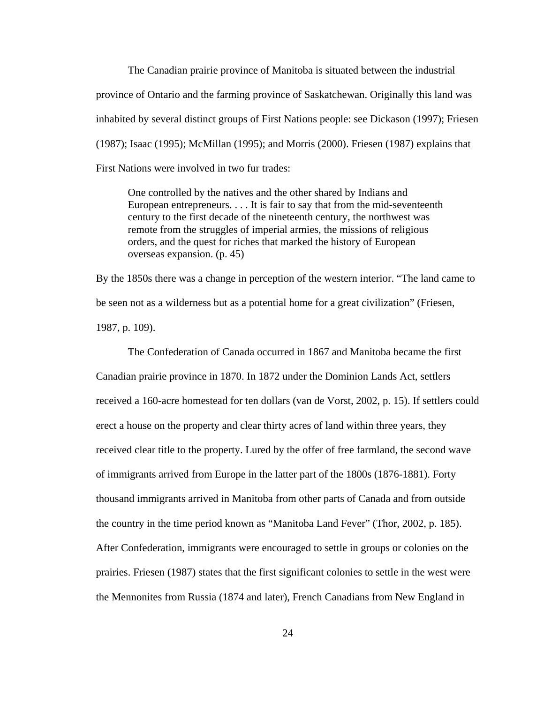The Canadian prairie province of Manitoba is situated between the industrial province of Ontario and the farming province of Saskatchewan. Originally this land was inhabited by several distinct groups of First Nations people: see Dickason (1997); Friesen (1987); Isaac (1995); McMillan (1995); and Morris (2000). Friesen (1987) explains that First Nations were involved in two fur trades:

One controlled by the natives and the other shared by Indians and European entrepreneurs. . . . It is fair to say that from the mid-seventeenth century to the first decade of the nineteenth century, the northwest was remote from the struggles of imperial armies, the missions of religious orders, and the quest for riches that marked the history of European overseas expansion. (p. 45)

By the 1850s there was a change in perception of the western interior. "The land came to be seen not as a wilderness but as a potential home for a great civilization" (Friesen, 1987, p. 109).

The Confederation of Canada occurred in 1867 and Manitoba became the first Canadian prairie province in 1870. In 1872 under the Dominion Lands Act, settlers received a 160-acre homestead for ten dollars (van de Vorst, 2002, p. 15). If settlers could erect a house on the property and clear thirty acres of land within three years, they received clear title to the property. Lured by the offer of free farmland, the second wave of immigrants arrived from Europe in the latter part of the 1800s (1876-1881). Forty thousand immigrants arrived in Manitoba from other parts of Canada and from outside the country in the time period known as "Manitoba Land Fever" (Thor, 2002, p. 185). After Confederation, immigrants were encouraged to settle in groups or colonies on the prairies. Friesen (1987) states that the first significant colonies to settle in the west were the Mennonites from Russia (1874 and later), French Canadians from New England in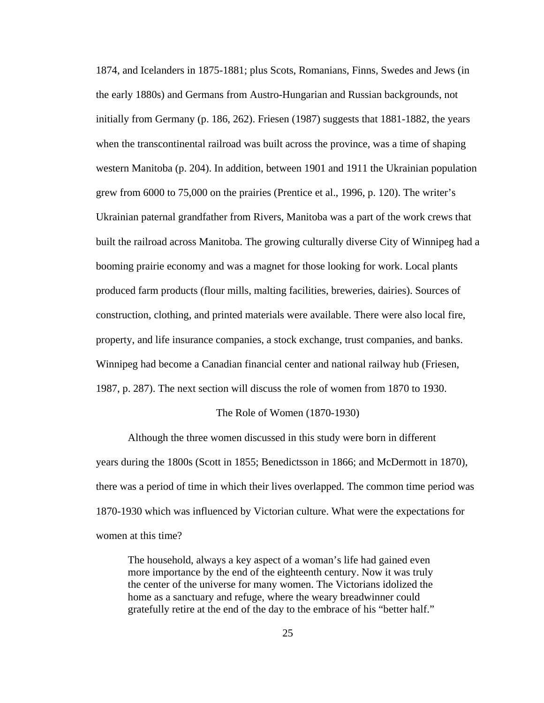1874, and Icelanders in 1875-1881; plus Scots, Romanians, Finns, Swedes and Jews (in the early 1880s) and Germans from Austro-Hungarian and Russian backgrounds, not initially from Germany (p. 186, 262). Friesen (1987) suggests that 1881-1882, the years when the transcontinental railroad was built across the province, was a time of shaping western Manitoba (p. 204). In addition, between 1901 and 1911 the Ukrainian population grew from 6000 to 75,000 on the prairies (Prentice et al., 1996, p. 120). The writer's Ukrainian paternal grandfather from Rivers, Manitoba was a part of the work crews that built the railroad across Manitoba. The growing culturally diverse City of Winnipeg had a booming prairie economy and was a magnet for those looking for work. Local plants produced farm products (flour mills, malting facilities, breweries, dairies). Sources of construction, clothing, and printed materials were available. There were also local fire, property, and life insurance companies, a stock exchange, trust companies, and banks. Winnipeg had become a Canadian financial center and national railway hub (Friesen, 1987, p. 287). The next section will discuss the role of women from 1870 to 1930.

#### The Role of Women (1870-1930)

Although the three women discussed in this study were born in different years during the 1800s (Scott in 1855; Benedictsson in 1866; and McDermott in 1870), there was a period of time in which their lives overlapped. The common time period was 1870-1930 which was influenced by Victorian culture. What were the expectations for women at this time?

The household, always a key aspect of a woman's life had gained even more importance by the end of the eighteenth century. Now it was truly the center of the universe for many women. The Victorians idolized the home as a sanctuary and refuge, where the weary breadwinner could gratefully retire at the end of the day to the embrace of his "better half."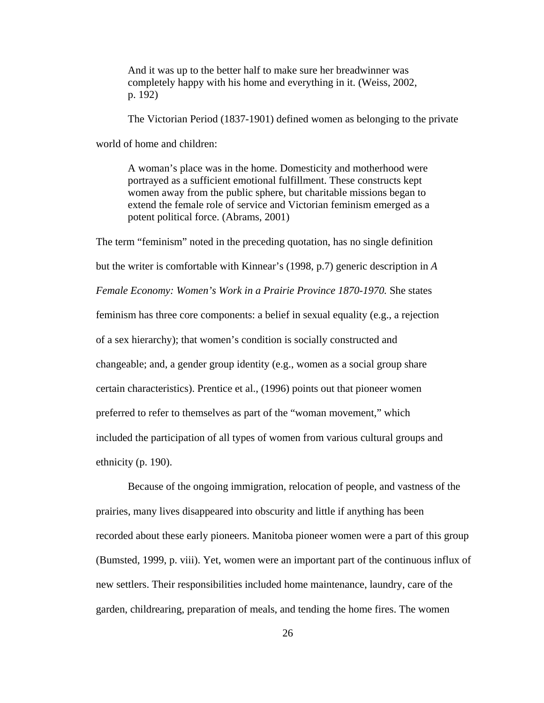And it was up to the better half to make sure her breadwinner was completely happy with his home and everything in it. (Weiss, 2002, p. 192)

The Victorian Period (1837-1901) defined women as belonging to the private

world of home and children:

A woman's place was in the home. Domesticity and motherhood were portrayed as a sufficient emotional fulfillment. These constructs kept women away from the public sphere, but charitable missions began to extend the female role of service and Victorian feminism emerged as a potent political force. (Abrams, 2001)

The term "feminism" noted in the preceding quotation, has no single definition but the writer is comfortable with Kinnear's (1998, p.7) generic description in *A Female Economy: Women's Work in a Prairie Province 1870-1970.* She states feminism has three core components: a belief in sexual equality (e.g., a rejection of a sex hierarchy); that women's condition is socially constructed and changeable; and, a gender group identity (e.g., women as a social group share certain characteristics). Prentice et al., (1996) points out that pioneer women preferred to refer to themselves as part of the "woman movement," which included the participation of all types of women from various cultural groups and ethnicity (p. 190).

Because of the ongoing immigration, relocation of people, and vastness of the prairies, many lives disappeared into obscurity and little if anything has been recorded about these early pioneers. Manitoba pioneer women were a part of this group (Bumsted, 1999, p. viii). Yet, women were an important part of the continuous influx of new settlers. Their responsibilities included home maintenance, laundry, care of the garden, childrearing, preparation of meals, and tending the home fires. The women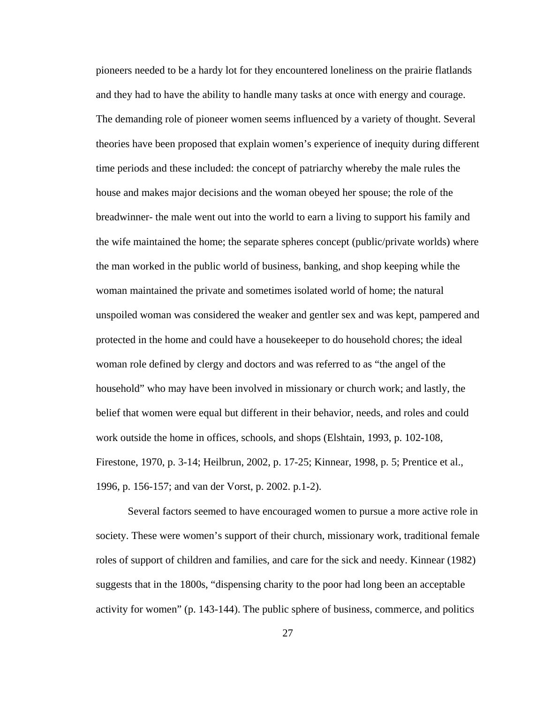pioneers needed to be a hardy lot for they encountered loneliness on the prairie flatlands and they had to have the ability to handle many tasks at once with energy and courage. The demanding role of pioneer women seems influenced by a variety of thought. Several theories have been proposed that explain women's experience of inequity during different time periods and these included: the concept of patriarchy whereby the male rules the house and makes major decisions and the woman obeyed her spouse; the role of the breadwinner- the male went out into the world to earn a living to support his family and the wife maintained the home; the separate spheres concept (public/private worlds) where the man worked in the public world of business, banking, and shop keeping while the woman maintained the private and sometimes isolated world of home; the natural unspoiled woman was considered the weaker and gentler sex and was kept, pampered and protected in the home and could have a housekeeper to do household chores; the ideal woman role defined by clergy and doctors and was referred to as "the angel of the household" who may have been involved in missionary or church work; and lastly, the belief that women were equal but different in their behavior, needs, and roles and could work outside the home in offices, schools, and shops (Elshtain, 1993, p. 102-108, Firestone, 1970, p. 3-14; Heilbrun, 2002, p. 17-25; Kinnear, 1998, p. 5; Prentice et al., 1996, p. 156-157; and van der Vorst, p. 2002. p.1-2).

Several factors seemed to have encouraged women to pursue a more active role in society. These were women's support of their church, missionary work, traditional female roles of support of children and families, and care for the sick and needy. Kinnear (1982) suggests that in the 1800s, "dispensing charity to the poor had long been an acceptable activity for women" (p. 143-144). The public sphere of business, commerce, and politics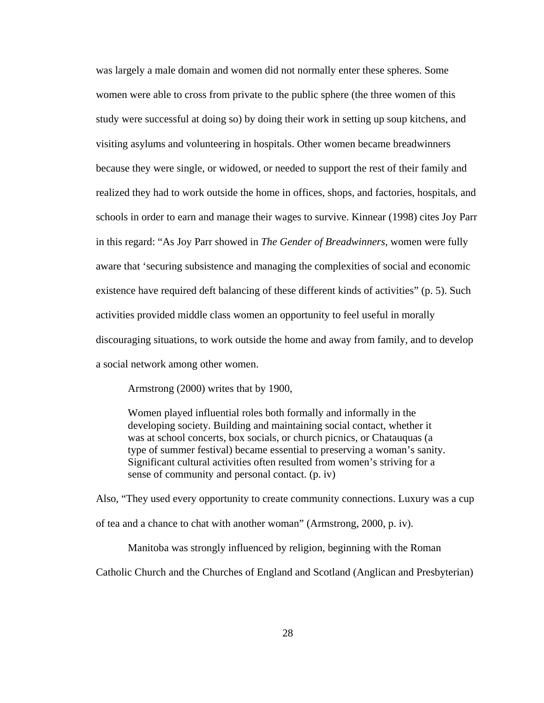was largely a male domain and women did not normally enter these spheres. Some women were able to cross from private to the public sphere (the three women of this study were successful at doing so) by doing their work in setting up soup kitchens, and visiting asylums and volunteering in hospitals. Other women became breadwinners because they were single, or widowed, or needed to support the rest of their family and realized they had to work outside the home in offices, shops, and factories, hospitals, and schools in order to earn and manage their wages to survive. Kinnear (1998) cites Joy Parr in this regard: "As Joy Parr showed in *The Gender of Breadwinners*, women were fully aware that 'securing subsistence and managing the complexities of social and economic existence have required deft balancing of these different kinds of activities" (p. 5). Such activities provided middle class women an opportunity to feel useful in morally discouraging situations, to work outside the home and away from family, and to develop a social network among other women.

Armstrong (2000) writes that by 1900,

Women played influential roles both formally and informally in the developing society. Building and maintaining social contact, whether it was at school concerts, box socials, or church picnics, or Chatauquas (a type of summer festival) became essential to preserving a woman's sanity. Significant cultural activities often resulted from women's striving for a sense of community and personal contact. (p. iv)

Also, "They used every opportunity to create community connections. Luxury was a cup of tea and a chance to chat with another woman" (Armstrong, 2000, p. iv).

Manitoba was strongly influenced by religion, beginning with the Roman

Catholic Church and the Churches of England and Scotland (Anglican and Presbyterian)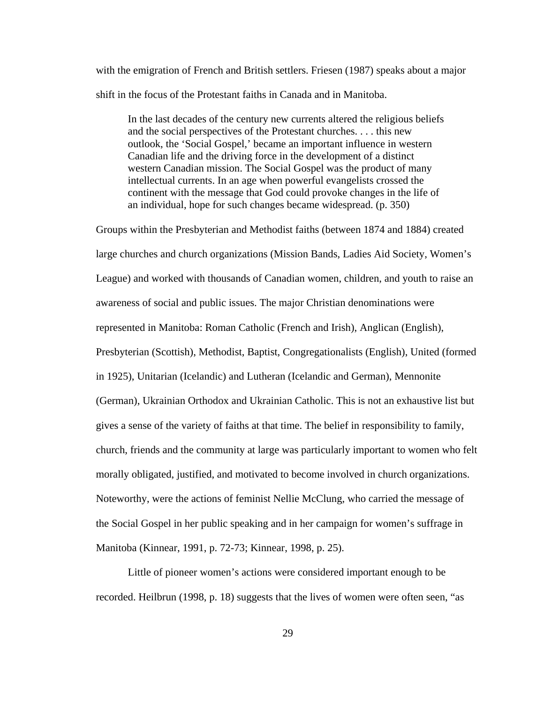with the emigration of French and British settlers. Friesen (1987) speaks about a major shift in the focus of the Protestant faiths in Canada and in Manitoba.

In the last decades of the century new currents altered the religious beliefs and the social perspectives of the Protestant churches. . . . this new outlook, the 'Social Gospel,' became an important influence in western Canadian life and the driving force in the development of a distinct western Canadian mission. The Social Gospel was the product of many intellectual currents. In an age when powerful evangelists crossed the continent with the message that God could provoke changes in the life of an individual, hope for such changes became widespread. (p. 350)

Groups within the Presbyterian and Methodist faiths (between 1874 and 1884) created large churches and church organizations (Mission Bands, Ladies Aid Society, Women's League) and worked with thousands of Canadian women, children, and youth to raise an awareness of social and public issues. The major Christian denominations were represented in Manitoba: Roman Catholic (French and Irish), Anglican (English), Presbyterian (Scottish), Methodist, Baptist, Congregationalists (English), United (formed in 1925), Unitarian (Icelandic) and Lutheran (Icelandic and German), Mennonite (German), Ukrainian Orthodox and Ukrainian Catholic. This is not an exhaustive list but gives a sense of the variety of faiths at that time. The belief in responsibility to family, church, friends and the community at large was particularly important to women who felt morally obligated, justified, and motivated to become involved in church organizations. Noteworthy, were the actions of feminist Nellie McClung, who carried the message of the Social Gospel in her public speaking and in her campaign for women's suffrage in Manitoba (Kinnear, 1991, p. 72-73; Kinnear, 1998, p. 25).

Little of pioneer women's actions were considered important enough to be recorded. Heilbrun (1998, p. 18) suggests that the lives of women were often seen, "as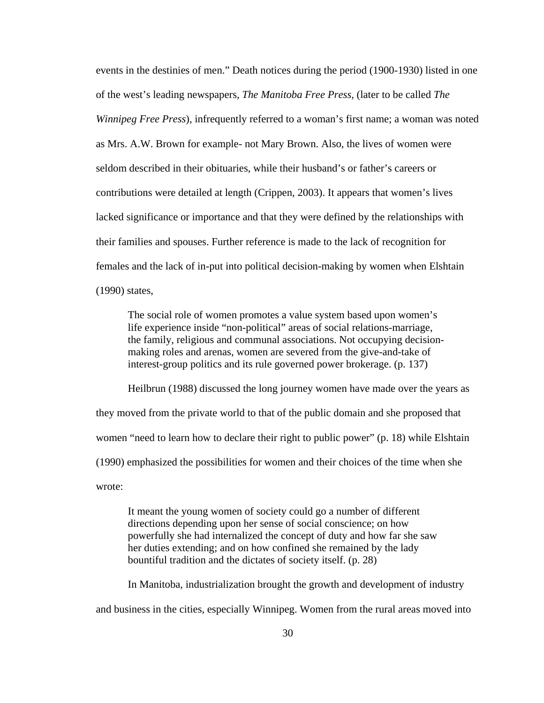events in the destinies of men." Death notices during the period (1900-1930) listed in one of the west's leading newspapers, *The Manitoba Free Press,* (later to be called *The Winnipeg Free Press*), infrequently referred to a woman's first name; a woman was noted as Mrs. A.W. Brown for example- not Mary Brown. Also, the lives of women were seldom described in their obituaries, while their husband's or father's careers or contributions were detailed at length (Crippen, 2003). It appears that women's lives lacked significance or importance and that they were defined by the relationships with their families and spouses. Further reference is made to the lack of recognition for females and the lack of in-put into political decision-making by women when Elshtain (1990) states,

The social role of women promotes a value system based upon women's life experience inside "non-political" areas of social relations-marriage, the family, religious and communal associations. Not occupying decisionmaking roles and arenas, women are severed from the give-and-take of interest-group politics and its rule governed power brokerage. (p. 137)

Heilbrun (1988) discussed the long journey women have made over the years as they moved from the private world to that of the public domain and she proposed that women "need to learn how to declare their right to public power" (p. 18) while Elshtain (1990) emphasized the possibilities for women and their choices of the time when she wrote:

It meant the young women of society could go a number of different directions depending upon her sense of social conscience; on how powerfully she had internalized the concept of duty and how far she saw her duties extending; and on how confined she remained by the lady bountiful tradition and the dictates of society itself. (p. 28)

In Manitoba, industrialization brought the growth and development of industry and business in the cities, especially Winnipeg. Women from the rural areas moved into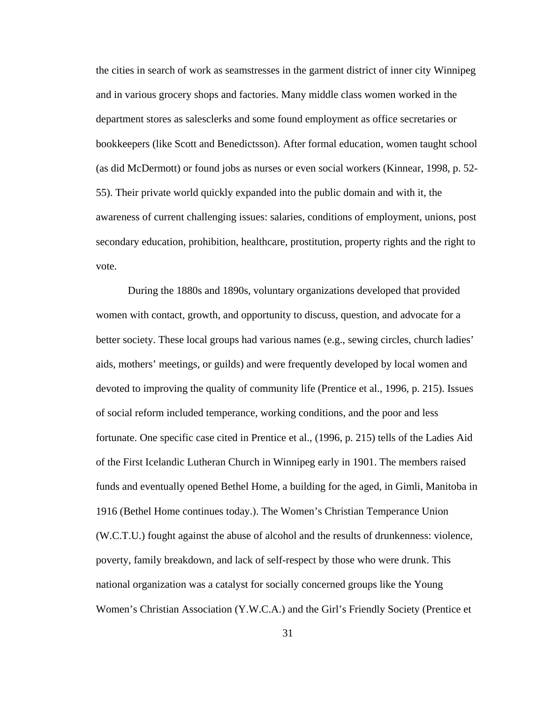the cities in search of work as seamstresses in the garment district of inner city Winnipeg and in various grocery shops and factories. Many middle class women worked in the department stores as salesclerks and some found employment as office secretaries or bookkeepers (like Scott and Benedictsson). After formal education, women taught school (as did McDermott) or found jobs as nurses or even social workers (Kinnear, 1998, p. 52- 55). Their private world quickly expanded into the public domain and with it, the awareness of current challenging issues: salaries, conditions of employment, unions, post secondary education, prohibition, healthcare, prostitution, property rights and the right to vote.

During the 1880s and 1890s, voluntary organizations developed that provided women with contact, growth, and opportunity to discuss, question, and advocate for a better society. These local groups had various names (e.g., sewing circles, church ladies' aids, mothers' meetings, or guilds) and were frequently developed by local women and devoted to improving the quality of community life (Prentice et al., 1996, p. 215). Issues of social reform included temperance, working conditions, and the poor and less fortunate. One specific case cited in Prentice et al., (1996, p. 215) tells of the Ladies Aid of the First Icelandic Lutheran Church in Winnipeg early in 1901. The members raised funds and eventually opened Bethel Home, a building for the aged, in Gimli, Manitoba in 1916 (Bethel Home continues today.). The Women's Christian Temperance Union (W.C.T.U.) fought against the abuse of alcohol and the results of drunkenness: violence, poverty, family breakdown, and lack of self-respect by those who were drunk. This national organization was a catalyst for socially concerned groups like the Young Women's Christian Association (Y.W.C.A.) and the Girl's Friendly Society (Prentice et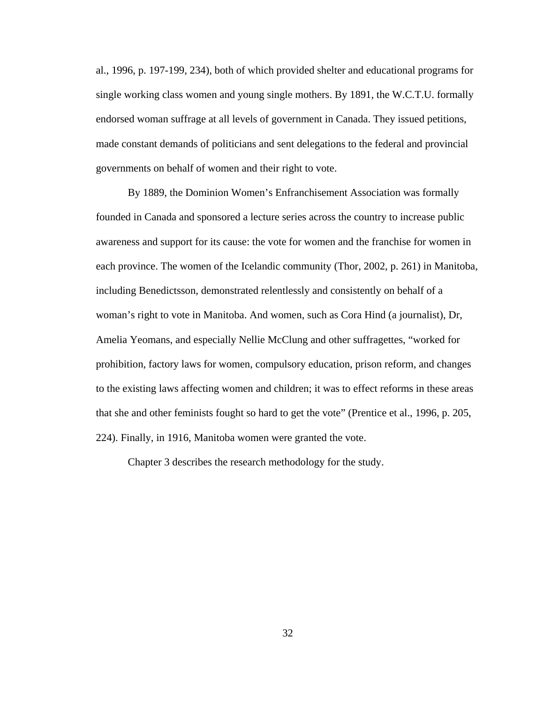al., 1996, p. 197-199, 234), both of which provided shelter and educational programs for single working class women and young single mothers. By 1891, the W.C.T.U. formally endorsed woman suffrage at all levels of government in Canada. They issued petitions, made constant demands of politicians and sent delegations to the federal and provincial governments on behalf of women and their right to vote.

By 1889, the Dominion Women's Enfranchisement Association was formally founded in Canada and sponsored a lecture series across the country to increase public awareness and support for its cause: the vote for women and the franchise for women in each province. The women of the Icelandic community (Thor, 2002, p. 261) in Manitoba, including Benedictsson, demonstrated relentlessly and consistently on behalf of a woman's right to vote in Manitoba. And women, such as Cora Hind (a journalist), Dr, Amelia Yeomans, and especially Nellie McClung and other suffragettes, "worked for prohibition, factory laws for women, compulsory education, prison reform, and changes to the existing laws affecting women and children; it was to effect reforms in these areas that she and other feminists fought so hard to get the vote" (Prentice et al., 1996, p. 205, 224). Finally, in 1916, Manitoba women were granted the vote.

Chapter 3 describes the research methodology for the study.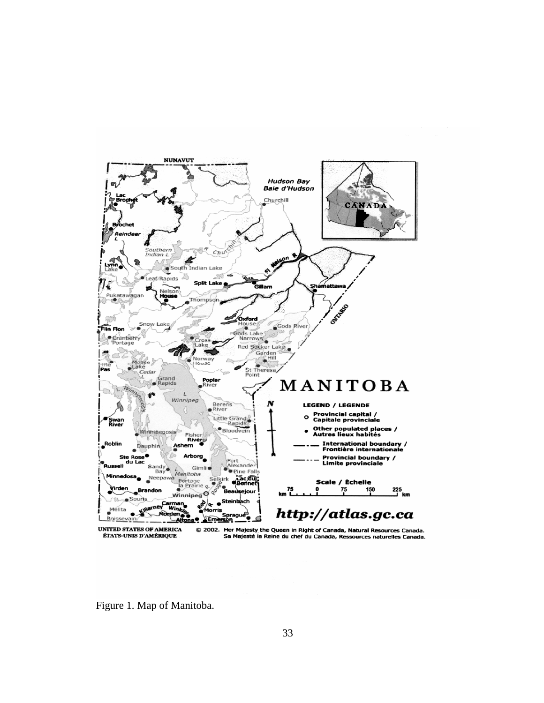

Figure 1. Map of Manitoba.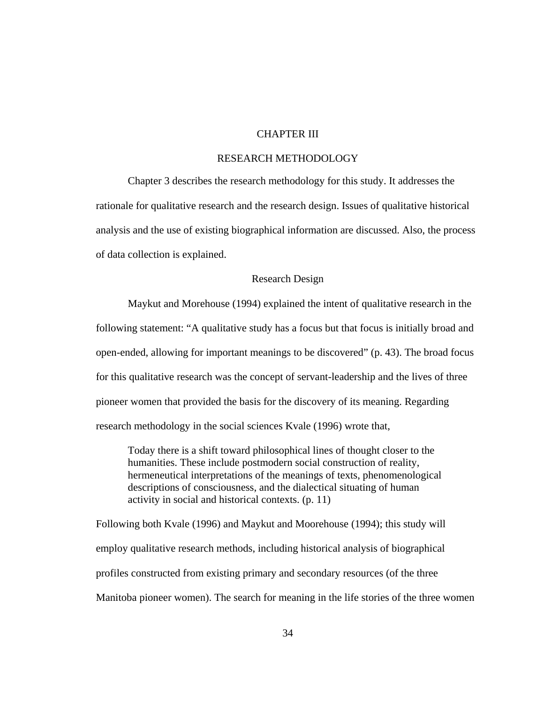# CHAPTER III

# RESEARCH METHODOLOGY

Chapter 3 describes the research methodology for this study. It addresses the rationale for qualitative research and the research design. Issues of qualitative historical analysis and the use of existing biographical information are discussed. Also, the process of data collection is explained.

### Research Design

Maykut and Morehouse (1994) explained the intent of qualitative research in the following statement: "A qualitative study has a focus but that focus is initially broad and open-ended, allowing for important meanings to be discovered" (p. 43). The broad focus for this qualitative research was the concept of servant-leadership and the lives of three pioneer women that provided the basis for the discovery of its meaning. Regarding research methodology in the social sciences Kvale (1996) wrote that,

Today there is a shift toward philosophical lines of thought closer to the humanities. These include postmodern social construction of reality, hermeneutical interpretations of the meanings of texts, phenomenological descriptions of consciousness, and the dialectical situating of human activity in social and historical contexts. (p. 11)

Following both Kvale (1996) and Maykut and Moorehouse (1994); this study will employ qualitative research methods, including historical analysis of biographical profiles constructed from existing primary and secondary resources (of the three Manitoba pioneer women). The search for meaning in the life stories of the three women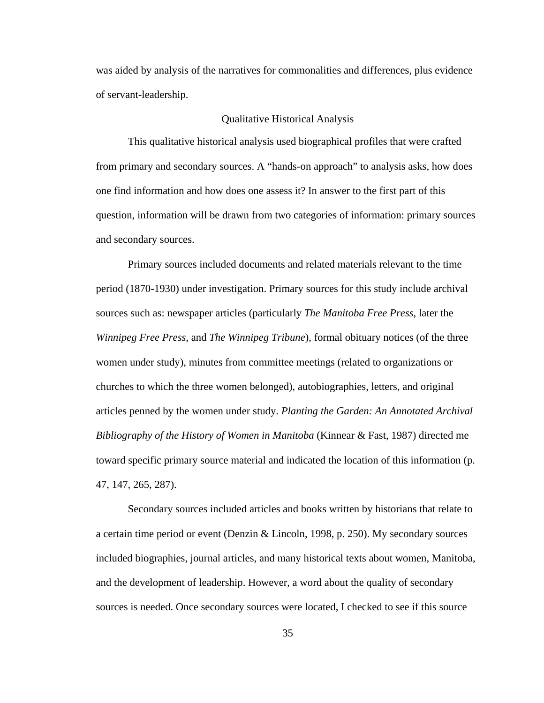was aided by analysis of the narratives for commonalities and differences, plus evidence of servant-leadership.

### Qualitative Historical Analysis

This qualitative historical analysis used biographical profiles that were crafted from primary and secondary sources. A "hands-on approach" to analysis asks, how does one find information and how does one assess it? In answer to the first part of this question, information will be drawn from two categories of information: primary sources and secondary sources.

Primary sources included documents and related materials relevant to the time period (1870-1930) under investigation. Primary sources for this study include archival sources such as: newspaper articles (particularly *The Manitoba Free Press*, later the *Winnipeg Free Press*, and *The Winnipeg Tribune*), formal obituary notices (of the three women under study), minutes from committee meetings (related to organizations or churches to which the three women belonged), autobiographies, letters, and original articles penned by the women under study. *Planting the Garden: An Annotated Archival Bibliography of the History of Women in Manitoba* (Kinnear & Fast, 1987) directed me toward specific primary source material and indicated the location of this information (p. 47, 147, 265, 287).

Secondary sources included articles and books written by historians that relate to a certain time period or event (Denzin & Lincoln, 1998, p. 250). My secondary sources included biographies, journal articles, and many historical texts about women, Manitoba, and the development of leadership. However, a word about the quality of secondary sources is needed. Once secondary sources were located, I checked to see if this source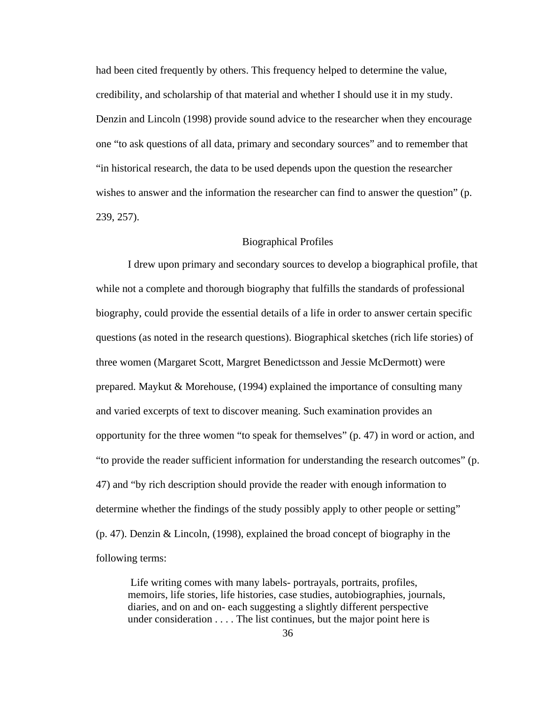had been cited frequently by others. This frequency helped to determine the value, credibility, and scholarship of that material and whether I should use it in my study. Denzin and Lincoln (1998) provide sound advice to the researcher when they encourage one "to ask questions of all data, primary and secondary sources" and to remember that "in historical research, the data to be used depends upon the question the researcher wishes to answer and the information the researcher can find to answer the question" (p. 239, 257).

# Biographical Profiles

 I drew upon primary and secondary sources to develop a biographical profile, that while not a complete and thorough biography that fulfills the standards of professional biography, could provide the essential details of a life in order to answer certain specific questions (as noted in the research questions). Biographical sketches (rich life stories) of three women (Margaret Scott, Margret Benedictsson and Jessie McDermott) were prepared. Maykut & Morehouse, (1994) explained the importance of consulting many and varied excerpts of text to discover meaning. Such examination provides an opportunity for the three women "to speak for themselves" (p. 47) in word or action, and "to provide the reader sufficient information for understanding the research outcomes" (p. 47) and "by rich description should provide the reader with enough information to determine whether the findings of the study possibly apply to other people or setting" (p. 47). Denzin & Lincoln, (1998), explained the broad concept of biography in the following terms:

 Life writing comes with many labels- portrayals, portraits, profiles, memoirs, life stories, life histories, case studies, autobiographies, journals, diaries, and on and on- each suggesting a slightly different perspective under consideration . . . . The list continues, but the major point here is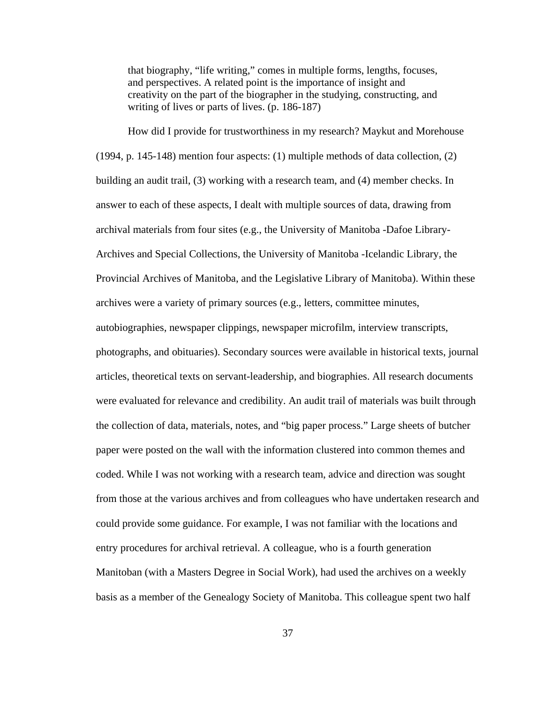that biography, "life writing," comes in multiple forms, lengths, focuses, and perspectives. A related point is the importance of insight and creativity on the part of the biographer in the studying, constructing, and writing of lives or parts of lives. (p. 186-187)

How did I provide for trustworthiness in my research? Maykut and Morehouse (1994, p. 145-148) mention four aspects: (1) multiple methods of data collection, (2) building an audit trail, (3) working with a research team, and (4) member checks. In answer to each of these aspects, I dealt with multiple sources of data, drawing from archival materials from four sites (e.g., the University of Manitoba -Dafoe Library-Archives and Special Collections, the University of Manitoba -Icelandic Library, the Provincial Archives of Manitoba, and the Legislative Library of Manitoba). Within these archives were a variety of primary sources (e.g., letters, committee minutes, autobiographies, newspaper clippings, newspaper microfilm, interview transcripts, photographs, and obituaries). Secondary sources were available in historical texts, journal articles, theoretical texts on servant-leadership, and biographies. All research documents were evaluated for relevance and credibility. An audit trail of materials was built through the collection of data, materials, notes, and "big paper process." Large sheets of butcher paper were posted on the wall with the information clustered into common themes and coded. While I was not working with a research team, advice and direction was sought from those at the various archives and from colleagues who have undertaken research and could provide some guidance. For example, I was not familiar with the locations and entry procedures for archival retrieval. A colleague, who is a fourth generation Manitoban (with a Masters Degree in Social Work), had used the archives on a weekly basis as a member of the Genealogy Society of Manitoba. This colleague spent two half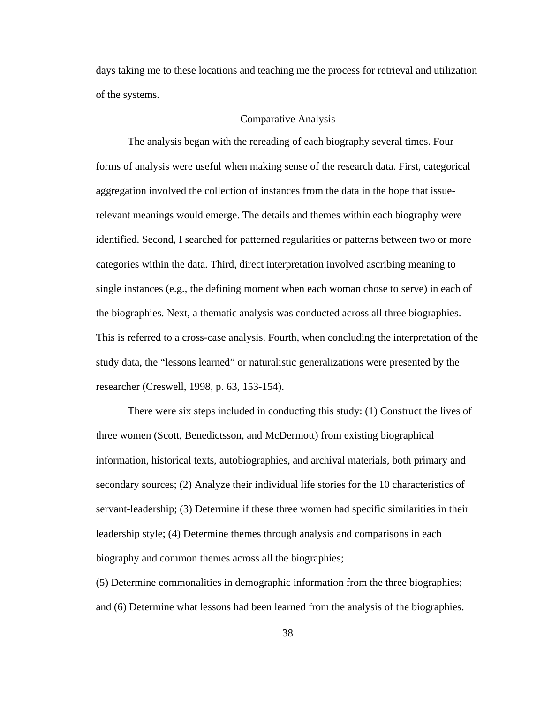days taking me to these locations and teaching me the process for retrieval and utilization of the systems.

### Comparative Analysis

The analysis began with the rereading of each biography several times. Four forms of analysis were useful when making sense of the research data. First, categorical aggregation involved the collection of instances from the data in the hope that issuerelevant meanings would emerge. The details and themes within each biography were identified. Second, I searched for patterned regularities or patterns between two or more categories within the data. Third, direct interpretation involved ascribing meaning to single instances (e.g., the defining moment when each woman chose to serve) in each of the biographies. Next, a thematic analysis was conducted across all three biographies. This is referred to a cross-case analysis. Fourth, when concluding the interpretation of the study data, the "lessons learned" or naturalistic generalizations were presented by the researcher (Creswell, 1998, p. 63, 153-154).

There were six steps included in conducting this study: (1) Construct the lives of three women (Scott, Benedictsson, and McDermott) from existing biographical information, historical texts, autobiographies, and archival materials, both primary and secondary sources; (2) Analyze their individual life stories for the 10 characteristics of servant-leadership; (3) Determine if these three women had specific similarities in their leadership style; (4) Determine themes through analysis and comparisons in each biography and common themes across all the biographies;

(5) Determine commonalities in demographic information from the three biographies; and (6) Determine what lessons had been learned from the analysis of the biographies.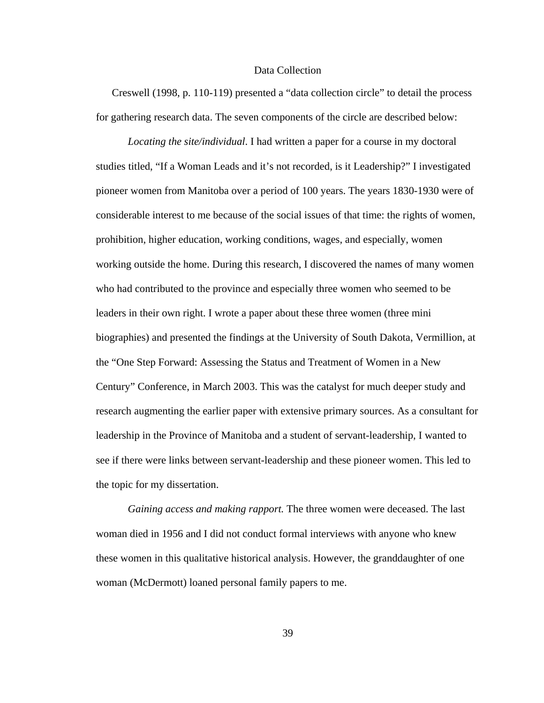### Data Collection

Creswell (1998, p. 110-119) presented a "data collection circle" to detail the process for gathering research data. The seven components of the circle are described below:

*Locating the site/individual*. I had written a paper for a course in my doctoral studies titled, "If a Woman Leads and it's not recorded, is it Leadership?" I investigated pioneer women from Manitoba over a period of 100 years. The years 1830-1930 were of considerable interest to me because of the social issues of that time: the rights of women, prohibition, higher education, working conditions, wages, and especially, women working outside the home. During this research, I discovered the names of many women who had contributed to the province and especially three women who seemed to be leaders in their own right. I wrote a paper about these three women (three mini biographies) and presented the findings at the University of South Dakota, Vermillion, at the "One Step Forward: Assessing the Status and Treatment of Women in a New Century" Conference, in March 2003. This was the catalyst for much deeper study and research augmenting the earlier paper with extensive primary sources. As a consultant for leadership in the Province of Manitoba and a student of servant-leadership, I wanted to see if there were links between servant-leadership and these pioneer women. This led to the topic for my dissertation.

*Gaining access and making rapport.* The three women were deceased. The last woman died in 1956 and I did not conduct formal interviews with anyone who knew these women in this qualitative historical analysis. However, the granddaughter of one woman (McDermott) loaned personal family papers to me.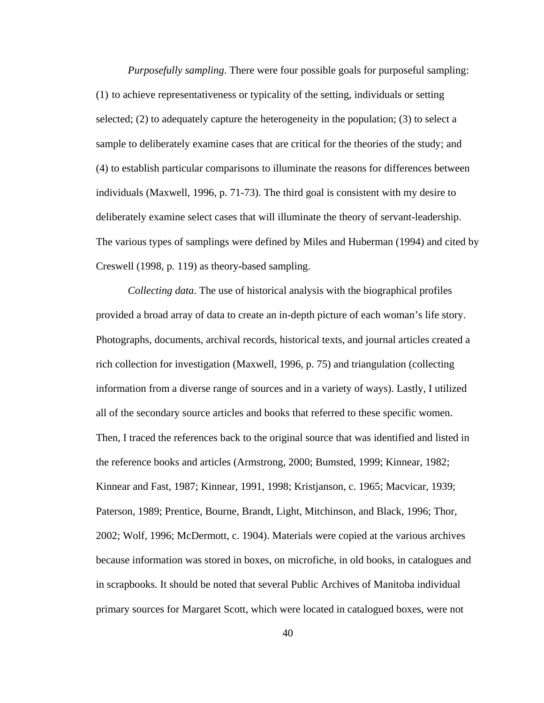*Purposefully sampling*. There were four possible goals for purposeful sampling: (1) to achieve representativeness or typicality of the setting, individuals or setting selected; (2) to adequately capture the heterogeneity in the population; (3) to select a sample to deliberately examine cases that are critical for the theories of the study; and (4) to establish particular comparisons to illuminate the reasons for differences between individuals (Maxwell, 1996, p. 71-73). The third goal is consistent with my desire to deliberately examine select cases that will illuminate the theory of servant-leadership. The various types of samplings were defined by Miles and Huberman (1994) and cited by Creswell (1998, p. 119) as theory**-**based sampling.

*Collecting data*. The use of historical analysis with the biographical profiles provided a broad array of data to create an in-depth picture of each woman's life story. Photographs, documents, archival records, historical texts, and journal articles created a rich collection for investigation (Maxwell, 1996, p. 75) and triangulation (collecting information from a diverse range of sources and in a variety of ways). Lastly, I utilized all of the secondary source articles and books that referred to these specific women. Then, I traced the references back to the original source that was identified and listed in the reference books and articles (Armstrong, 2000; Bumsted, 1999; Kinnear, 1982; Kinnear and Fast, 1987; Kinnear, 1991, 1998; Kristjanson, c. 1965; Macvicar, 1939; Paterson, 1989; Prentice, Bourne, Brandt, Light, Mitchinson, and Black, 1996; Thor, 2002; Wolf, 1996; McDermott, c. 1904). Materials were copied at the various archives because information was stored in boxes, on microfiche, in old books, in catalogues and in scrapbooks. It should be noted that several Public Archives of Manitoba individual primary sources for Margaret Scott, which were located in catalogued boxes, were not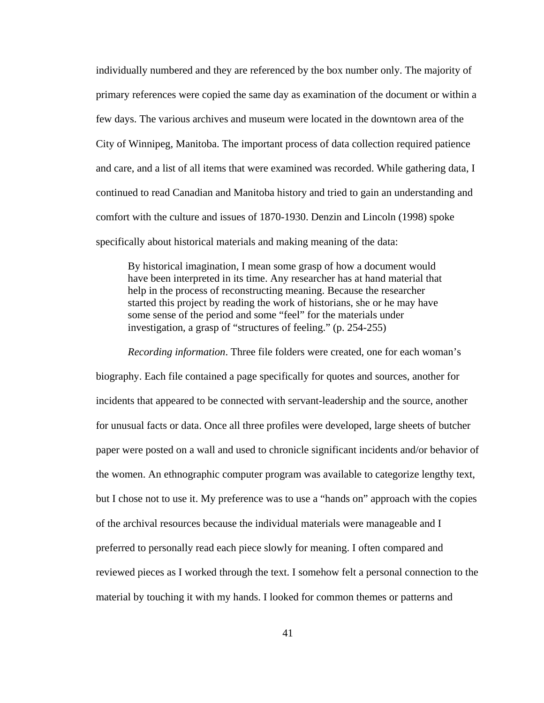individually numbered and they are referenced by the box number only. The majority of primary references were copied the same day as examination of the document or within a few days. The various archives and museum were located in the downtown area of the City of Winnipeg, Manitoba. The important process of data collection required patience and care, and a list of all items that were examined was recorded. While gathering data, I continued to read Canadian and Manitoba history and tried to gain an understanding and comfort with the culture and issues of 1870-1930. Denzin and Lincoln (1998) spoke specifically about historical materials and making meaning of the data:

By historical imagination, I mean some grasp of how a document would have been interpreted in its time. Any researcher has at hand material that help in the process of reconstructing meaning. Because the researcher started this project by reading the work of historians, she or he may have some sense of the period and some "feel" for the materials under investigation, a grasp of "structures of feeling." (p. 254-255)

*Recording information*. Three file folders were created, one for each woman's biography. Each file contained a page specifically for quotes and sources, another for incidents that appeared to be connected with servant-leadership and the source, another for unusual facts or data. Once all three profiles were developed, large sheets of butcher paper were posted on a wall and used to chronicle significant incidents and/or behavior of the women. An ethnographic computer program was available to categorize lengthy text, but I chose not to use it. My preference was to use a "hands on" approach with the copies of the archival resources because the individual materials were manageable and I preferred to personally read each piece slowly for meaning. I often compared and reviewed pieces as I worked through the text. I somehow felt a personal connection to the material by touching it with my hands. I looked for common themes or patterns and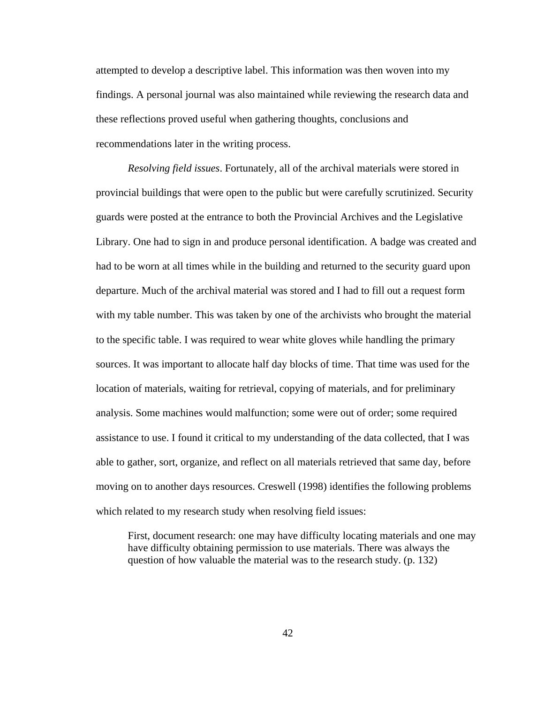attempted to develop a descriptive label. This information was then woven into my findings. A personal journal was also maintained while reviewing the research data and these reflections proved useful when gathering thoughts, conclusions and recommendations later in the writing process.

*Resolving field issues*. Fortunately, all of the archival materials were stored in provincial buildings that were open to the public but were carefully scrutinized. Security guards were posted at the entrance to both the Provincial Archives and the Legislative Library. One had to sign in and produce personal identification. A badge was created and had to be worn at all times while in the building and returned to the security guard upon departure. Much of the archival material was stored and I had to fill out a request form with my table number. This was taken by one of the archivists who brought the material to the specific table. I was required to wear white gloves while handling the primary sources. It was important to allocate half day blocks of time. That time was used for the location of materials, waiting for retrieval, copying of materials, and for preliminary analysis. Some machines would malfunction; some were out of order; some required assistance to use. I found it critical to my understanding of the data collected, that I was able to gather, sort, organize, and reflect on all materials retrieved that same day, before moving on to another days resources. Creswell (1998) identifies the following problems which related to my research study when resolving field issues:

First, document research: one may have difficulty locating materials and one may have difficulty obtaining permission to use materials. There was always the question of how valuable the material was to the research study. (p. 132)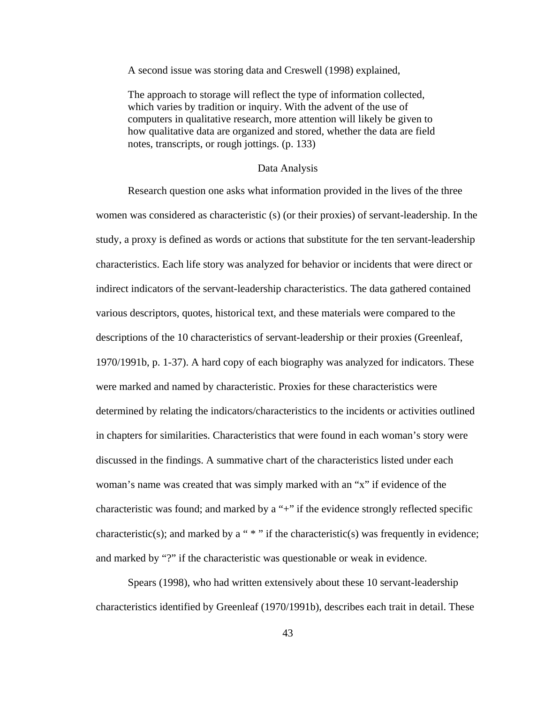A second issue was storing data and Creswell (1998) explained,

The approach to storage will reflect the type of information collected, which varies by tradition or inquiry. With the advent of the use of computers in qualitative research, more attention will likely be given to how qualitative data are organized and stored, whether the data are field notes, transcripts, or rough jottings. (p. 133)

### Data Analysis

Research question one asks what information provided in the lives of the three women was considered as characteristic (s) (or their proxies) of servant-leadership. In the study, a proxy is defined as words or actions that substitute for the ten servant-leadership characteristics. Each life story was analyzed for behavior or incidents that were direct or indirect indicators of the servant-leadership characteristics. The data gathered contained various descriptors, quotes, historical text, and these materials were compared to the descriptions of the 10 characteristics of servant-leadership or their proxies (Greenleaf, 1970/1991b, p. 1-37). A hard copy of each biography was analyzed for indicators. These were marked and named by characteristic. Proxies for these characteristics were determined by relating the indicators/characteristics to the incidents or activities outlined in chapters for similarities. Characteristics that were found in each woman's story were discussed in the findings. A summative chart of the characteristics listed under each woman's name was created that was simply marked with an "x" if evidence of the characteristic was found; and marked by a "+" if the evidence strongly reflected specific characteristic(s); and marked by a " $*$ " if the characteristic(s) was frequently in evidence; and marked by "?" if the characteristic was questionable or weak in evidence.

Spears (1998), who had written extensively about these 10 servant-leadership characteristics identified by Greenleaf (1970/1991b), describes each trait in detail. These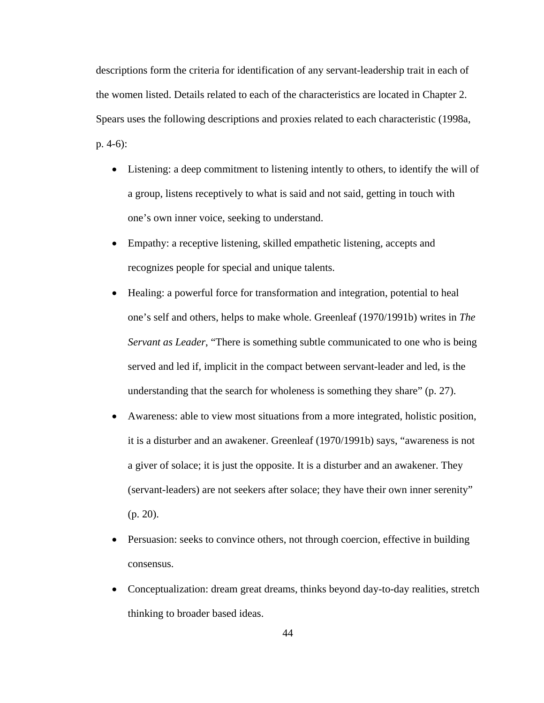descriptions form the criteria for identification of any servant-leadership trait in each of the women listed. Details related to each of the characteristics are located in Chapter 2. Spears uses the following descriptions and proxies related to each characteristic (1998a, p. 4-6):

- Listening: a deep commitment to listening intently to others, to identify the will of a group, listens receptively to what is said and not said, getting in touch with one's own inner voice, seeking to understand.
- Empathy: a receptive listening, skilled empathetic listening, accepts and recognizes people for special and unique talents.
- Healing: a powerful force for transformation and integration, potential to heal one's self and others, helps to make whole. Greenleaf (1970/1991b) writes in *The Servant as Leader*, "There is something subtle communicated to one who is being served and led if, implicit in the compact between servant-leader and led, is the understanding that the search for wholeness is something they share" (p. 27).
- Awareness: able to view most situations from a more integrated, holistic position, it is a disturber and an awakener. Greenleaf (1970/1991b) says, "awareness is not a giver of solace; it is just the opposite. It is a disturber and an awakener. They (servant-leaders) are not seekers after solace; they have their own inner serenity" (p. 20).
- Persuasion: seeks to convince others, not through coercion, effective in building consensus.
- Conceptualization: dream great dreams, thinks beyond day-to-day realities, stretch thinking to broader based ideas.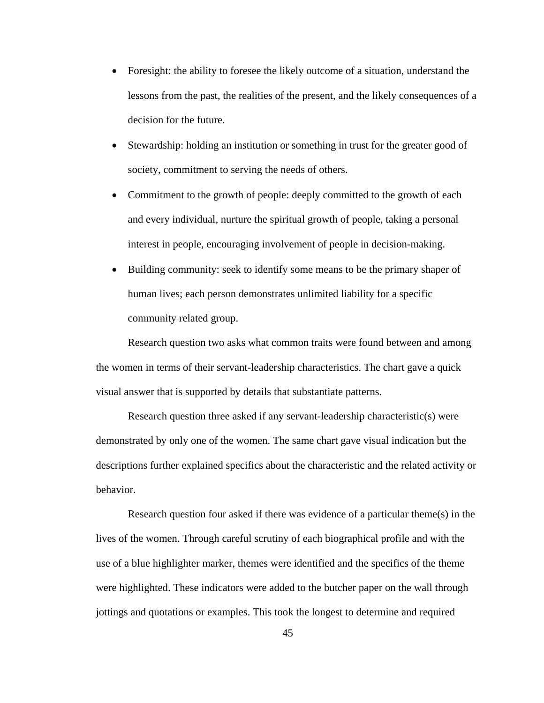- Foresight: the ability to foresee the likely outcome of a situation, understand the lessons from the past, the realities of the present, and the likely consequences of a decision for the future.
- Stewardship: holding an institution or something in trust for the greater good of society, commitment to serving the needs of others.
- Commitment to the growth of people: deeply committed to the growth of each and every individual, nurture the spiritual growth of people, taking a personal interest in people, encouraging involvement of people in decision-making.
- Building community: seek to identify some means to be the primary shaper of human lives; each person demonstrates unlimited liability for a specific community related group.

 Research question two asks what common traits were found between and among the women in terms of their servant-leadership characteristics. The chart gave a quick visual answer that is supported by details that substantiate patterns.

 Research question three asked if any servant-leadership characteristic(s) were demonstrated by only one of the women. The same chart gave visual indication but the descriptions further explained specifics about the characteristic and the related activity or behavior.

 Research question four asked if there was evidence of a particular theme(s) in the lives of the women. Through careful scrutiny of each biographical profile and with the use of a blue highlighter marker, themes were identified and the specifics of the theme were highlighted. These indicators were added to the butcher paper on the wall through jottings and quotations or examples. This took the longest to determine and required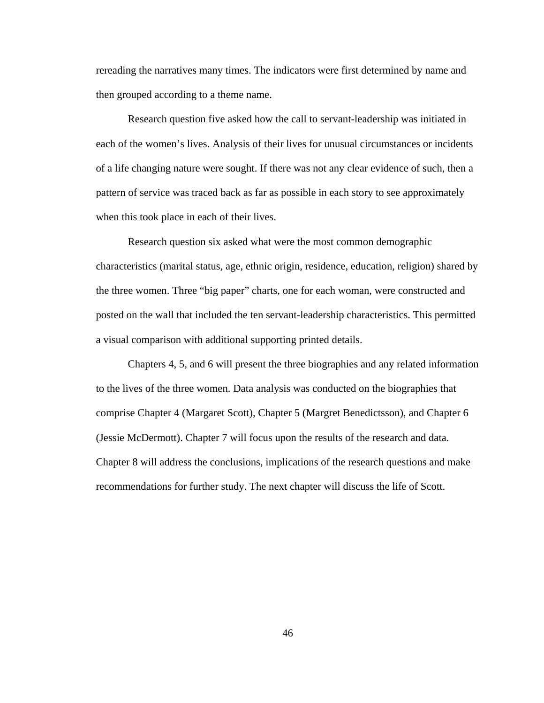rereading the narratives many times. The indicators were first determined by name and then grouped according to a theme name.

 Research question five asked how the call to servant-leadership was initiated in each of the women's lives. Analysis of their lives for unusual circumstances or incidents of a life changing nature were sought. If there was not any clear evidence of such, then a pattern of service was traced back as far as possible in each story to see approximately when this took place in each of their lives.

 Research question six asked what were the most common demographic characteristics (marital status, age, ethnic origin, residence, education, religion) shared by the three women. Three "big paper" charts, one for each woman, were constructed and posted on the wall that included the ten servant-leadership characteristics. This permitted a visual comparison with additional supporting printed details.

 Chapters 4, 5, and 6 will present the three biographies and any related information to the lives of the three women. Data analysis was conducted on the biographies that comprise Chapter 4 (Margaret Scott), Chapter 5 (Margret Benedictsson), and Chapter 6 (Jessie McDermott). Chapter 7 will focus upon the results of the research and data. Chapter 8 will address the conclusions, implications of the research questions and make recommendations for further study. The next chapter will discuss the life of Scott.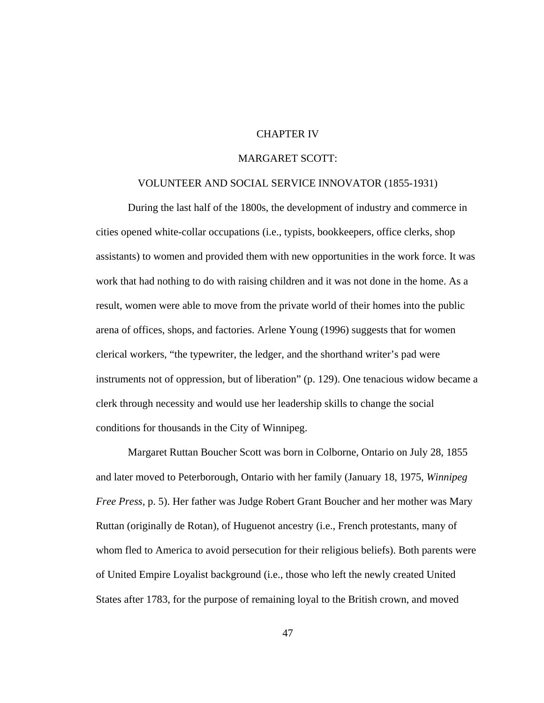## CHAPTER IV

### MARGARET SCOTT:

#### VOLUNTEER AND SOCIAL SERVICE INNOVATOR (1855-1931)

During the last half of the 1800s, the development of industry and commerce in cities opened white-collar occupations (i.e., typists, bookkeepers, office clerks, shop assistants) to women and provided them with new opportunities in the work force. It was work that had nothing to do with raising children and it was not done in the home. As a result, women were able to move from the private world of their homes into the public arena of offices, shops, and factories. Arlene Young (1996) suggests that for women clerical workers, "the typewriter, the ledger, and the shorthand writer's pad were instruments not of oppression, but of liberation" (p. 129). One tenacious widow became a clerk through necessity and would use her leadership skills to change the social conditions for thousands in the City of Winnipeg.

Margaret Ruttan Boucher Scott was born in Colborne, Ontario on July 28, 1855 and later moved to Peterborough, Ontario with her family (January 18, 1975, *Winnipeg Free Press,* p. 5). Her father was Judge Robert Grant Boucher and her mother was Mary Ruttan (originally de Rotan), of Huguenot ancestry (i.e., French protestants, many of whom fled to America to avoid persecution for their religious beliefs). Both parents were of United Empire Loyalist background (i.e., those who left the newly created United States after 1783, for the purpose of remaining loyal to the British crown, and moved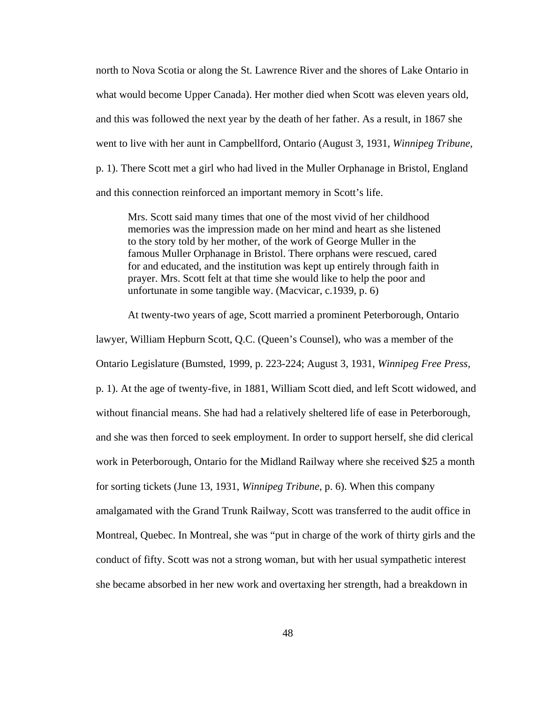north to Nova Scotia or along the St. Lawrence River and the shores of Lake Ontario in what would become Upper Canada). Her mother died when Scott was eleven years old, and this was followed the next year by the death of her father. As a result, in 1867 she went to live with her aunt in Campbellford, Ontario (August 3, 1931, *Winnipeg Tribune,*  p. 1). There Scott met a girl who had lived in the Muller Orphanage in Bristol, England and this connection reinforced an important memory in Scott's life.

Mrs. Scott said many times that one of the most vivid of her childhood memories was the impression made on her mind and heart as she listened to the story told by her mother, of the work of George Muller in the famous Muller Orphanage in Bristol. There orphans were rescued, cared for and educated, and the institution was kept up entirely through faith in prayer. Mrs. Scott felt at that time she would like to help the poor and unfortunate in some tangible way. (Macvicar, c.1939, p. 6)

At twenty-two years of age, Scott married a prominent Peterborough, Ontario

lawyer, William Hepburn Scott, Q.C. (Queen's Counsel), who was a member of the Ontario Legislature (Bumsted, 1999, p. 223-224; August 3, 1931, *Winnipeg Free Press,*  p. 1). At the age of twenty-five, in 1881, William Scott died, and left Scott widowed, and without financial means. She had had a relatively sheltered life of ease in Peterborough, and she was then forced to seek employment. In order to support herself, she did clerical work in Peterborough, Ontario for the Midland Railway where she received \$25 a month for sorting tickets (June 13, 1931, *Winnipeg Tribune*, p. 6). When this company amalgamated with the Grand Trunk Railway, Scott was transferred to the audit office in Montreal, Quebec. In Montreal, she was "put in charge of the work of thirty girls and the conduct of fifty. Scott was not a strong woman, but with her usual sympathetic interest she became absorbed in her new work and overtaxing her strength, had a breakdown in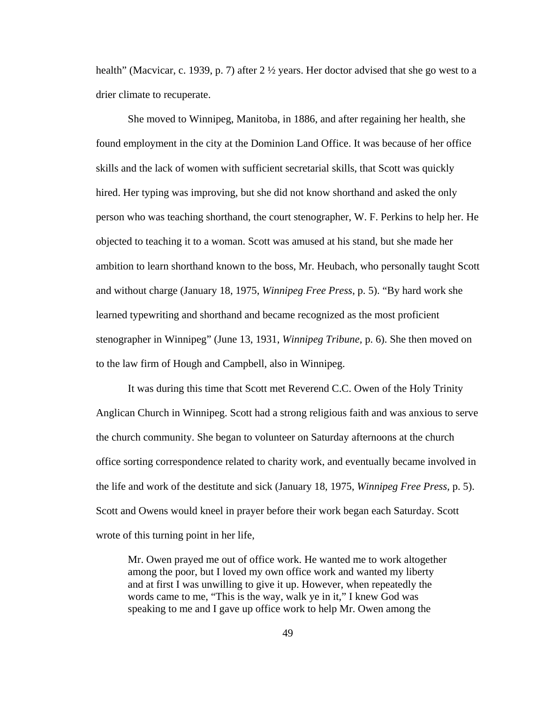health" (Macvicar, c. 1939, p. 7) after  $2 \frac{1}{2}$  years. Her doctor advised that she go west to a drier climate to recuperate.

She moved to Winnipeg, Manitoba, in 1886, and after regaining her health, she found employment in the city at the Dominion Land Office. It was because of her office skills and the lack of women with sufficient secretarial skills, that Scott was quickly hired. Her typing was improving, but she did not know shorthand and asked the only person who was teaching shorthand, the court stenographer, W. F. Perkins to help her. He objected to teaching it to a woman. Scott was amused at his stand, but she made her ambition to learn shorthand known to the boss, Mr. Heubach, who personally taught Scott and without charge (January 18, 1975, *Winnipeg Free Press*, p. 5). "By hard work she learned typewriting and shorthand and became recognized as the most proficient stenographer in Winnipeg" (June 13, 1931, *Winnipeg Tribune,* p. 6). She then moved on to the law firm of Hough and Campbell, also in Winnipeg.

It was during this time that Scott met Reverend C.C. Owen of the Holy Trinity Anglican Church in Winnipeg. Scott had a strong religious faith and was anxious to serve the church community. She began to volunteer on Saturday afternoons at the church office sorting correspondence related to charity work, and eventually became involved in the life and work of the destitute and sick (January 18, 1975, *Winnipeg Free Press,* p. 5). Scott and Owens would kneel in prayer before their work began each Saturday. Scott wrote of this turning point in her life,

Mr. Owen prayed me out of office work. He wanted me to work altogether among the poor, but I loved my own office work and wanted my liberty and at first I was unwilling to give it up. However, when repeatedly the words came to me, "This is the way, walk ye in it," I knew God was speaking to me and I gave up office work to help Mr. Owen among the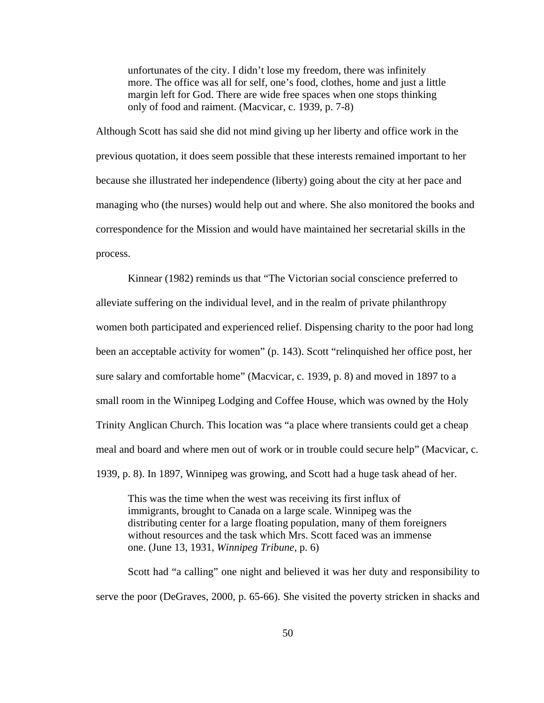unfortunates of the city. I didn't lose my freedom, there was infinitely more. The office was all for self, one's food, clothes, home and just a little margin left for God. There are wide free spaces when one stops thinking only of food and raiment. (Macvicar, c. 1939, p. 7-8)

Although Scott has said she did not mind giving up her liberty and office work in the previous quotation, it does seem possible that these interests remained important to her because she illustrated her independence (liberty) going about the city at her pace and managing who (the nurses) would help out and where. She also monitored the books and correspondence for the Mission and would have maintained her secretarial skills in the process.

Kinnear (1982) reminds us that "The Victorian social conscience preferred to alleviate suffering on the individual level, and in the realm of private philanthropy women both participated and experienced relief. Dispensing charity to the poor had long been an acceptable activity for women" (p. 143). Scott "relinquished her office post, her sure salary and comfortable home" (Macvicar, c. 1939, p. 8) and moved in 1897 to a small room in the Winnipeg Lodging and Coffee House, which was owned by the Holy Trinity Anglican Church. This location was "a place where transients could get a cheap meal and board and where men out of work or in trouble could secure help" (Macvicar, c. 1939, p. 8). In 1897, Winnipeg was growing, and Scott had a huge task ahead of her.

This was the time when the west was receiving its first influx of immigrants, brought to Canada on a large scale. Winnipeg was the distributing center for a large floating population, many of them foreigners without resources and the task which Mrs. Scott faced was an immense one. (June 13, 1931, *Winnipeg Tribune*, p. 6)

Scott had "a calling" one night and believed it was her duty and responsibility to serve the poor (DeGraves, 2000, p. 65-66). She visited the poverty stricken in shacks and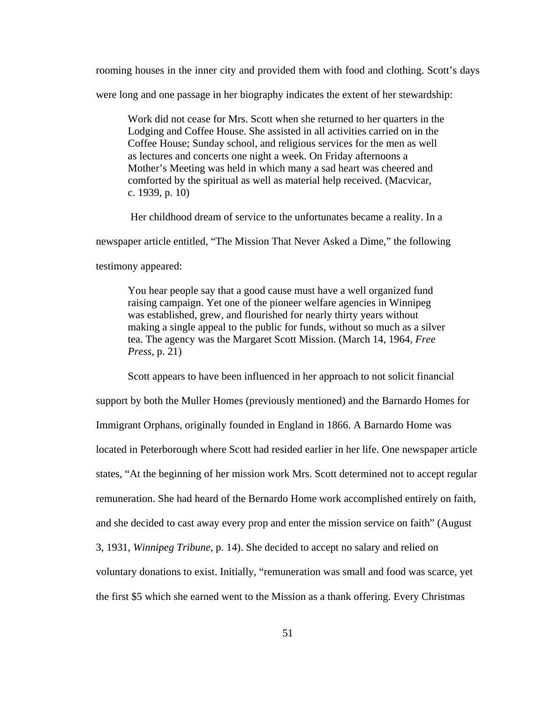rooming houses in the inner city and provided them with food and clothing. Scott's days

were long and one passage in her biography indicates the extent of her stewardship:

Work did not cease for Mrs. Scott when she returned to her quarters in the Lodging and Coffee House. She assisted in all activities carried on in the Coffee House; Sunday school, and religious services for the men as well as lectures and concerts one night a week. On Friday afternoons a Mother's Meeting was held in which many a sad heart was cheered and comforted by the spiritual as well as material help received. (Macvicar, c. 1939, p. 10)

Her childhood dream of service to the unfortunates became a reality. In a

newspaper article entitled, "The Mission That Never Asked a Dime," the following

testimony appeared:

You hear people say that a good cause must have a well organized fund raising campaign. Yet one of the pioneer welfare agencies in Winnipeg was established, grew, and flourished for nearly thirty years without making a single appeal to the public for funds, without so much as a silver tea. The agency was the Margaret Scott Mission. (March 14, 1964, *Free Press,* p. 21)

Scott appears to have been influenced in her approach to not solicit financial support by both the Muller Homes (previously mentioned) and the Barnardo Homes for Immigrant Orphans, originally founded in England in 1866. A Barnardo Home was located in Peterborough where Scott had resided earlier in her life. One newspaper article states, "At the beginning of her mission work Mrs. Scott determined not to accept regular remuneration. She had heard of the Bernardo Home work accomplished entirely on faith, and she decided to cast away every prop and enter the mission service on faith" (August 3, 1931, *Winnipeg Tribune*, p. 14). She decided to accept no salary and relied on voluntary donations to exist. Initially, "remuneration was small and food was scarce, yet the first \$5 which she earned went to the Mission as a thank offering. Every Christmas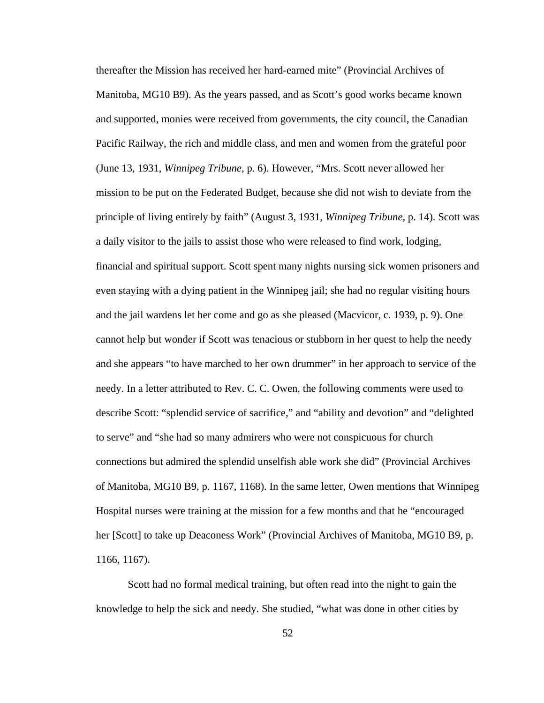thereafter the Mission has received her hard-earned mite" (Provincial Archives of Manitoba, MG10 B9). As the years passed, and as Scott's good works became known and supported, monies were received from governments, the city council, the Canadian Pacific Railway, the rich and middle class, and men and women from the grateful poor (June 13, 1931, *Winnipeg Tribune*, p*.* 6). However, "Mrs. Scott never allowed her mission to be put on the Federated Budget, because she did not wish to deviate from the principle of living entirely by faith" (August 3, 1931, *Winnipeg Tribune*, p. 14). Scott was a daily visitor to the jails to assist those who were released to find work, lodging, financial and spiritual support. Scott spent many nights nursing sick women prisoners and even staying with a dying patient in the Winnipeg jail; she had no regular visiting hours and the jail wardens let her come and go as she pleased (Macvicor, c. 1939, p. 9). One cannot help but wonder if Scott was tenacious or stubborn in her quest to help the needy and she appears "to have marched to her own drummer" in her approach to service of the needy. In a letter attributed to Rev. C. C. Owen, the following comments were used to describe Scott: "splendid service of sacrifice," and "ability and devotion" and "delighted to serve" and "she had so many admirers who were not conspicuous for church connections but admired the splendid unselfish able work she did" (Provincial Archives of Manitoba, MG10 B9, p. 1167, 1168). In the same letter, Owen mentions that Winnipeg Hospital nurses were training at the mission for a few months and that he "encouraged her [Scott] to take up Deaconess Work" (Provincial Archives of Manitoba, MG10 B9, p. 1166, 1167).

Scott had no formal medical training, but often read into the night to gain the knowledge to help the sick and needy. She studied, "what was done in other cities by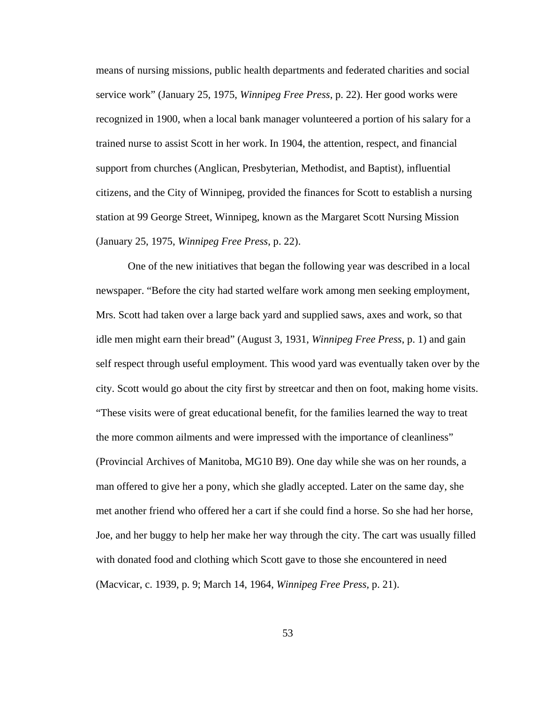means of nursing missions, public health departments and federated charities and social service work" (January 25, 1975, *Winnipeg Free Press*, p. 22). Her good works were recognized in 1900, when a local bank manager volunteered a portion of his salary for a trained nurse to assist Scott in her work. In 1904, the attention, respect, and financial support from churches (Anglican, Presbyterian, Methodist, and Baptist), influential citizens, and the City of Winnipeg, provided the finances for Scott to establish a nursing station at 99 George Street, Winnipeg, known as the Margaret Scott Nursing Mission (January 25, 1975, *Winnipeg Free Press*, p. 22).

One of the new initiatives that began the following year was described in a local newspaper. "Before the city had started welfare work among men seeking employment, Mrs. Scott had taken over a large back yard and supplied saws, axes and work, so that idle men might earn their bread" (August 3, 1931, *Winnipeg Free Press*, p. 1) and gain self respect through useful employment. This wood yard was eventually taken over by the city. Scott would go about the city first by streetcar and then on foot, making home visits. "These visits were of great educational benefit, for the families learned the way to treat the more common ailments and were impressed with the importance of cleanliness" (Provincial Archives of Manitoba, MG10 B9). One day while she was on her rounds, a man offered to give her a pony, which she gladly accepted. Later on the same day, she met another friend who offered her a cart if she could find a horse. So she had her horse, Joe, and her buggy to help her make her way through the city. The cart was usually filled with donated food and clothing which Scott gave to those she encountered in need (Macvicar, c. 1939, p. 9; March 14, 1964, *Winnipeg Free Press,* p. 21).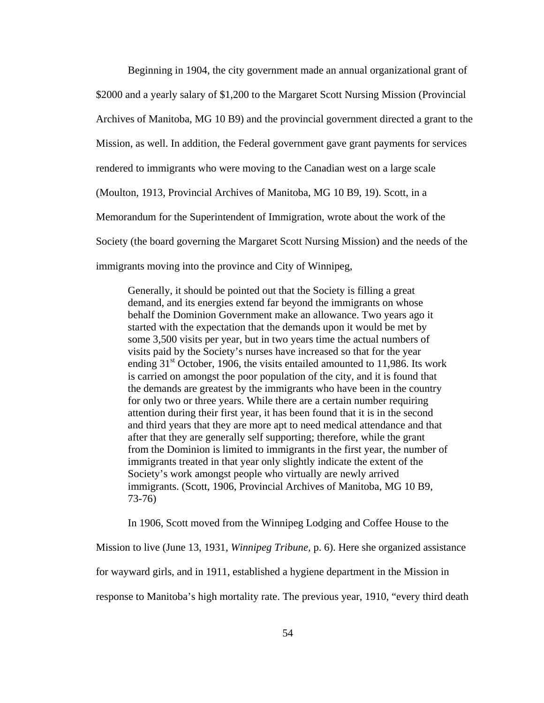Beginning in 1904, the city government made an annual organizational grant of \$2000 and a yearly salary of \$1,200 to the Margaret Scott Nursing Mission (Provincial Archives of Manitoba, MG 10 B9) and the provincial government directed a grant to the Mission, as well. In addition, the Federal government gave grant payments for services rendered to immigrants who were moving to the Canadian west on a large scale (Moulton, 1913, Provincial Archives of Manitoba, MG 10 B9, 19). Scott, in a Memorandum for the Superintendent of Immigration, wrote about the work of the Society (the board governing the Margaret Scott Nursing Mission) and the needs of the immigrants moving into the province and City of Winnipeg,

Generally, it should be pointed out that the Society is filling a great demand, and its energies extend far beyond the immigrants on whose behalf the Dominion Government make an allowance. Two years ago it started with the expectation that the demands upon it would be met by some 3,500 visits per year, but in two years time the actual numbers of visits paid by the Society's nurses have increased so that for the year ending  $31<sup>st</sup>$  October, 1906, the visits entailed amounted to 11,986. Its work is carried on amongst the poor population of the city, and it is found that the demands are greatest by the immigrants who have been in the country for only two or three years. While there are a certain number requiring attention during their first year, it has been found that it is in the second and third years that they are more apt to need medical attendance and that after that they are generally self supporting; therefore, while the grant from the Dominion is limited to immigrants in the first year, the number of immigrants treated in that year only slightly indicate the extent of the Society's work amongst people who virtually are newly arrived immigrants. (Scott, 1906, Provincial Archives of Manitoba, MG 10 B9, 73-76)

In 1906, Scott moved from the Winnipeg Lodging and Coffee House to the

Mission to live (June 13, 1931, *Winnipeg Tribune,* p. 6). Here she organized assistance

for wayward girls, and in 1911, established a hygiene department in the Mission in

response to Manitoba's high mortality rate. The previous year, 1910, "every third death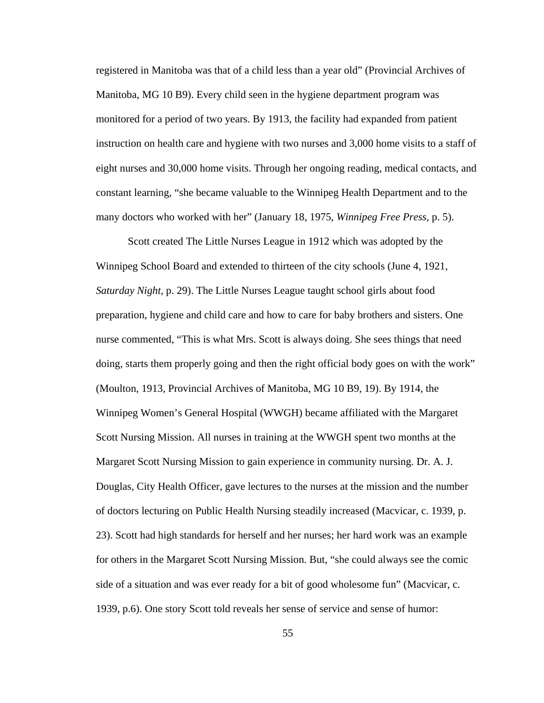registered in Manitoba was that of a child less than a year old" (Provincial Archives of Manitoba, MG 10 B9). Every child seen in the hygiene department program was monitored for a period of two years. By 1913, the facility had expanded from patient instruction on health care and hygiene with two nurses and 3,000 home visits to a staff of eight nurses and 30,000 home visits. Through her ongoing reading, medical contacts, and constant learning, "she became valuable to the Winnipeg Health Department and to the many doctors who worked with her" (January 18, 1975, *Winnipeg Free Press,* p. 5).

Scott created The Little Nurses League in 1912 which was adopted by the Winnipeg School Board and extended to thirteen of the city schools (June 4, 1921, *Saturday Night,* p. 29). The Little Nurses League taught school girls about food preparation, hygiene and child care and how to care for baby brothers and sisters. One nurse commented, "This is what Mrs. Scott is always doing. She sees things that need doing, starts them properly going and then the right official body goes on with the work" (Moulton, 1913, Provincial Archives of Manitoba, MG 10 B9, 19). By 1914, the Winnipeg Women's General Hospital (WWGH) became affiliated with the Margaret Scott Nursing Mission. All nurses in training at the WWGH spent two months at the Margaret Scott Nursing Mission to gain experience in community nursing. Dr. A. J. Douglas, City Health Officer, gave lectures to the nurses at the mission and the number of doctors lecturing on Public Health Nursing steadily increased (Macvicar, c. 1939, p. 23). Scott had high standards for herself and her nurses; her hard work was an example for others in the Margaret Scott Nursing Mission. But, "she could always see the comic side of a situation and was ever ready for a bit of good wholesome fun" (Macvicar, c. 1939, p.6). One story Scott told reveals her sense of service and sense of humor: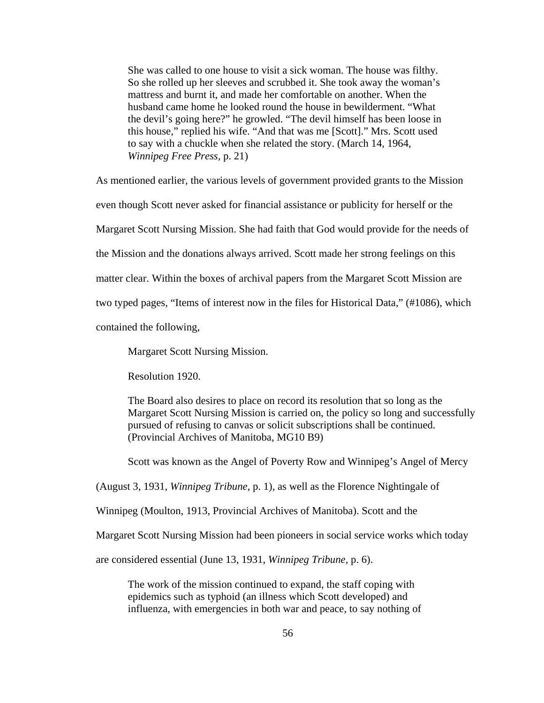She was called to one house to visit a sick woman. The house was filthy. So she rolled up her sleeves and scrubbed it. She took away the woman's mattress and burnt it, and made her comfortable on another. When the husband came home he looked round the house in bewilderment. "What the devil's going here?" he growled. "The devil himself has been loose in this house," replied his wife. "And that was me [Scott]." Mrs. Scott used to say with a chuckle when she related the story. (March 14, 1964, *Winnipeg Free Press,* p. 21)

As mentioned earlier, the various levels of government provided grants to the Mission even though Scott never asked for financial assistance or publicity for herself or the Margaret Scott Nursing Mission. She had faith that God would provide for the needs of

the Mission and the donations always arrived. Scott made her strong feelings on this

matter clear. Within the boxes of archival papers from the Margaret Scott Mission are

two typed pages, "Items of interest now in the files for Historical Data," (#1086), which

contained the following,

Margaret Scott Nursing Mission.

Resolution 1920.

The Board also desires to place on record its resolution that so long as the Margaret Scott Nursing Mission is carried on, the policy so long and successfully pursued of refusing to canvas or solicit subscriptions shall be continued. (Provincial Archives of Manitoba, MG10 B9)

Scott was known as the Angel of Poverty Row and Winnipeg's Angel of Mercy

(August 3, 1931, *Winnipeg Tribune*, p. 1), as well as the Florence Nightingale of

Winnipeg (Moulton, 1913, Provincial Archives of Manitoba). Scott and the

Margaret Scott Nursing Mission had been pioneers in social service works which today

are considered essential (June 13, 1931, *Winnipeg Tribune,* p. 6).

The work of the mission continued to expand, the staff coping with epidemics such as typhoid (an illness which Scott developed) and influenza, with emergencies in both war and peace, to say nothing of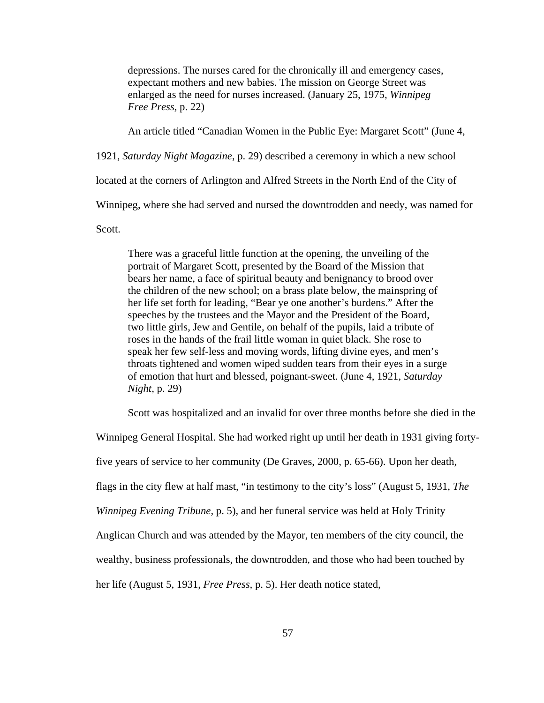depressions. The nurses cared for the chronically ill and emergency cases, expectant mothers and new babies. The mission on George Street was enlarged as the need for nurses increased. (January 25, 1975, *Winnipeg Free Press,* p. 22)

An article titled "Canadian Women in the Public Eye: Margaret Scott" (June 4,

1921, *Saturday Night Magazine*, p. 29) described a ceremony in which a new school

located at the corners of Arlington and Alfred Streets in the North End of the City of

Winnipeg, where she had served and nursed the downtrodden and needy, was named for

Scott.

There was a graceful little function at the opening, the unveiling of the portrait of Margaret Scott, presented by the Board of the Mission that bears her name, a face of spiritual beauty and benignancy to brood over the children of the new school; on a brass plate below, the mainspring of her life set forth for leading, "Bear ye one another's burdens." After the speeches by the trustees and the Mayor and the President of the Board, two little girls, Jew and Gentile, on behalf of the pupils, laid a tribute of roses in the hands of the frail little woman in quiet black. She rose to speak her few self-less and moving words, lifting divine eyes, and men's throats tightened and women wiped sudden tears from their eyes in a surge of emotion that hurt and blessed, poignant-sweet. (June 4, 1921, *Saturday Night,* p. 29)

Scott was hospitalized and an invalid for over three months before she died in the

Winnipeg General Hospital. She had worked right up until her death in 1931 giving fortyfive years of service to her community (De Graves, 2000, p. 65-66). Upon her death, flags in the city flew at half mast, "in testimony to the city's loss" (August 5, 1931, *The Winnipeg Evening Tribune,* p. 5), and her funeral service was held at Holy Trinity Anglican Church and was attended by the Mayor, ten members of the city council, the wealthy, business professionals, the downtrodden, and those who had been touched by her life (August 5, 1931, *Free Press,* p. 5). Her death notice stated,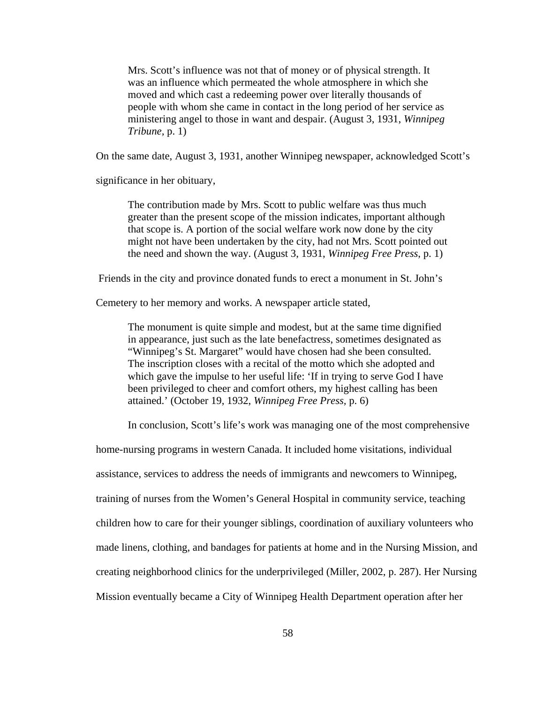Mrs. Scott's influence was not that of money or of physical strength. It was an influence which permeated the whole atmosphere in which she moved and which cast a redeeming power over literally thousands of people with whom she came in contact in the long period of her service as ministering angel to those in want and despair. (August 3, 1931, *Winnipeg Tribune,* p. 1)

On the same date, August 3, 1931, another Winnipeg newspaper, acknowledged Scott's

significance in her obituary,

The contribution made by Mrs. Scott to public welfare was thus much greater than the present scope of the mission indicates, important although that scope is. A portion of the social welfare work now done by the city might not have been undertaken by the city, had not Mrs. Scott pointed out the need and shown the way. (August 3, 1931, *Winnipeg Free Press*, p. 1)

Friends in the city and province donated funds to erect a monument in St. John's

Cemetery to her memory and works. A newspaper article stated,

The monument is quite simple and modest, but at the same time dignified in appearance, just such as the late benefactress, sometimes designated as "Winnipeg's St. Margaret" would have chosen had she been consulted. The inscription closes with a recital of the motto which she adopted and which gave the impulse to her useful life: 'If in trying to serve God I have been privileged to cheer and comfort others, my highest calling has been attained.' (October 19, 1932, *Winnipeg Free Press,* p. 6)

In conclusion, Scott's life's work was managing one of the most comprehensive

home-nursing programs in western Canada. It included home visitations, individual

assistance, services to address the needs of immigrants and newcomers to Winnipeg,

training of nurses from the Women's General Hospital in community service, teaching

children how to care for their younger siblings, coordination of auxiliary volunteers who

made linens, clothing, and bandages for patients at home and in the Nursing Mission, and

creating neighborhood clinics for the underprivileged (Miller, 2002, p. 287). Her Nursing

Mission eventually became a City of Winnipeg Health Department operation after her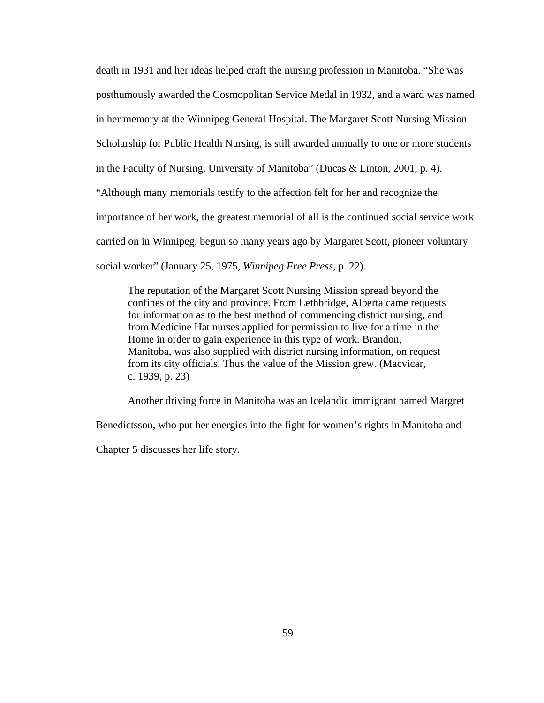death in 1931 and her ideas helped craft the nursing profession in Manitoba. "She was posthumously awarded the Cosmopolitan Service Medal in 1932, and a ward was named in her memory at the Winnipeg General Hospital. The Margaret Scott Nursing Mission Scholarship for Public Health Nursing, is still awarded annually to one or more students in the Faculty of Nursing, University of Manitoba" (Ducas & Linton, 2001, p. 4). "Although many memorials testify to the affection felt for her and recognize the importance of her work, the greatest memorial of all is the continued social service work carried on in Winnipeg, begun so many years ago by Margaret Scott, pioneer voluntary social worker" (January 25, 1975, *Winnipeg Free Press*, p. 22).

The reputation of the Margaret Scott Nursing Mission spread beyond the confines of the city and province. From Lethbridge, Alberta came requests for information as to the best method of commencing district nursing, and from Medicine Hat nurses applied for permission to live for a time in the Home in order to gain experience in this type of work. Brandon, Manitoba, was also supplied with district nursing information, on request from its city officials. Thus the value of the Mission grew. (Macvicar, c. 1939, p. 23)

Another driving force in Manitoba was an Icelandic immigrant named Margret

Benedictsson, who put her energies into the fight for women's rights in Manitoba and

Chapter 5 discusses her life story.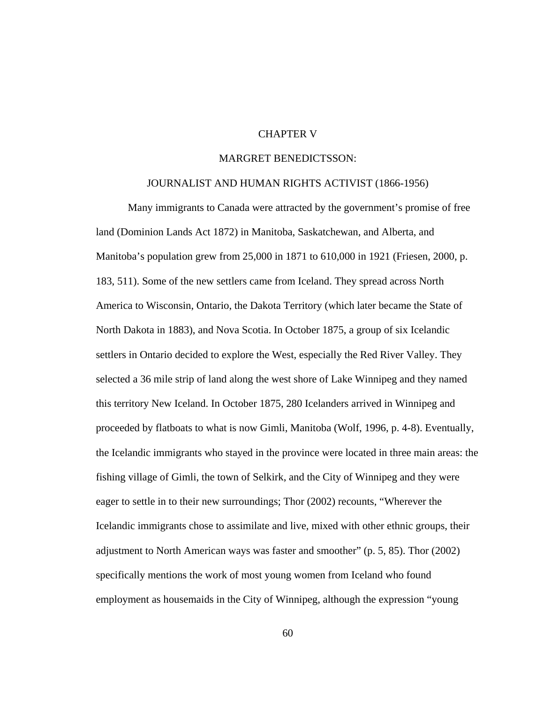## CHAPTER V

### MARGRET BENEDICTSSON:

#### JOURNALIST AND HUMAN RIGHTS ACTIVIST (1866-1956)

Many immigrants to Canada were attracted by the government's promise of free land (Dominion Lands Act 1872) in Manitoba, Saskatchewan, and Alberta, and Manitoba's population grew from 25,000 in 1871 to 610,000 in 1921 (Friesen, 2000, p. 183, 511). Some of the new settlers came from Iceland. They spread across North America to Wisconsin, Ontario, the Dakota Territory (which later became the State of North Dakota in 1883), and Nova Scotia. In October 1875, a group of six Icelandic settlers in Ontario decided to explore the West, especially the Red River Valley. They selected a 36 mile strip of land along the west shore of Lake Winnipeg and they named this territory New Iceland. In October 1875, 280 Icelanders arrived in Winnipeg and proceeded by flatboats to what is now Gimli, Manitoba (Wolf, 1996, p. 4-8). Eventually, the Icelandic immigrants who stayed in the province were located in three main areas: the fishing village of Gimli, the town of Selkirk, and the City of Winnipeg and they were eager to settle in to their new surroundings; Thor (2002) recounts, "Wherever the Icelandic immigrants chose to assimilate and live, mixed with other ethnic groups, their adjustment to North American ways was faster and smoother" (p. 5, 85). Thor (2002) specifically mentions the work of most young women from Iceland who found employment as housemaids in the City of Winnipeg, although the expression "young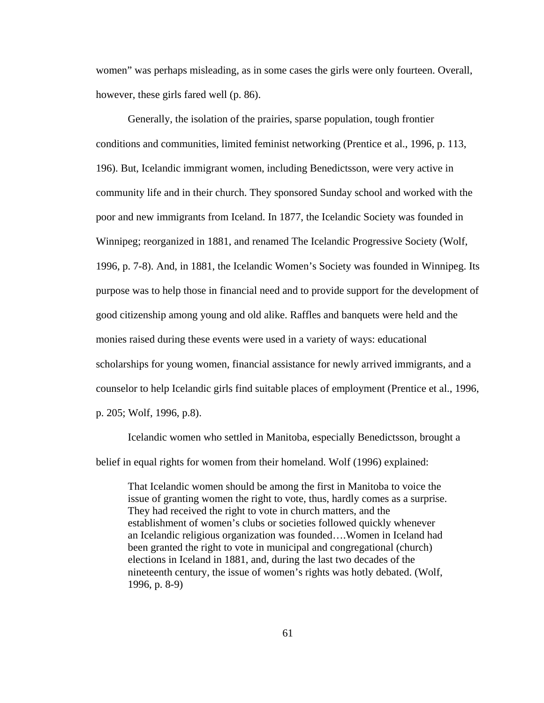women" was perhaps misleading, as in some cases the girls were only fourteen. Overall, however, these girls fared well (p. 86).

Generally, the isolation of the prairies, sparse population, tough frontier conditions and communities, limited feminist networking (Prentice et al., 1996, p. 113, 196). But, Icelandic immigrant women, including Benedictsson, were very active in community life and in their church. They sponsored Sunday school and worked with the poor and new immigrants from Iceland. In 1877, the Icelandic Society was founded in Winnipeg; reorganized in 1881, and renamed The Icelandic Progressive Society (Wolf, 1996, p. 7-8). And, in 1881, the Icelandic Women's Society was founded in Winnipeg. Its purpose was to help those in financial need and to provide support for the development of good citizenship among young and old alike. Raffles and banquets were held and the monies raised during these events were used in a variety of ways: educational scholarships for young women, financial assistance for newly arrived immigrants, and a counselor to help Icelandic girls find suitable places of employment (Prentice et al., 1996, p. 205; Wolf, 1996, p.8).

Icelandic women who settled in Manitoba, especially Benedictsson, brought a belief in equal rights for women from their homeland. Wolf (1996) explained:

That Icelandic women should be among the first in Manitoba to voice the issue of granting women the right to vote, thus, hardly comes as a surprise. They had received the right to vote in church matters, and the establishment of women's clubs or societies followed quickly whenever an Icelandic religious organization was founded….Women in Iceland had been granted the right to vote in municipal and congregational (church) elections in Iceland in 1881, and, during the last two decades of the nineteenth century, the issue of women's rights was hotly debated. (Wolf, 1996, p. 8-9)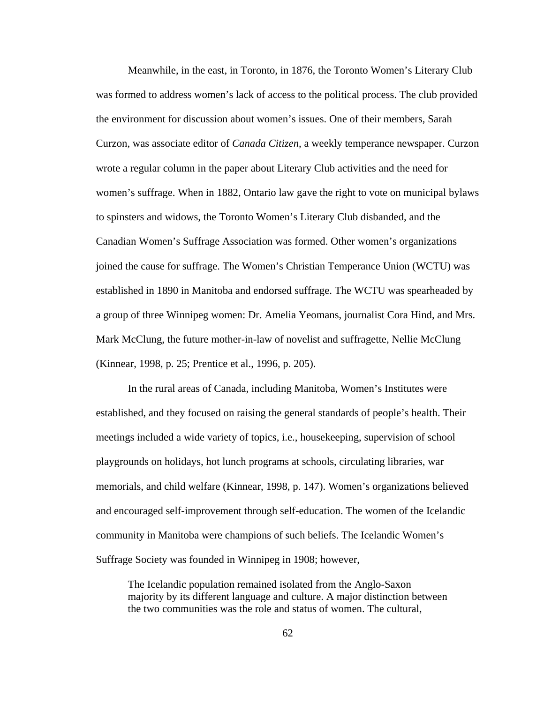Meanwhile, in the east, in Toronto, in 1876, the Toronto Women's Literary Club was formed to address women's lack of access to the political process. The club provided the environment for discussion about women's issues. One of their members, Sarah Curzon, was associate editor of *Canada Citizen*, a weekly temperance newspaper. Curzon wrote a regular column in the paper about Literary Club activities and the need for women's suffrage. When in 1882, Ontario law gave the right to vote on municipal bylaws to spinsters and widows, the Toronto Women's Literary Club disbanded, and the Canadian Women's Suffrage Association was formed. Other women's organizations joined the cause for suffrage. The Women's Christian Temperance Union (WCTU) was established in 1890 in Manitoba and endorsed suffrage. The WCTU was spearheaded by a group of three Winnipeg women: Dr. Amelia Yeomans, journalist Cora Hind, and Mrs. Mark McClung, the future mother-in-law of novelist and suffragette, Nellie McClung (Kinnear, 1998, p. 25; Prentice et al., 1996, p. 205).

In the rural areas of Canada, including Manitoba, Women's Institutes were established, and they focused on raising the general standards of people's health. Their meetings included a wide variety of topics, i.e., housekeeping, supervision of school playgrounds on holidays, hot lunch programs at schools, circulating libraries, war memorials, and child welfare (Kinnear, 1998, p. 147). Women's organizations believed and encouraged self-improvement through self-education. The women of the Icelandic community in Manitoba were champions of such beliefs. The Icelandic Women's Suffrage Society was founded in Winnipeg in 1908; however,

The Icelandic population remained isolated from the Anglo-Saxon majority by its different language and culture. A major distinction between the two communities was the role and status of women. The cultural,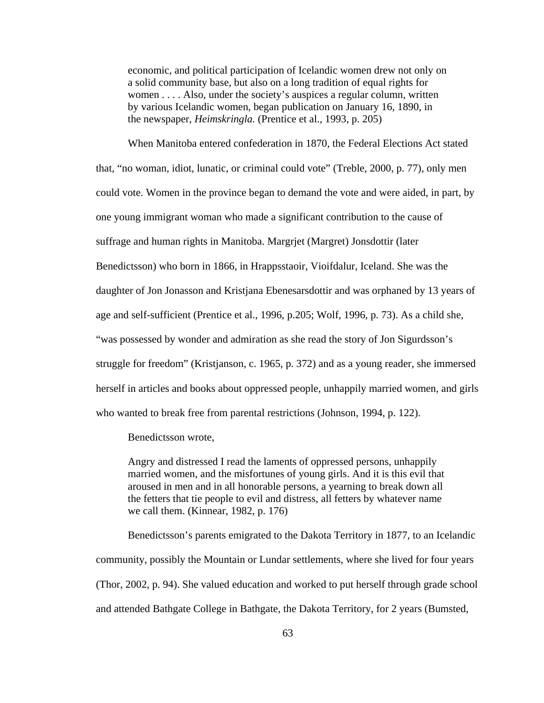economic, and political participation of Icelandic women drew not only on a solid community base, but also on a long tradition of equal rights for women . . . . Also, under the society's auspices a regular column, written by various Icelandic women, began publication on January 16, 1890, in the newspaper, *Heimskringla.* (Prentice et al., 1993, p. 205)

When Manitoba entered confederation in 1870, the Federal Elections Act stated that, "no woman, idiot, lunatic, or criminal could vote" (Treble, 2000, p. 77), only men could vote. Women in the province began to demand the vote and were aided, in part, by one young immigrant woman who made a significant contribution to the cause of suffrage and human rights in Manitoba. Margrjet (Margret) Jonsdottir (later Benedictsson) who born in 1866, in Hrappsstaoir, Vioifdalur, Iceland. She was the daughter of Jon Jonasson and Kristjana Ebenesarsdottir and was orphaned by 13 years of age and self-sufficient (Prentice et al., 1996, p.205; Wolf, 1996, p. 73). As a child she, "was possessed by wonder and admiration as she read the story of Jon Sigurdsson's struggle for freedom" (Kristjanson, c. 1965, p. 372) and as a young reader, she immersed herself in articles and books about oppressed people, unhappily married women, and girls who wanted to break free from parental restrictions (Johnson, 1994, p. 122).

Benedictsson wrote,

Angry and distressed I read the laments of oppressed persons, unhappily married women, and the misfortunes of young girls. And it is this evil that aroused in men and in all honorable persons, a yearning to break down all the fetters that tie people to evil and distress, all fetters by whatever name we call them. (Kinnear, 1982, p. 176)

Benedictsson's parents emigrated to the Dakota Territory in 1877, to an Icelandic community, possibly the Mountain or Lundar settlements, where she lived for four years (Thor, 2002, p. 94). She valued education and worked to put herself through grade school and attended Bathgate College in Bathgate, the Dakota Territory, for 2 years (Bumsted,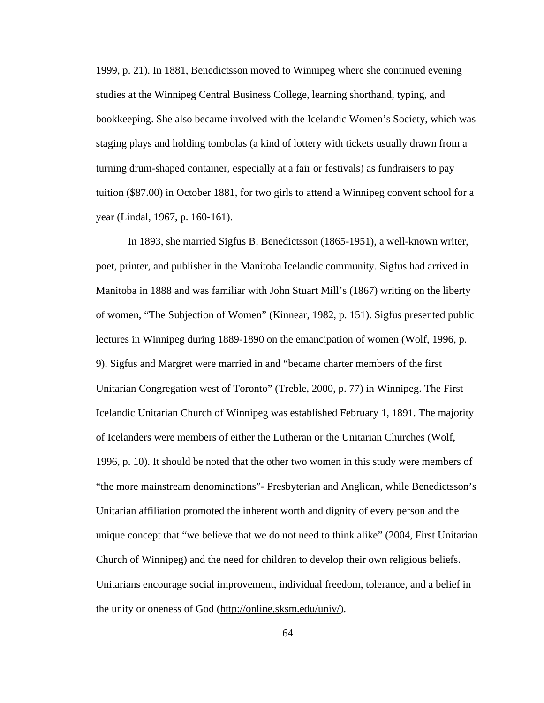1999, p. 21). In 1881, Benedictsson moved to Winnipeg where she continued evening studies at the Winnipeg Central Business College, learning shorthand, typing, and bookkeeping. She also became involved with the Icelandic Women's Society, which was staging plays and holding tombolas (a kind of lottery with tickets usually drawn from a turning drum-shaped container, especially at a fair or festivals) as fundraisers to pay tuition (\$87.00) in October 1881, for two girls to attend a Winnipeg convent school for a year (Lindal, 1967, p. 160-161).

In 1893, she married Sigfus B. Benedictsson (1865-1951), a well-known writer, poet, printer, and publisher in the Manitoba Icelandic community. Sigfus had arrived in Manitoba in 1888 and was familiar with John Stuart Mill's (1867) writing on the liberty of women, "The Subjection of Women" (Kinnear, 1982, p. 151). Sigfus presented public lectures in Winnipeg during 1889-1890 on the emancipation of women (Wolf, 1996, p. 9). Sigfus and Margret were married in and "became charter members of the first Unitarian Congregation west of Toronto" (Treble, 2000, p. 77) in Winnipeg. The First Icelandic Unitarian Church of Winnipeg was established February 1, 1891. The majority of Icelanders were members of either the Lutheran or the Unitarian Churches (Wolf, 1996, p. 10). It should be noted that the other two women in this study were members of "the more mainstream denominations"- Presbyterian and Anglican, while Benedictsson's Unitarian affiliation promoted the inherent worth and dignity of every person and the unique concept that "we believe that we do not need to think alike" (2004, First Unitarian Church of Winnipeg) and the need for children to develop their own religious beliefs. Unitarians encourage social improvement, individual freedom, tolerance, and a belief in the unity or oneness of God (http://online.sksm.edu/univ/).

64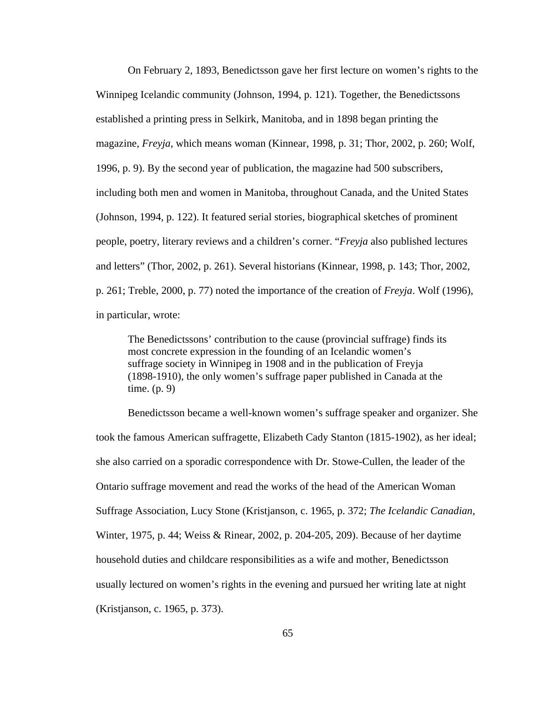On February 2, 1893, Benedictsson gave her first lecture on women's rights to the Winnipeg Icelandic community (Johnson, 1994, p. 121). Together, the Benedictssons established a printing press in Selkirk, Manitoba, and in 1898 began printing the magazine, *Freyja*, which means woman (Kinnear, 1998, p. 31; Thor, 2002, p. 260; Wolf, 1996, p. 9). By the second year of publication, the magazine had 500 subscribers, including both men and women in Manitoba, throughout Canada, and the United States (Johnson, 1994, p. 122). It featured serial stories, biographical sketches of prominent people, poetry, literary reviews and a children's corner. "*Freyja* also published lectures and letters" (Thor, 2002, p. 261). Several historians (Kinnear, 1998, p. 143; Thor, 2002, p. 261; Treble, 2000, p. 77) noted the importance of the creation of *Freyja*. Wolf (1996), in particular, wrote:

The Benedictssons' contribution to the cause (provincial suffrage) finds its most concrete expression in the founding of an Icelandic women's suffrage society in Winnipeg in 1908 and in the publication of Freyja (1898-1910), the only women's suffrage paper published in Canada at the time. (p. 9)

Benedictsson became a well-known women's suffrage speaker and organizer. She took the famous American suffragette, Elizabeth Cady Stanton (1815-1902), as her ideal; she also carried on a sporadic correspondence with Dr. Stowe-Cullen, the leader of the Ontario suffrage movement and read the works of the head of the American Woman Suffrage Association, Lucy Stone (Kristjanson, c. 1965, p. 372; *The Icelandic Canadian*, Winter, 1975, p. 44; Weiss & Rinear, 2002, p. 204-205, 209). Because of her daytime household duties and childcare responsibilities as a wife and mother, Benedictsson usually lectured on women's rights in the evening and pursued her writing late at night (Kristjanson, c. 1965, p. 373).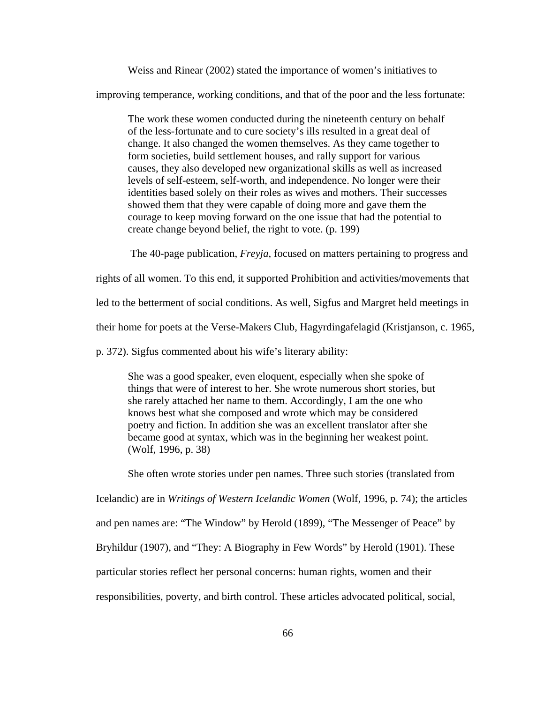Weiss and Rinear (2002) stated the importance of women's initiatives to

improving temperance, working conditions, and that of the poor and the less fortunate:

The work these women conducted during the nineteenth century on behalf of the less-fortunate and to cure society's ills resulted in a great deal of change. It also changed the women themselves. As they came together to form societies, build settlement houses, and rally support for various causes, they also developed new organizational skills as well as increased levels of self-esteem, self-worth, and independence. No longer were their identities based solely on their roles as wives and mothers. Their successes showed them that they were capable of doing more and gave them the courage to keep moving forward on the one issue that had the potential to create change beyond belief, the right to vote. (p. 199)

The 40-page publication, *Freyja*, focused on matters pertaining to progress and

rights of all women. To this end, it supported Prohibition and activities/movements that

led to the betterment of social conditions. As well, Sigfus and Margret held meetings in

their home for poets at the Verse-Makers Club, Hagyrdingafelagid (Kristjanson, c. 1965,

p. 372). Sigfus commented about his wife's literary ability:

She was a good speaker, even eloquent, especially when she spoke of things that were of interest to her. She wrote numerous short stories, but she rarely attached her name to them. Accordingly, I am the one who knows best what she composed and wrote which may be considered poetry and fiction. In addition she was an excellent translator after she became good at syntax, which was in the beginning her weakest point. (Wolf, 1996, p. 38)

She often wrote stories under pen names. Three such stories (translated from

Icelandic) are in *Writings of Western Icelandic Women* (Wolf, 1996, p. 74); the articles and pen names are: "The Window" by Herold (1899), "The Messenger of Peace" by Bryhildur (1907), and "They: A Biography in Few Words" by Herold (1901). These particular stories reflect her personal concerns: human rights, women and their responsibilities, poverty, and birth control. These articles advocated political, social,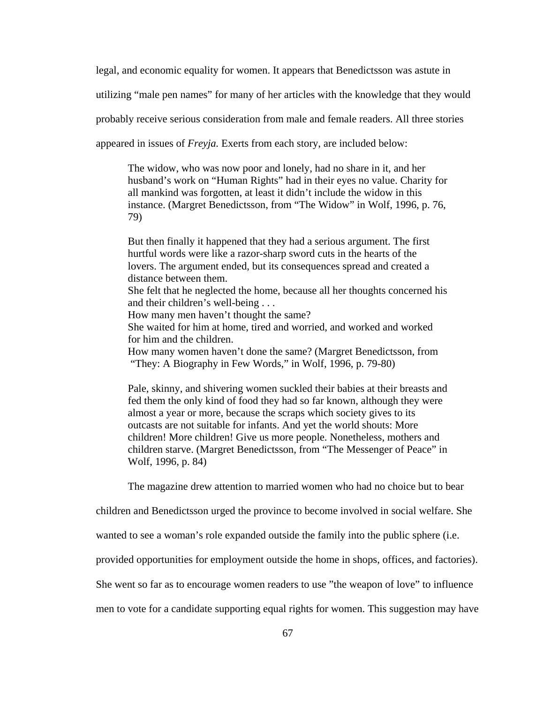legal, and economic equality for women. It appears that Benedictsson was astute in

utilizing "male pen names" for many of her articles with the knowledge that they would

probably receive serious consideration from male and female readers. All three stories

appeared in issues of *Freyja.* Exerts from each story, are included below:

The widow, who was now poor and lonely, had no share in it, and her husband's work on "Human Rights" had in their eyes no value. Charity for all mankind was forgotten, at least it didn't include the widow in this instance. (Margret Benedictsson, from "The Widow" in Wolf, 1996, p. 76, 79)

But then finally it happened that they had a serious argument. The first hurtful words were like a razor-sharp sword cuts in the hearts of the lovers. The argument ended, but its consequences spread and created a distance between them.

She felt that he neglected the home, because all her thoughts concerned his and their children's well-being . . .

How many men haven't thought the same?

She waited for him at home, tired and worried, and worked and worked for him and the children.

How many women haven't done the same? (Margret Benedictsson, from "They: A Biography in Few Words," in Wolf, 1996, p. 79-80)

Pale, skinny, and shivering women suckled their babies at their breasts and fed them the only kind of food they had so far known, although they were almost a year or more, because the scraps which society gives to its outcasts are not suitable for infants. And yet the world shouts: More children! More children! Give us more people. Nonetheless, mothers and children starve. (Margret Benedictsson, from "The Messenger of Peace" in Wolf, 1996, p. 84)

The magazine drew attention to married women who had no choice but to bear

children and Benedictsson urged the province to become involved in social welfare. She

wanted to see a woman's role expanded outside the family into the public sphere (i.e.

provided opportunities for employment outside the home in shops, offices, and factories).

She went so far as to encourage women readers to use "the weapon of love" to influence

men to vote for a candidate supporting equal rights for women. This suggestion may have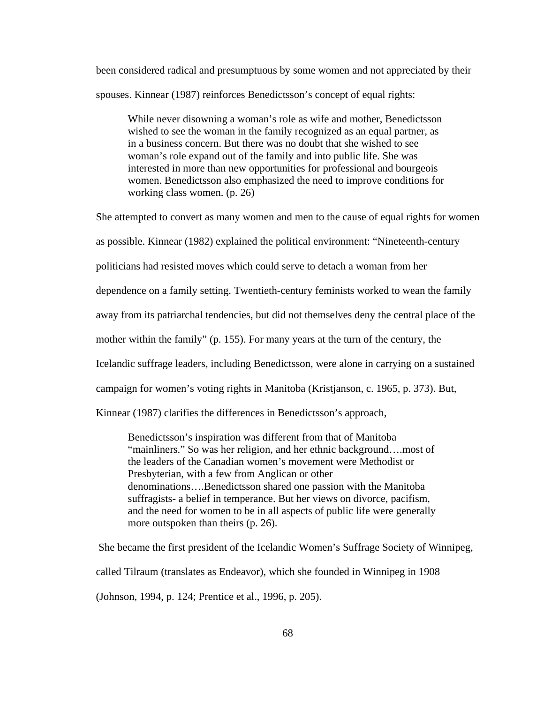been considered radical and presumptuous by some women and not appreciated by their spouses. Kinnear (1987) reinforces Benedictsson's concept of equal rights:

While never disowning a woman's role as wife and mother, Benedictsson wished to see the woman in the family recognized as an equal partner, as in a business concern. But there was no doubt that she wished to see woman's role expand out of the family and into public life. She was interested in more than new opportunities for professional and bourgeois women. Benedictsson also emphasized the need to improve conditions for working class women. (p. 26)

She attempted to convert as many women and men to the cause of equal rights for women

as possible. Kinnear (1982) explained the political environment: "Nineteenth-century

politicians had resisted moves which could serve to detach a woman from her

dependence on a family setting. Twentieth-century feminists worked to wean the family

away from its patriarchal tendencies, but did not themselves deny the central place of the

mother within the family" (p. 155). For many years at the turn of the century, the

Icelandic suffrage leaders, including Benedictsson, were alone in carrying on a sustained

campaign for women's voting rights in Manitoba (Kristjanson, c. 1965, p. 373). But,

Kinnear (1987) clarifies the differences in Benedictsson's approach,

Benedictsson's inspiration was different from that of Manitoba "mainliners." So was her religion, and her ethnic background….most of the leaders of the Canadian women's movement were Methodist or Presbyterian, with a few from Anglican or other denominations….Benedictsson shared one passion with the Manitoba suffragists- a belief in temperance. But her views on divorce, pacifism, and the need for women to be in all aspects of public life were generally more outspoken than theirs (p. 26).

 She became the first president of the Icelandic Women's Suffrage Society of Winnipeg, called Tilraum (translates as Endeavor), which she founded in Winnipeg in 1908 (Johnson, 1994, p. 124; Prentice et al., 1996, p. 205).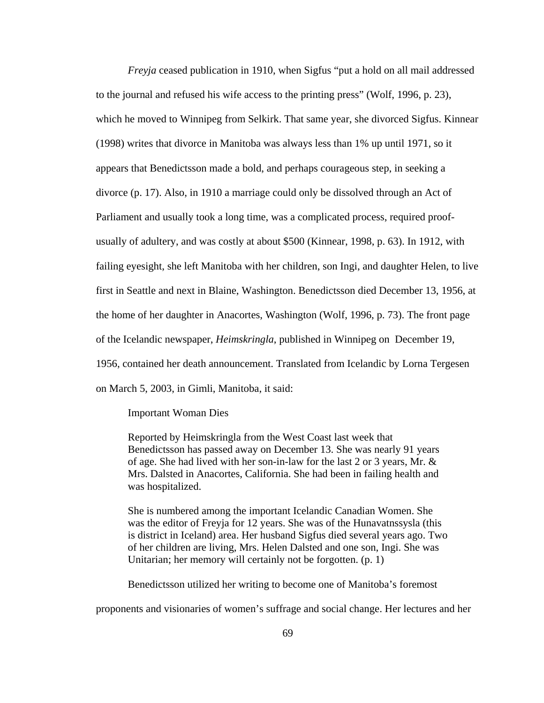*Freyja* ceased publication in 1910, when Sigfus "put a hold on all mail addressed to the journal and refused his wife access to the printing press" (Wolf, 1996, p. 23), which he moved to Winnipeg from Selkirk. That same year, she divorced Sigfus. Kinnear (1998) writes that divorce in Manitoba was always less than 1% up until 1971, so it appears that Benedictsson made a bold, and perhaps courageous step, in seeking a divorce (p. 17). Also, in 1910 a marriage could only be dissolved through an Act of Parliament and usually took a long time, was a complicated process, required proofusually of adultery, and was costly at about \$500 (Kinnear, 1998, p. 63). In 1912, with failing eyesight, she left Manitoba with her children, son Ingi, and daughter Helen, to live first in Seattle and next in Blaine, Washington. Benedictsson died December 13, 1956, at the home of her daughter in Anacortes, Washington (Wolf, 1996, p. 73). The front page of the Icelandic newspaper, *Heimskringla*, published in Winnipeg on December 19, 1956, contained her death announcement. Translated from Icelandic by Lorna Tergesen on March 5, 2003, in Gimli, Manitoba, it said:

#### Important Woman Dies

Reported by Heimskringla from the West Coast last week that Benedictsson has passed away on December 13. She was nearly 91 years of age. She had lived with her son-in-law for the last 2 or 3 years, Mr. & Mrs. Dalsted in Anacortes, California. She had been in failing health and was hospitalized.

She is numbered among the important Icelandic Canadian Women. She was the editor of Freyja for 12 years. She was of the Hunavatnssysla (this is district in Iceland) area. Her husband Sigfus died several years ago. Two of her children are living, Mrs. Helen Dalsted and one son, Ingi. She was Unitarian; her memory will certainly not be forgotten. (p. 1)

Benedictsson utilized her writing to become one of Manitoba's foremost

proponents and visionaries of women's suffrage and social change. Her lectures and her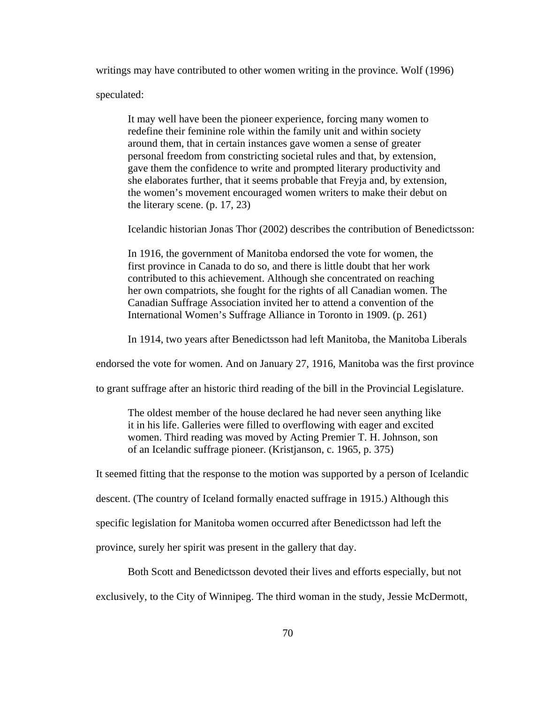writings may have contributed to other women writing in the province. Wolf (1996)

speculated:

It may well have been the pioneer experience, forcing many women to redefine their feminine role within the family unit and within society around them, that in certain instances gave women a sense of greater personal freedom from constricting societal rules and that, by extension, gave them the confidence to write and prompted literary productivity and she elaborates further, that it seems probable that Freyja and, by extension, the women's movement encouraged women writers to make their debut on the literary scene. (p. 17, 23)

Icelandic historian Jonas Thor (2002) describes the contribution of Benedictsson:

In 1916, the government of Manitoba endorsed the vote for women, the first province in Canada to do so, and there is little doubt that her work contributed to this achievement. Although she concentrated on reaching her own compatriots, she fought for the rights of all Canadian women. The Canadian Suffrage Association invited her to attend a convention of the International Women's Suffrage Alliance in Toronto in 1909. (p. 261)

In 1914, two years after Benedictsson had left Manitoba, the Manitoba Liberals

endorsed the vote for women. And on January 27, 1916, Manitoba was the first province

to grant suffrage after an historic third reading of the bill in the Provincial Legislature.

The oldest member of the house declared he had never seen anything like it in his life. Galleries were filled to overflowing with eager and excited women. Third reading was moved by Acting Premier T. H. Johnson, son of an Icelandic suffrage pioneer. (Kristjanson, c. 1965, p. 375)

It seemed fitting that the response to the motion was supported by a person of Icelandic

descent. (The country of Iceland formally enacted suffrage in 1915.) Although this

specific legislation for Manitoba women occurred after Benedictsson had left the

province, surely her spirit was present in the gallery that day.

Both Scott and Benedictsson devoted their lives and efforts especially, but not

exclusively, to the City of Winnipeg. The third woman in the study, Jessie McDermott,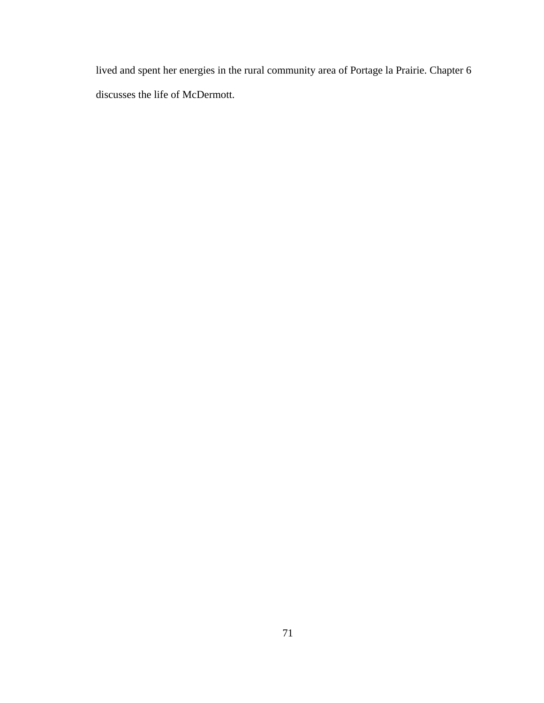lived and spent her energies in the rural community area of Portage la Prairie. Chapter 6 discusses the life of McDermott.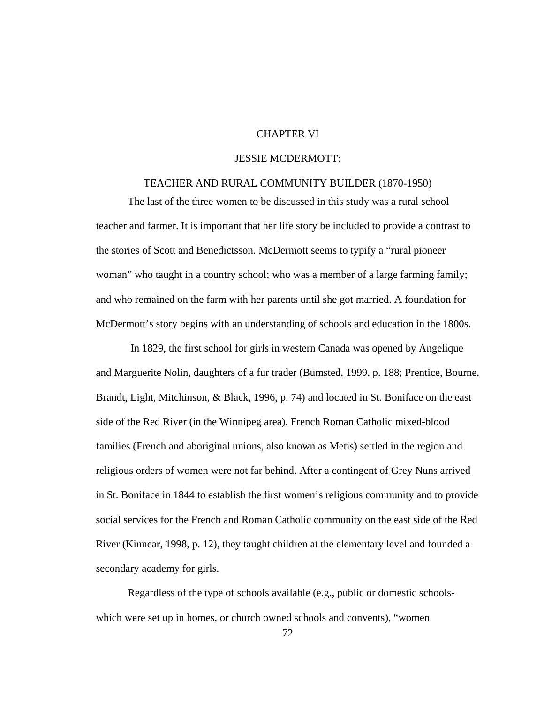# CHAPTER VI

# JESSIE MCDERMOTT:

### TEACHER AND RURAL COMMUNITY BUILDER (1870-1950)

The last of the three women to be discussed in this study was a rural school teacher and farmer. It is important that her life story be included to provide a contrast to the stories of Scott and Benedictsson. McDermott seems to typify a "rural pioneer woman" who taught in a country school; who was a member of a large farming family; and who remained on the farm with her parents until she got married. A foundation for McDermott's story begins with an understanding of schools and education in the 1800s.

 In 1829, the first school for girls in western Canada was opened by Angelique and Marguerite Nolin, daughters of a fur trader (Bumsted, 1999, p. 188; Prentice, Bourne, Brandt, Light, Mitchinson, & Black, 1996, p. 74) and located in St. Boniface on the east side of the Red River (in the Winnipeg area). French Roman Catholic mixed-blood families (French and aboriginal unions, also known as Metis) settled in the region and religious orders of women were not far behind. After a contingent of Grey Nuns arrived in St. Boniface in 1844 to establish the first women's religious community and to provide social services for the French and Roman Catholic community on the east side of the Red River (Kinnear, 1998, p. 12), they taught children at the elementary level and founded a secondary academy for girls.

Regardless of the type of schools available (e.g., public or domestic schoolswhich were set up in homes, or church owned schools and convents), "women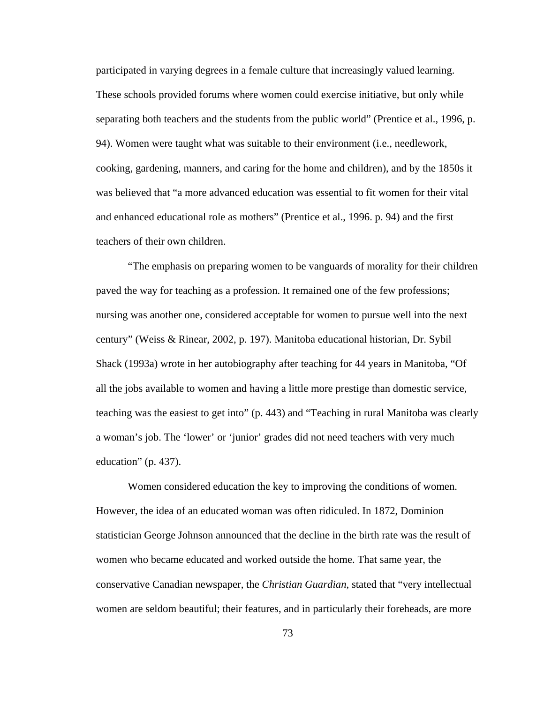participated in varying degrees in a female culture that increasingly valued learning. These schools provided forums where women could exercise initiative, but only while separating both teachers and the students from the public world" (Prentice et al., 1996, p. 94). Women were taught what was suitable to their environment (i.e., needlework, cooking, gardening, manners, and caring for the home and children), and by the 1850s it was believed that "a more advanced education was essential to fit women for their vital and enhanced educational role as mothers" (Prentice et al., 1996. p. 94) and the first teachers of their own children.

"The emphasis on preparing women to be vanguards of morality for their children paved the way for teaching as a profession. It remained one of the few professions; nursing was another one, considered acceptable for women to pursue well into the next century" (Weiss & Rinear, 2002, p. 197). Manitoba educational historian, Dr. Sybil Shack (1993a) wrote in her autobiography after teaching for 44 years in Manitoba, "Of all the jobs available to women and having a little more prestige than domestic service, teaching was the easiest to get into" (p. 443) and "Teaching in rural Manitoba was clearly a woman's job. The 'lower' or 'junior' grades did not need teachers with very much education" (p. 437).

Women considered education the key to improving the conditions of women. However, the idea of an educated woman was often ridiculed. In 1872, Dominion statistician George Johnson announced that the decline in the birth rate was the result of women who became educated and worked outside the home. That same year, the conservative Canadian newspaper, the *Christian Guardian*, stated that "very intellectual women are seldom beautiful; their features, and in particularly their foreheads, are more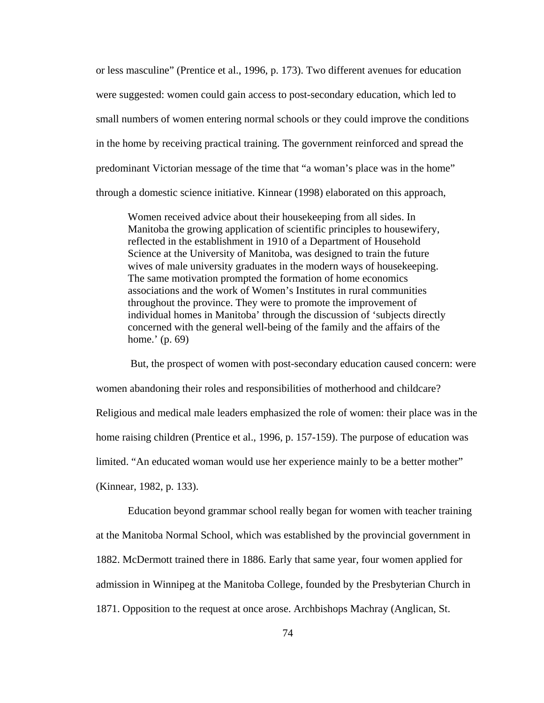or less masculine" (Prentice et al., 1996, p. 173). Two different avenues for education were suggested: women could gain access to post-secondary education, which led to small numbers of women entering normal schools or they could improve the conditions in the home by receiving practical training. The government reinforced and spread the predominant Victorian message of the time that "a woman's place was in the home" through a domestic science initiative. Kinnear (1998) elaborated on this approach,

Women received advice about their housekeeping from all sides. In Manitoba the growing application of scientific principles to housewifery, reflected in the establishment in 1910 of a Department of Household Science at the University of Manitoba, was designed to train the future wives of male university graduates in the modern ways of housekeeping. The same motivation prompted the formation of home economics associations and the work of Women's Institutes in rural communities throughout the province. They were to promote the improvement of individual homes in Manitoba' through the discussion of 'subjects directly concerned with the general well-being of the family and the affairs of the home.' (p. 69)

 But, the prospect of women with post-secondary education caused concern: were women abandoning their roles and responsibilities of motherhood and childcare? Religious and medical male leaders emphasized the role of women: their place was in the home raising children (Prentice et al., 1996, p. 157-159). The purpose of education was limited. "An educated woman would use her experience mainly to be a better mother" (Kinnear, 1982, p. 133).

Education beyond grammar school really began for women with teacher training at the Manitoba Normal School, which was established by the provincial government in 1882. McDermott trained there in 1886. Early that same year, four women applied for admission in Winnipeg at the Manitoba College, founded by the Presbyterian Church in 1871. Opposition to the request at once arose. Archbishops Machray (Anglican, St.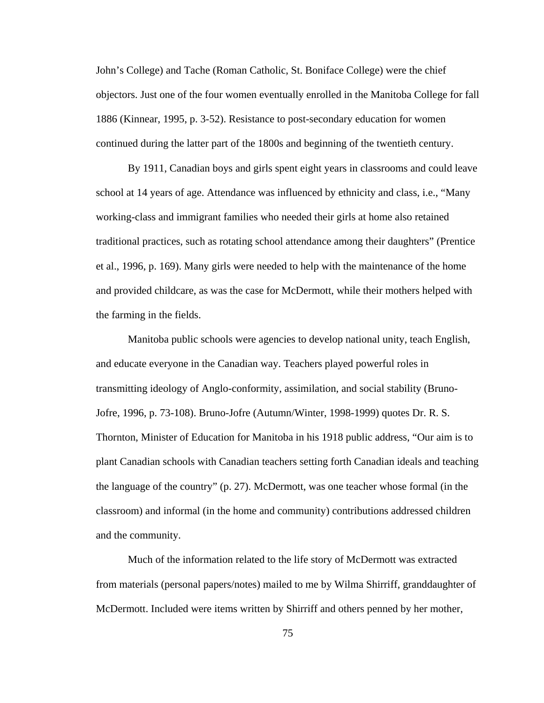John's College) and Tache (Roman Catholic, St. Boniface College) were the chief objectors. Just one of the four women eventually enrolled in the Manitoba College for fall 1886 (Kinnear, 1995, p. 3-52). Resistance to post-secondary education for women continued during the latter part of the 1800s and beginning of the twentieth century.

By 1911, Canadian boys and girls spent eight years in classrooms and could leave school at 14 years of age. Attendance was influenced by ethnicity and class, i.e., "Many working-class and immigrant families who needed their girls at home also retained traditional practices, such as rotating school attendance among their daughters" (Prentice et al., 1996, p. 169). Many girls were needed to help with the maintenance of the home and provided childcare, as was the case for McDermott, while their mothers helped with the farming in the fields.

Manitoba public schools were agencies to develop national unity, teach English, and educate everyone in the Canadian way. Teachers played powerful roles in transmitting ideology of Anglo-conformity, assimilation, and social stability (Bruno-Jofre, 1996, p. 73-108). Bruno-Jofre (Autumn/Winter, 1998-1999) quotes Dr. R. S. Thornton, Minister of Education for Manitoba in his 1918 public address, "Our aim is to plant Canadian schools with Canadian teachers setting forth Canadian ideals and teaching the language of the country" (p. 27). McDermott, was one teacher whose formal (in the classroom) and informal (in the home and community) contributions addressed children and the community.

Much of the information related to the life story of McDermott was extracted from materials (personal papers/notes) mailed to me by Wilma Shirriff, granddaughter of McDermott. Included were items written by Shirriff and others penned by her mother,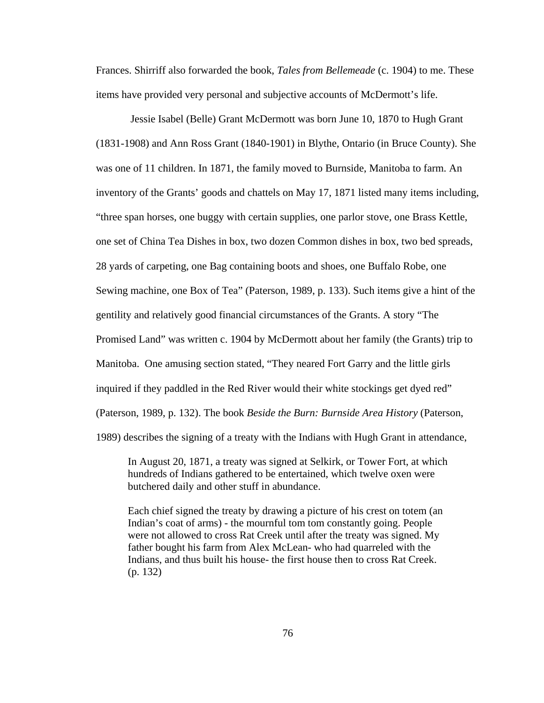Frances. Shirriff also forwarded the book, *Tales from Bellemeade* (c. 1904) to me. These items have provided very personal and subjective accounts of McDermott's life.

 Jessie Isabel (Belle) Grant McDermott was born June 10, 1870 to Hugh Grant (1831-1908) and Ann Ross Grant (1840-1901) in Blythe, Ontario (in Bruce County). She was one of 11 children. In 1871, the family moved to Burnside, Manitoba to farm. An inventory of the Grants' goods and chattels on May 17, 1871 listed many items including, "three span horses, one buggy with certain supplies, one parlor stove, one Brass Kettle, one set of China Tea Dishes in box, two dozen Common dishes in box, two bed spreads, 28 yards of carpeting, one Bag containing boots and shoes, one Buffalo Robe, one Sewing machine, one Box of Tea" (Paterson, 1989, p. 133). Such items give a hint of the gentility and relatively good financial circumstances of the Grants. A story "The Promised Land" was written c. 1904 by McDermott about her family (the Grants) trip to Manitoba. One amusing section stated, "They neared Fort Garry and the little girls inquired if they paddled in the Red River would their white stockings get dyed red" (Paterson, 1989, p. 132). The book *Beside the Burn: Burnside Area History* (Paterson, 1989) describes the signing of a treaty with the Indians with Hugh Grant in attendance,

In August 20, 1871, a treaty was signed at Selkirk, or Tower Fort, at which hundreds of Indians gathered to be entertained, which twelve oxen were butchered daily and other stuff in abundance.

Each chief signed the treaty by drawing a picture of his crest on totem (an Indian's coat of arms) - the mournful tom tom constantly going. People were not allowed to cross Rat Creek until after the treaty was signed. My father bought his farm from Alex McLean- who had quarreled with the Indians, and thus built his house- the first house then to cross Rat Creek. (p. 132)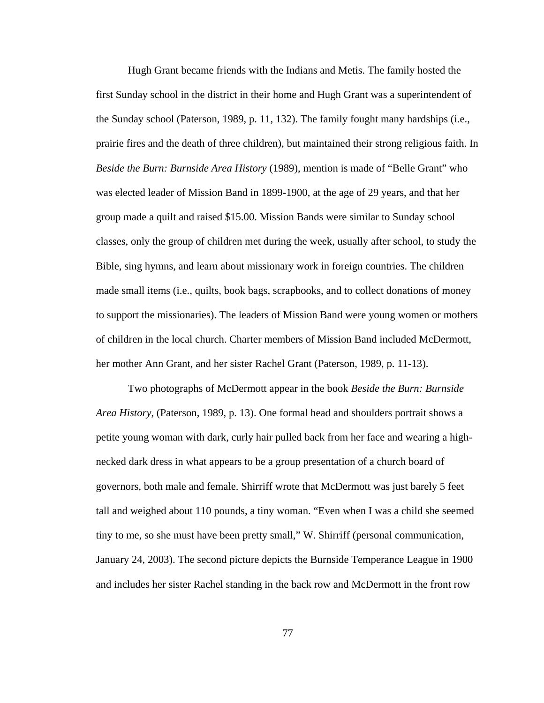Hugh Grant became friends with the Indians and Metis. The family hosted the first Sunday school in the district in their home and Hugh Grant was a superintendent of the Sunday school (Paterson, 1989, p. 11, 132). The family fought many hardships (i.e., prairie fires and the death of three children), but maintained their strong religious faith. In *Beside the Burn: Burnside Area History* (1989), mention is made of "Belle Grant" who was elected leader of Mission Band in 1899-1900, at the age of 29 years, and that her group made a quilt and raised \$15.00. Mission Bands were similar to Sunday school classes, only the group of children met during the week, usually after school, to study the Bible, sing hymns, and learn about missionary work in foreign countries. The children made small items (i.e., quilts, book bags, scrapbooks, and to collect donations of money to support the missionaries). The leaders of Mission Band were young women or mothers of children in the local church. Charter members of Mission Band included McDermott, her mother Ann Grant, and her sister Rachel Grant (Paterson, 1989, p. 11-13).

Two photographs of McDermott appear in the book *Beside the Burn: Burnside Area History*, (Paterson, 1989, p. 13). One formal head and shoulders portrait shows a petite young woman with dark, curly hair pulled back from her face and wearing a highnecked dark dress in what appears to be a group presentation of a church board of governors, both male and female. Shirriff wrote that McDermott was just barely 5 feet tall and weighed about 110 pounds, a tiny woman. "Even when I was a child she seemed tiny to me, so she must have been pretty small," W. Shirriff (personal communication, January 24, 2003). The second picture depicts the Burnside Temperance League in 1900 and includes her sister Rachel standing in the back row and McDermott in the front row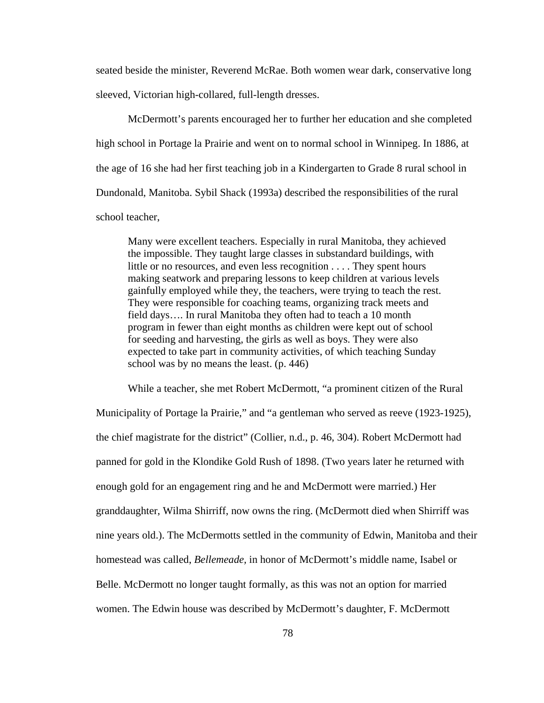seated beside the minister, Reverend McRae. Both women wear dark, conservative long sleeved, Victorian high-collared, full-length dresses.

McDermott's parents encouraged her to further her education and she completed high school in Portage la Prairie and went on to normal school in Winnipeg. In 1886, at the age of 16 she had her first teaching job in a Kindergarten to Grade 8 rural school in Dundonald, Manitoba. Sybil Shack (1993a) described the responsibilities of the rural school teacher,

Many were excellent teachers. Especially in rural Manitoba, they achieved the impossible. They taught large classes in substandard buildings, with little or no resources, and even less recognition . . . . They spent hours making seatwork and preparing lessons to keep children at various levels gainfully employed while they, the teachers, were trying to teach the rest. They were responsible for coaching teams, organizing track meets and field days…. In rural Manitoba they often had to teach a 10 month program in fewer than eight months as children were kept out of school for seeding and harvesting, the girls as well as boys. They were also expected to take part in community activities, of which teaching Sunday school was by no means the least. (p. 446)

While a teacher, she met Robert McDermott, "a prominent citizen of the Rural Municipality of Portage la Prairie," and "a gentleman who served as reeve (1923-1925), the chief magistrate for the district" (Collier, n.d., p. 46, 304). Robert McDermott had panned for gold in the Klondike Gold Rush of 1898. (Two years later he returned with enough gold for an engagement ring and he and McDermott were married.) Her granddaughter, Wilma Shirriff, now owns the ring. (McDermott died when Shirriff was nine years old.). The McDermotts settled in the community of Edwin, Manitoba and their homestead was called, *Bellemeade,* in honor of McDermott's middle name, Isabel or Belle. McDermott no longer taught formally, as this was not an option for married women. The Edwin house was described by McDermott's daughter, F. McDermott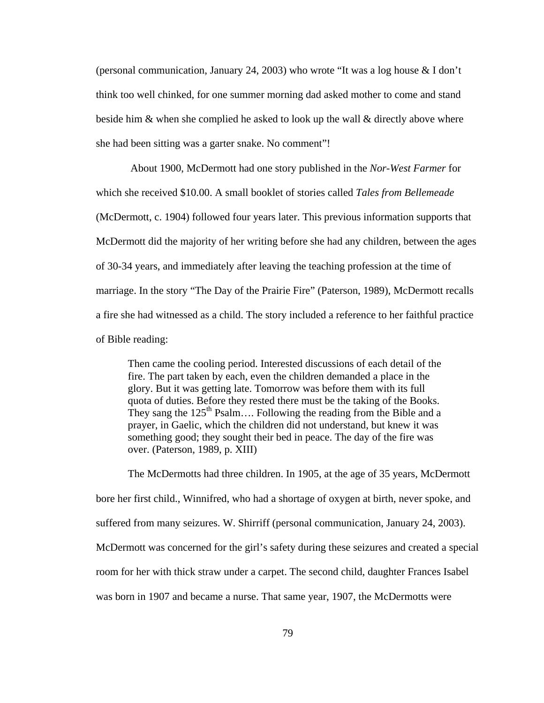(personal communication, January 24, 2003) who wrote "It was a log house & I don't think too well chinked, for one summer morning dad asked mother to come and stand beside him & when she complied he asked to look up the wall & directly above where she had been sitting was a garter snake. No comment"!

 About 1900, McDermott had one story published in the *Nor-West Farmer* for which she received \$10.00. A small booklet of stories called *Tales from Bellemeade* (McDermott, c. 1904) followed four years later. This previous information supports that McDermott did the majority of her writing before she had any children, between the ages of 30-34 years, and immediately after leaving the teaching profession at the time of marriage. In the story "The Day of the Prairie Fire" (Paterson, 1989), McDermott recalls a fire she had witnessed as a child. The story included a reference to her faithful practice of Bible reading:

Then came the cooling period. Interested discussions of each detail of the fire. The part taken by each, even the children demanded a place in the glory. But it was getting late. Tomorrow was before them with its full quota of duties. Before they rested there must be the taking of the Books. They sang the  $125<sup>th</sup>$  Psalm.... Following the reading from the Bible and a prayer, in Gaelic, which the children did not understand, but knew it was something good; they sought their bed in peace. The day of the fire was over. (Paterson, 1989, p. XIII)

The McDermotts had three children. In 1905, at the age of 35 years, McDermott bore her first child., Winnifred, who had a shortage of oxygen at birth, never spoke, and suffered from many seizures. W. Shirriff (personal communication, January 24, 2003). McDermott was concerned for the girl's safety during these seizures and created a special room for her with thick straw under a carpet. The second child, daughter Frances Isabel was born in 1907 and became a nurse. That same year, 1907, the McDermotts were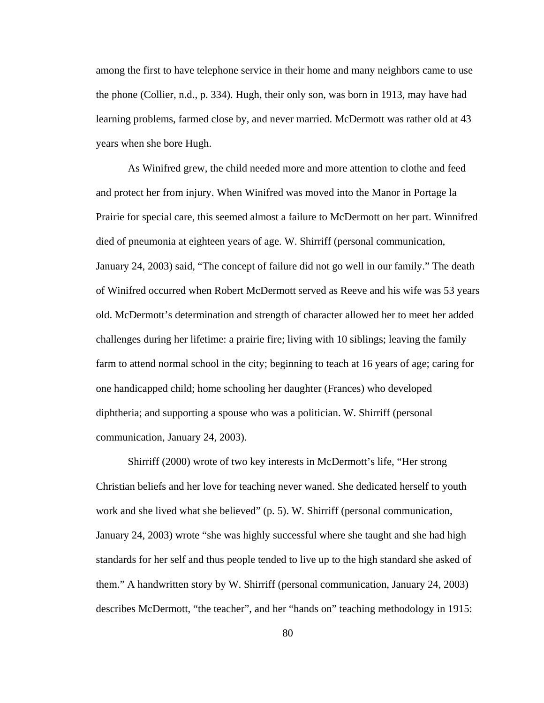among the first to have telephone service in their home and many neighbors came to use the phone (Collier, n.d., p. 334). Hugh, their only son, was born in 1913, may have had learning problems, farmed close by, and never married. McDermott was rather old at 43 years when she bore Hugh.

As Winifred grew, the child needed more and more attention to clothe and feed and protect her from injury. When Winifred was moved into the Manor in Portage la Prairie for special care, this seemed almost a failure to McDermott on her part. Winnifred died of pneumonia at eighteen years of age. W. Shirriff (personal communication, January 24, 2003) said, "The concept of failure did not go well in our family." The death of Winifred occurred when Robert McDermott served as Reeve and his wife was 53 years old. McDermott's determination and strength of character allowed her to meet her added challenges during her lifetime: a prairie fire; living with 10 siblings; leaving the family farm to attend normal school in the city; beginning to teach at 16 years of age; caring for one handicapped child; home schooling her daughter (Frances) who developed diphtheria; and supporting a spouse who was a politician. W. Shirriff (personal communication, January 24, 2003).

Shirriff (2000) wrote of two key interests in McDermott's life, "Her strong Christian beliefs and her love for teaching never waned. She dedicated herself to youth work and she lived what she believed" (p. 5). W. Shirriff (personal communication, January 24, 2003) wrote "she was highly successful where she taught and she had high standards for her self and thus people tended to live up to the high standard she asked of them." A handwritten story by W. Shirriff (personal communication, January 24, 2003) describes McDermott, "the teacher", and her "hands on" teaching methodology in 1915: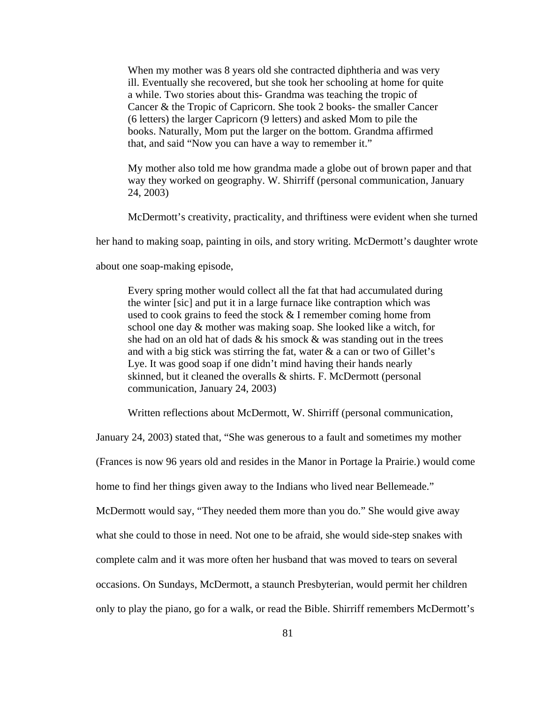When my mother was 8 years old she contracted diphtheria and was very ill. Eventually she recovered, but she took her schooling at home for quite a while. Two stories about this- Grandma was teaching the tropic of Cancer & the Tropic of Capricorn. She took 2 books- the smaller Cancer (6 letters) the larger Capricorn (9 letters) and asked Mom to pile the books. Naturally, Mom put the larger on the bottom. Grandma affirmed that, and said "Now you can have a way to remember it."

My mother also told me how grandma made a globe out of brown paper and that way they worked on geography. W. Shirriff (personal communication, January 24, 2003)

McDermott's creativity, practicality, and thriftiness were evident when she turned

her hand to making soap, painting in oils, and story writing. McDermott's daughter wrote

about one soap-making episode,

Every spring mother would collect all the fat that had accumulated during the winter [sic] and put it in a large furnace like contraption which was used to cook grains to feed the stock & I remember coming home from school one day & mother was making soap. She looked like a witch, for she had on an old hat of dads  $\&$  his smock  $\&$  was standing out in the trees and with a big stick was stirring the fat, water  $\&$  a can or two of Gillet's Lye. It was good soap if one didn't mind having their hands nearly skinned, but it cleaned the overalls & shirts. F. McDermott (personal communication, January 24, 2003)

Written reflections about McDermott, W. Shirriff (personal communication,

January 24, 2003) stated that, "She was generous to a fault and sometimes my mother

(Frances is now 96 years old and resides in the Manor in Portage la Prairie.) would come

home to find her things given away to the Indians who lived near Bellemeade."

McDermott would say, "They needed them more than you do." She would give away

what she could to those in need. Not one to be afraid, she would side-step snakes with

complete calm and it was more often her husband that was moved to tears on several

occasions. On Sundays, McDermott, a staunch Presbyterian, would permit her children

only to play the piano, go for a walk, or read the Bible. Shirriff remembers McDermott's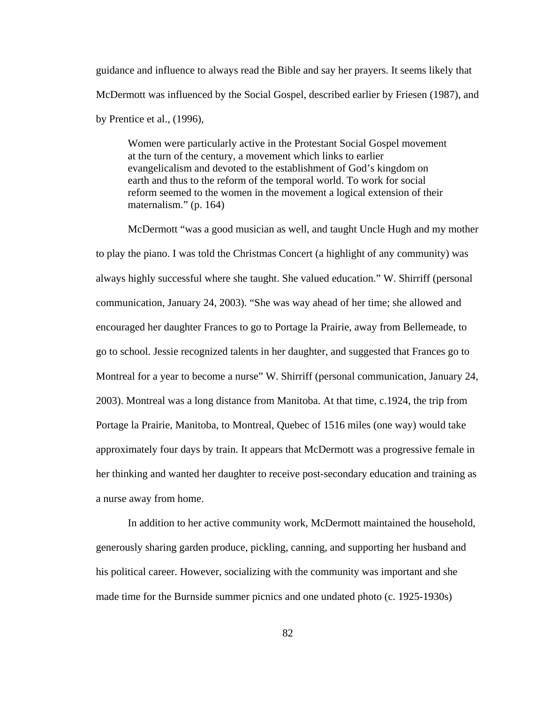guidance and influence to always read the Bible and say her prayers. It seems likely that McDermott was influenced by the Social Gospel, described earlier by Friesen (1987), and by Prentice et al., (1996),

Women were particularly active in the Protestant Social Gospel movement at the turn of the century, a movement which links to earlier evangelicalism and devoted to the establishment of God's kingdom on earth and thus to the reform of the temporal world. To work for social reform seemed to the women in the movement a logical extension of their maternalism." (p. 164)

McDermott "was a good musician as well, and taught Uncle Hugh and my mother to play the piano. I was told the Christmas Concert (a highlight of any community) was always highly successful where she taught. She valued education." W. Shirriff (personal communication, January 24, 2003). "She was way ahead of her time; she allowed and encouraged her daughter Frances to go to Portage la Prairie, away from Bellemeade, to go to school. Jessie recognized talents in her daughter, and suggested that Frances go to Montreal for a year to become a nurse" W. Shirriff (personal communication, January 24, 2003). Montreal was a long distance from Manitoba. At that time, c.1924, the trip from Portage la Prairie, Manitoba, to Montreal, Quebec of 1516 miles (one way) would take approximately four days by train. It appears that McDermott was a progressive female in her thinking and wanted her daughter to receive post-secondary education and training as a nurse away from home.

In addition to her active community work, McDermott maintained the household, generously sharing garden produce, pickling, canning, and supporting her husband and his political career. However, socializing with the community was important and she made time for the Burnside summer picnics and one undated photo (c. 1925-1930s)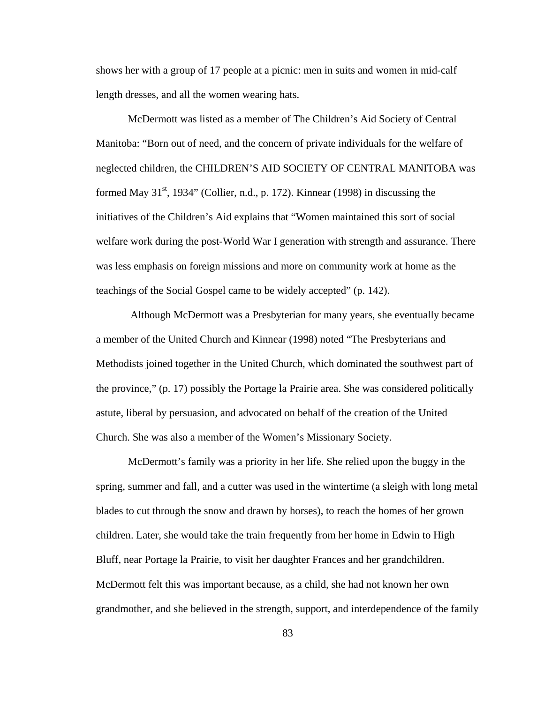shows her with a group of 17 people at a picnic: men in suits and women in mid-calf length dresses, and all the women wearing hats.

McDermott was listed as a member of The Children's Aid Society of Central Manitoba: "Born out of need, and the concern of private individuals for the welfare of neglected children, the CHILDREN'S AID SOCIETY OF CENTRAL MANITOBA was formed May  $31<sup>st</sup>$ , 1934" (Collier, n.d., p. 172). Kinnear (1998) in discussing the initiatives of the Children's Aid explains that "Women maintained this sort of social welfare work during the post-World War I generation with strength and assurance. There was less emphasis on foreign missions and more on community work at home as the teachings of the Social Gospel came to be widely accepted" (p. 142).

 Although McDermott was a Presbyterian for many years, she eventually became a member of the United Church and Kinnear (1998) noted "The Presbyterians and Methodists joined together in the United Church, which dominated the southwest part of the province," (p. 17) possibly the Portage la Prairie area. She was considered politically astute, liberal by persuasion, and advocated on behalf of the creation of the United Church. She was also a member of the Women's Missionary Society.

McDermott's family was a priority in her life. She relied upon the buggy in the spring, summer and fall, and a cutter was used in the wintertime (a sleigh with long metal blades to cut through the snow and drawn by horses), to reach the homes of her grown children. Later, she would take the train frequently from her home in Edwin to High Bluff, near Portage la Prairie, to visit her daughter Frances and her grandchildren. McDermott felt this was important because, as a child, she had not known her own grandmother, and she believed in the strength, support, and interdependence of the family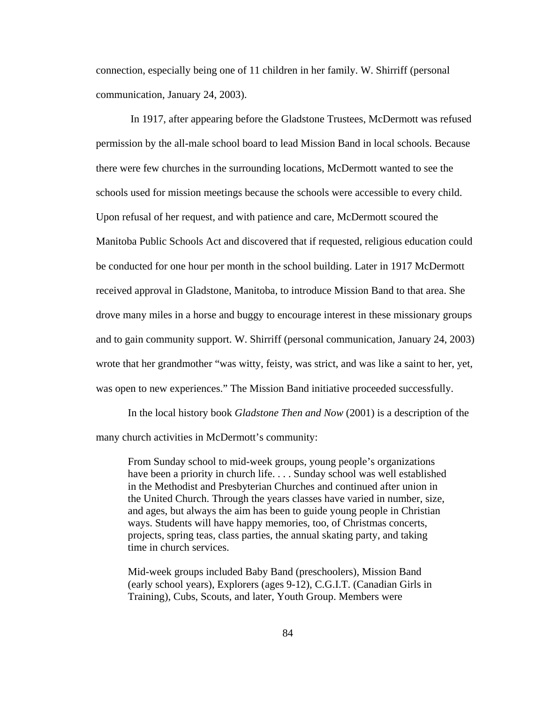connection, especially being one of 11 children in her family. W. Shirriff (personal communication, January 24, 2003).

 In 1917, after appearing before the Gladstone Trustees, McDermott was refused permission by the all-male school board to lead Mission Band in local schools. Because there were few churches in the surrounding locations, McDermott wanted to see the schools used for mission meetings because the schools were accessible to every child. Upon refusal of her request, and with patience and care, McDermott scoured the Manitoba Public Schools Act and discovered that if requested, religious education could be conducted for one hour per month in the school building. Later in 1917 McDermott received approval in Gladstone, Manitoba, to introduce Mission Band to that area. She drove many miles in a horse and buggy to encourage interest in these missionary groups and to gain community support. W. Shirriff (personal communication, January 24, 2003) wrote that her grandmother "was witty, feisty, was strict, and was like a saint to her, yet, was open to new experiences." The Mission Band initiative proceeded successfully.

In the local history book *Gladstone Then and Now* (2001) is a description of the many church activities in McDermott's community:

From Sunday school to mid-week groups, young people's organizations have been a priority in church life. . . . Sunday school was well established in the Methodist and Presbyterian Churches and continued after union in the United Church. Through the years classes have varied in number, size, and ages, but always the aim has been to guide young people in Christian ways. Students will have happy memories, too, of Christmas concerts, projects, spring teas, class parties, the annual skating party, and taking time in church services.

Mid-week groups included Baby Band (preschoolers), Mission Band (early school years), Explorers (ages 9-12), C.G.I.T. (Canadian Girls in Training), Cubs, Scouts, and later, Youth Group. Members were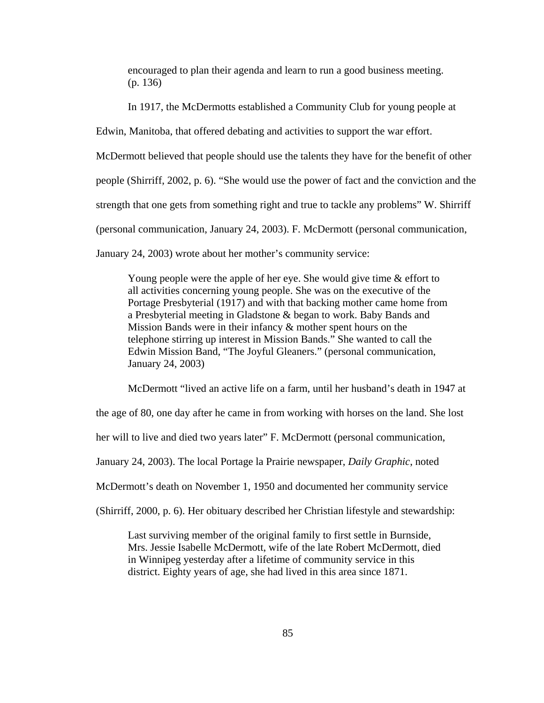encouraged to plan their agenda and learn to run a good business meeting. (p. 136)

In 1917, the McDermotts established a Community Club for young people at

Edwin, Manitoba, that offered debating and activities to support the war effort.

McDermott believed that people should use the talents they have for the benefit of other

people (Shirriff, 2002, p. 6). "She would use the power of fact and the conviction and the

strength that one gets from something right and true to tackle any problems" W. Shirriff

(personal communication, January 24, 2003). F. McDermott (personal communication,

January 24, 2003) wrote about her mother's community service:

Young people were the apple of her eye. She would give time & effort to all activities concerning young people. She was on the executive of the Portage Presbyterial (1917) and with that backing mother came home from a Presbyterial meeting in Gladstone & began to work. Baby Bands and Mission Bands were in their infancy & mother spent hours on the telephone stirring up interest in Mission Bands." She wanted to call the Edwin Mission Band, "The Joyful Gleaners." (personal communication, January 24, 2003)

McDermott "lived an active life on a farm, until her husband's death in 1947 at

the age of 80, one day after he came in from working with horses on the land. She lost

her will to live and died two years later" F. McDermott (personal communication,

January 24, 2003). The local Portage la Prairie newspaper, *Daily Graphic*, noted

McDermott's death on November 1, 1950 and documented her community service

(Shirriff, 2000, p. 6). Her obituary described her Christian lifestyle and stewardship:

Last surviving member of the original family to first settle in Burnside, Mrs. Jessie Isabelle McDermott, wife of the late Robert McDermott, died in Winnipeg yesterday after a lifetime of community service in this district. Eighty years of age, she had lived in this area since 1871.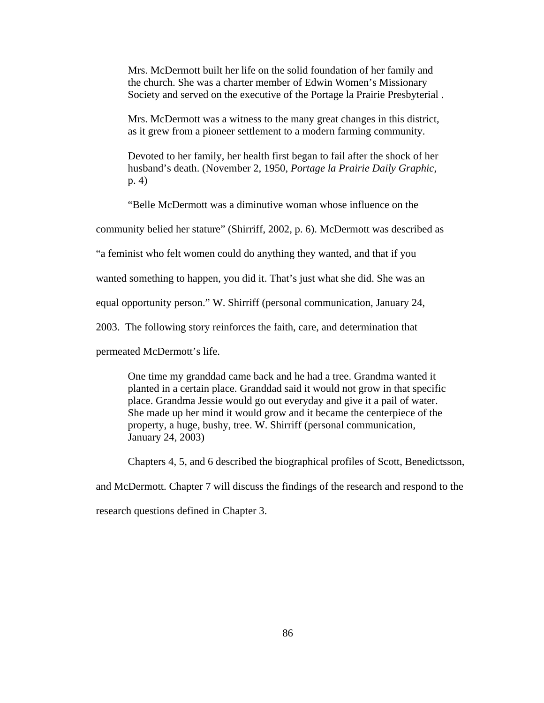Mrs. McDermott built her life on the solid foundation of her family and the church. She was a charter member of Edwin Women's Missionary Society and served on the executive of the Portage la Prairie Presbyterial .

Mrs. McDermott was a witness to the many great changes in this district, as it grew from a pioneer settlement to a modern farming community.

Devoted to her family, her health first began to fail after the shock of her husband's death. (November 2, 1950, *Portage la Prairie Daily Graphic*, p. 4)

"Belle McDermott was a diminutive woman whose influence on the

community belied her stature" (Shirriff, 2002, p. 6). McDermott was described as

"a feminist who felt women could do anything they wanted, and that if you

wanted something to happen, you did it. That's just what she did. She was an

equal opportunity person." W. Shirriff (personal communication, January 24,

2003. The following story reinforces the faith, care, and determination that

permeated McDermott's life.

One time my granddad came back and he had a tree. Grandma wanted it planted in a certain place. Granddad said it would not grow in that specific place. Grandma Jessie would go out everyday and give it a pail of water. She made up her mind it would grow and it became the centerpiece of the property, a huge, bushy, tree. W. Shirriff (personal communication, January 24, 2003)

Chapters 4, 5, and 6 described the biographical profiles of Scott, Benedictsson,

and McDermott. Chapter 7 will discuss the findings of the research and respond to the

research questions defined in Chapter 3.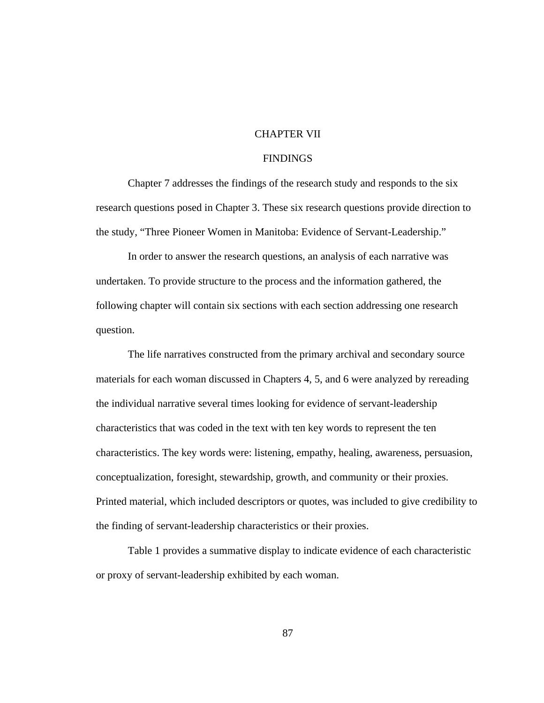## CHAPTER VII

### FINDINGS

Chapter 7 addresses the findings of the research study and responds to the six research questions posed in Chapter 3. These six research questions provide direction to the study, "Three Pioneer Women in Manitoba: Evidence of Servant-Leadership."

In order to answer the research questions, an analysis of each narrative was undertaken. To provide structure to the process and the information gathered, the following chapter will contain six sections with each section addressing one research question.

The life narratives constructed from the primary archival and secondary source materials for each woman discussed in Chapters 4, 5, and 6 were analyzed by rereading the individual narrative several times looking for evidence of servant-leadership characteristics that was coded in the text with ten key words to represent the ten characteristics. The key words were: listening, empathy, healing, awareness, persuasion, conceptualization, foresight, stewardship, growth, and community or their proxies. Printed material, which included descriptors or quotes, was included to give credibility to the finding of servant-leadership characteristics or their proxies.

Table 1 provides a summative display to indicate evidence of each characteristic or proxy of servant-leadership exhibited by each woman.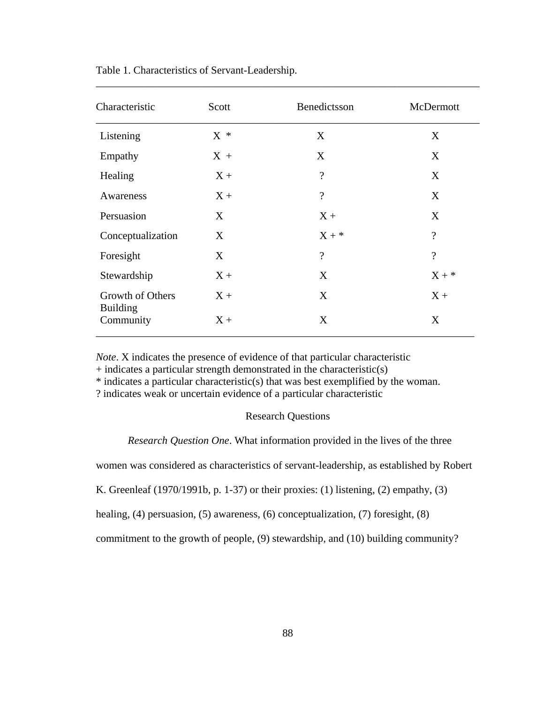| Characteristic               | Scott | Benedictsson       | McDermott                |
|------------------------------|-------|--------------------|--------------------------|
| Listening                    | $X *$ | X                  | X                        |
| Empathy                      | $X +$ | X                  | X                        |
| Healing                      | $X +$ | $\overline{\cdot}$ | X                        |
| Awareness                    | $X +$ | $\overline{?}$     | X                        |
| Persuasion                   | X     | $X +$              | X                        |
| Conceptualization            | X     | $X + *$            | $\overline{\mathcal{L}}$ |
| Foresight                    | X     | $\overline{?}$     | $\overline{\mathcal{L}}$ |
| Stewardship                  | $X +$ | X                  | $X + *$                  |
| Growth of Others             | $X +$ | X                  | $X +$                    |
| <b>Building</b><br>Community | $X +$ | X                  | X                        |

\_\_\_\_\_\_\_\_\_\_\_\_\_\_\_\_\_\_\_\_\_\_\_\_\_\_\_\_\_\_\_\_\_\_\_\_\_\_\_\_\_\_\_\_\_\_\_\_\_\_\_\_\_\_\_\_\_\_\_\_\_\_\_\_\_\_\_\_\_\_\_\_

Table 1. Characteristics of Servant-Leadership.

*Note*. X indicates the presence of evidence of that particular characteristic

 $+$  indicates a particular strength demonstrated in the characteristic(s)

\* indicates a particular characteristic(s) that was best exemplified by the woman.

? indicates weak or uncertain evidence of a particular characteristic

# Research Questions

*Research Question One*. What information provided in the lives of the three

women was considered as characteristics of servant-leadership, as established by Robert

K. Greenleaf (1970/1991b, p. 1-37) or their proxies: (1) listening, (2) empathy, (3)

healing, (4) persuasion, (5) awareness, (6) conceptualization, (7) foresight, (8)

commitment to the growth of people, (9) stewardship, and (10) building community?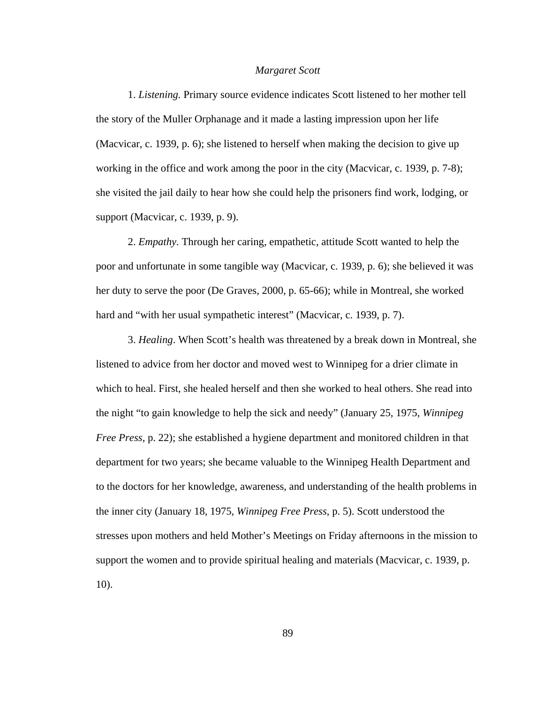#### *Margaret Scott*

1. *Listening.* Primary source evidence indicates Scott listened to her mother tell the story of the Muller Orphanage and it made a lasting impression upon her life (Macvicar, c. 1939, p. 6); she listened to herself when making the decision to give up working in the office and work among the poor in the city (Macvicar, c. 1939, p. 7-8); she visited the jail daily to hear how she could help the prisoners find work, lodging, or support (Macvicar, c. 1939, p. 9).

2. *Empathy.* Through her caring, empathetic, attitude Scott wanted to help the poor and unfortunate in some tangible way (Macvicar, c. 1939, p. 6); she believed it was her duty to serve the poor (De Graves, 2000, p. 65-66); while in Montreal, she worked hard and "with her usual sympathetic interest" (Macvicar, c. 1939, p. 7).

3. *Healing*. When Scott's health was threatened by a break down in Montreal, she listened to advice from her doctor and moved west to Winnipeg for a drier climate in which to heal. First, she healed herself and then she worked to heal others. She read into the night "to gain knowledge to help the sick and needy" (January 25, 1975, *Winnipeg Free Press*, p. 22); she established a hygiene department and monitored children in that department for two years; she became valuable to the Winnipeg Health Department and to the doctors for her knowledge, awareness, and understanding of the health problems in the inner city (January 18, 1975, *Winnipeg Free Press*, p. 5). Scott understood the stresses upon mothers and held Mother's Meetings on Friday afternoons in the mission to support the women and to provide spiritual healing and materials (Macvicar, c. 1939, p. 10).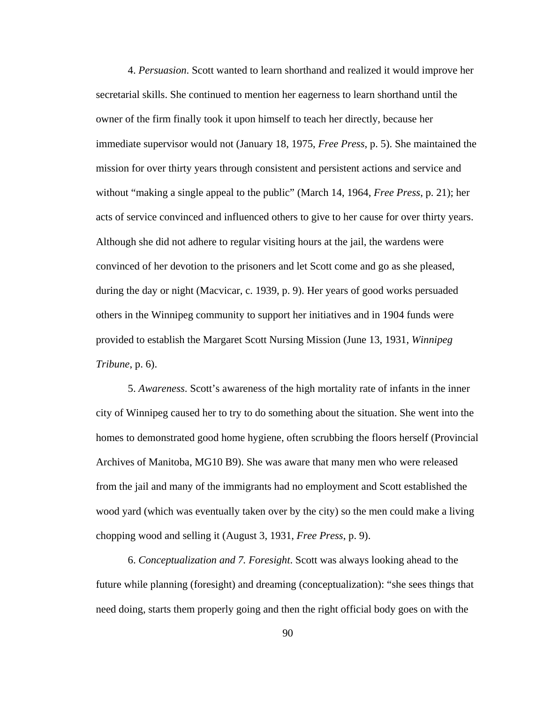4. *Persuasion*. Scott wanted to learn shorthand and realized it would improve her secretarial skills. She continued to mention her eagerness to learn shorthand until the owner of the firm finally took it upon himself to teach her directly, because her immediate supervisor would not (January 18, 1975, *Free Press*, p. 5). She maintained the mission for over thirty years through consistent and persistent actions and service and without "making a single appeal to the public" (March 14, 1964, *Free Press*, p. 21); her acts of service convinced and influenced others to give to her cause for over thirty years. Although she did not adhere to regular visiting hours at the jail, the wardens were convinced of her devotion to the prisoners and let Scott come and go as she pleased, during the day or night (Macvicar, c. 1939, p. 9). Her years of good works persuaded others in the Winnipeg community to support her initiatives and in 1904 funds were provided to establish the Margaret Scott Nursing Mission (June 13, 1931, *Winnipeg Tribune*, p. 6).

5. *Awareness*. Scott's awareness of the high mortality rate of infants in the inner city of Winnipeg caused her to try to do something about the situation. She went into the homes to demonstrated good home hygiene, often scrubbing the floors herself (Provincial Archives of Manitoba, MG10 B9). She was aware that many men who were released from the jail and many of the immigrants had no employment and Scott established the wood yard (which was eventually taken over by the city) so the men could make a living chopping wood and selling it (August 3, 1931, *Free Press*, p. 9).

6. *Conceptualization and 7. Foresight*. Scott was always looking ahead to the future while planning (foresight) and dreaming (conceptualization): "she sees things that need doing, starts them properly going and then the right official body goes on with the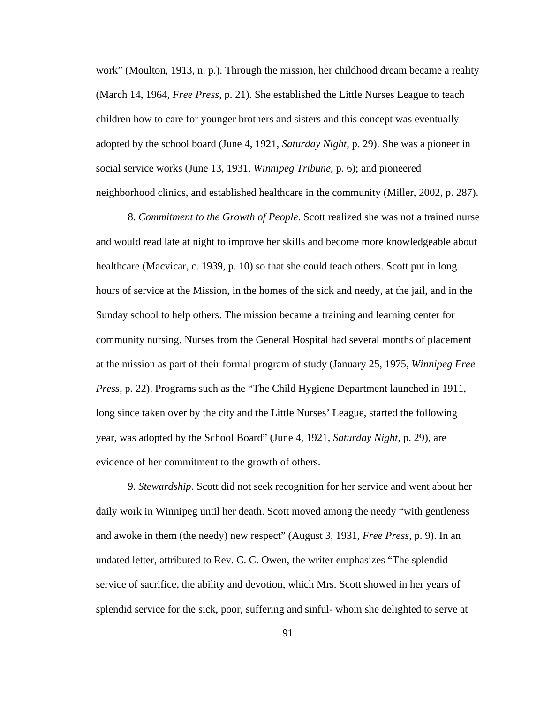work" (Moulton, 1913, n. p.). Through the mission, her childhood dream became a reality (March 14, 1964, *Free Press*, p. 21). She established the Little Nurses League to teach children how to care for younger brothers and sisters and this concept was eventually adopted by the school board (June 4, 1921, *Saturday Night*, p. 29). She was a pioneer in social service works (June 13, 1931, *Winnipeg Tribune*, p. 6); and pioneered neighborhood clinics, and established healthcare in the community (Miller, 2002, p. 287).

8. *Commitment to the Growth of People*. Scott realized she was not a trained nurse and would read late at night to improve her skills and become more knowledgeable about healthcare (Macvicar, c. 1939, p. 10) so that she could teach others. Scott put in long hours of service at the Mission, in the homes of the sick and needy, at the jail, and in the Sunday school to help others. The mission became a training and learning center for community nursing. Nurses from the General Hospital had several months of placement at the mission as part of their formal program of study (January 25, 1975, *Winnipeg Free Press*, p. 22). Programs such as the "The Child Hygiene Department launched in 1911, long since taken over by the city and the Little Nurses' League, started the following year, was adopted by the School Board" (June 4, 1921, *Saturday Night*, p. 29), are evidence of her commitment to the growth of others.

9. *Stewardship*. Scott did not seek recognition for her service and went about her daily work in Winnipeg until her death. Scott moved among the needy "with gentleness and awoke in them (the needy) new respect" (August 3, 1931, *Free Press*, p. 9). In an undated letter, attributed to Rev. C. C. Owen, the writer emphasizes "The splendid service of sacrifice, the ability and devotion, which Mrs. Scott showed in her years of splendid service for the sick, poor, suffering and sinful- whom she delighted to serve at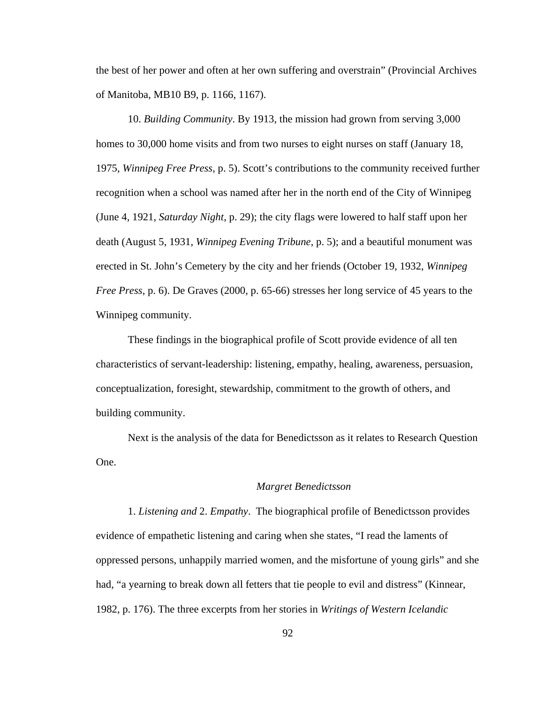the best of her power and often at her own suffering and overstrain" (Provincial Archives of Manitoba, MB10 B9, p. 1166, 1167).

10. *Building Community*. By 1913, the mission had grown from serving 3,000 homes to 30,000 home visits and from two nurses to eight nurses on staff (January 18, 1975, *Winnipeg Free Press*, p. 5). Scott's contributions to the community received further recognition when a school was named after her in the north end of the City of Winnipeg (June 4, 1921, *Saturday Night*, p. 29); the city flags were lowered to half staff upon her death (August 5, 1931, *Winnipeg Evening Tribune*, p. 5); and a beautiful monument was erected in St. John's Cemetery by the city and her friends (October 19, 1932, *Winnipeg Free Press*, p. 6). De Graves (2000, p. 65-66) stresses her long service of 45 years to the Winnipeg community.

These findings in the biographical profile of Scott provide evidence of all ten characteristics of servant-leadership: listening, empathy, healing, awareness, persuasion, conceptualization, foresight, stewardship, commitment to the growth of others, and building community.

Next is the analysis of the data for Benedictsson as it relates to Research Question One.

### *Margret Benedictsson*

1. *Listening and* 2. *Empathy*. The biographical profile of Benedictsson provides evidence of empathetic listening and caring when she states, "I read the laments of oppressed persons, unhappily married women, and the misfortune of young girls" and she had, "a yearning to break down all fetters that tie people to evil and distress" (Kinnear, 1982, p. 176). The three excerpts from her stories in *Writings of Western Icelandic*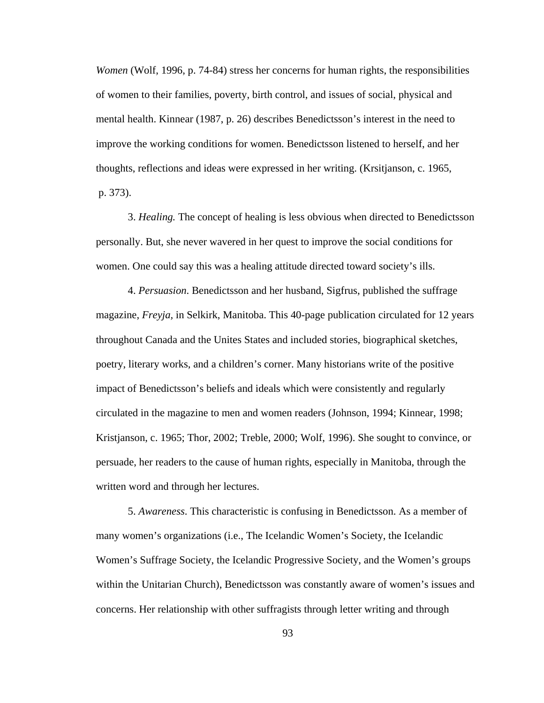*Women* (Wolf, 1996, p. 74-84) stress her concerns for human rights, the responsibilities of women to their families, poverty, birth control, and issues of social, physical and mental health. Kinnear (1987, p. 26) describes Benedictsson's interest in the need to improve the working conditions for women. Benedictsson listened to herself, and her thoughts, reflections and ideas were expressed in her writing. (Krsitjanson, c. 1965, p. 373).

3. *Healing.* The concept of healing is less obvious when directed to Benedictsson personally. But, she never wavered in her quest to improve the social conditions for women. One could say this was a healing attitude directed toward society's ills.

4. *Persuasion*. Benedictsson and her husband, Sigfrus, published the suffrage magazine, *Freyja,* in Selkirk, Manitoba. This 40-page publication circulated for 12 years throughout Canada and the Unites States and included stories, biographical sketches, poetry, literary works, and a children's corner. Many historians write of the positive impact of Benedictsson's beliefs and ideals which were consistently and regularly circulated in the magazine to men and women readers (Johnson, 1994; Kinnear, 1998; Kristjanson, c. 1965; Thor, 2002; Treble, 2000; Wolf, 1996). She sought to convince, or persuade, her readers to the cause of human rights, especially in Manitoba, through the written word and through her lectures.

5. *Awareness*. This characteristic is confusing in Benedictsson. As a member of many women's organizations (i.e., The Icelandic Women's Society, the Icelandic Women's Suffrage Society, the Icelandic Progressive Society, and the Women's groups within the Unitarian Church), Benedictsson was constantly aware of women's issues and concerns. Her relationship with other suffragists through letter writing and through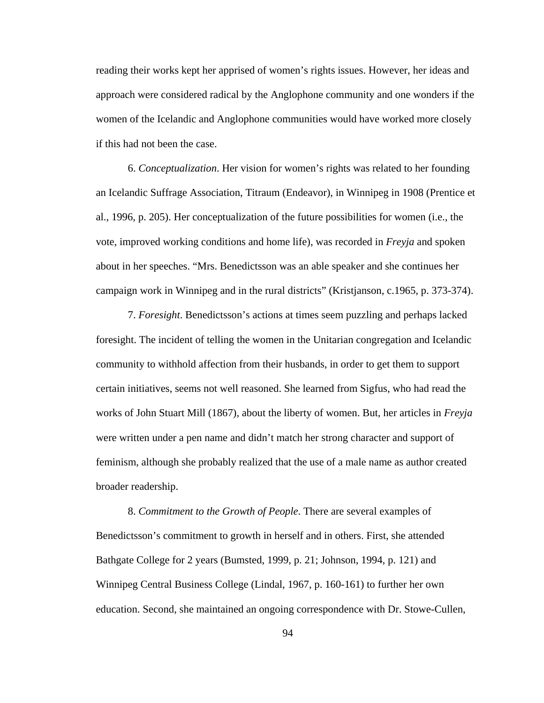reading their works kept her apprised of women's rights issues. However, her ideas and approach were considered radical by the Anglophone community and one wonders if the women of the Icelandic and Anglophone communities would have worked more closely if this had not been the case.

6. *Conceptualization*. Her vision for women's rights was related to her founding an Icelandic Suffrage Association, Titraum (Endeavor), in Winnipeg in 1908 (Prentice et al., 1996, p. 205). Her conceptualization of the future possibilities for women (i.e., the vote, improved working conditions and home life), was recorded in *Freyja* and spoken about in her speeches. "Mrs. Benedictsson was an able speaker and she continues her campaign work in Winnipeg and in the rural districts" (Kristjanson, c.1965, p. 373-374).

7. *Foresight*. Benedictsson's actions at times seem puzzling and perhaps lacked foresight. The incident of telling the women in the Unitarian congregation and Icelandic community to withhold affection from their husbands, in order to get them to support certain initiatives, seems not well reasoned. She learned from Sigfus, who had read the works of John Stuart Mill (1867), about the liberty of women. But, her articles in *Freyja* were written under a pen name and didn't match her strong character and support of feminism, although she probably realized that the use of a male name as author created broader readership.

8. *Commitment to the Growth of People*. There are several examples of Benedictsson's commitment to growth in herself and in others. First, she attended Bathgate College for 2 years (Bumsted, 1999, p. 21; Johnson, 1994, p. 121) and Winnipeg Central Business College (Lindal, 1967, p. 160-161) to further her own education. Second, she maintained an ongoing correspondence with Dr. Stowe-Cullen,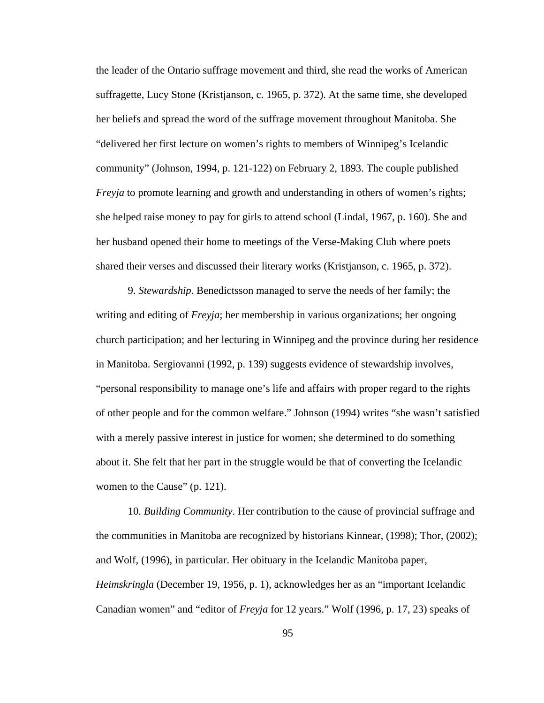the leader of the Ontario suffrage movement and third, she read the works of American suffragette, Lucy Stone (Kristjanson, c. 1965, p. 372). At the same time, she developed her beliefs and spread the word of the suffrage movement throughout Manitoba. She "delivered her first lecture on women's rights to members of Winnipeg's Icelandic community" (Johnson, 1994, p. 121-122) on February 2, 1893. The couple published *Freyja* to promote learning and growth and understanding in others of women's rights; she helped raise money to pay for girls to attend school (Lindal, 1967, p. 160). She and her husband opened their home to meetings of the Verse-Making Club where poets shared their verses and discussed their literary works (Kristjanson, c. 1965, p. 372).

9. *Stewardship*. Benedictsson managed to serve the needs of her family; the writing and editing of *Freyja*; her membership in various organizations; her ongoing church participation; and her lecturing in Winnipeg and the province during her residence in Manitoba. Sergiovanni (1992, p. 139) suggests evidence of stewardship involves, "personal responsibility to manage one's life and affairs with proper regard to the rights of other people and for the common welfare." Johnson (1994) writes "she wasn't satisfied with a merely passive interest in justice for women; she determined to do something about it. She felt that her part in the struggle would be that of converting the Icelandic women to the Cause" (p. 121).

10. *Building Community*. Her contribution to the cause of provincial suffrage and the communities in Manitoba are recognized by historians Kinnear, (1998); Thor, (2002); and Wolf, (1996), in particular. Her obituary in the Icelandic Manitoba paper, *Heimskringla* (December 19, 1956, p. 1), acknowledges her as an "important Icelandic Canadian women" and "editor of *Freyja* for 12 years." Wolf (1996, p. 17, 23) speaks of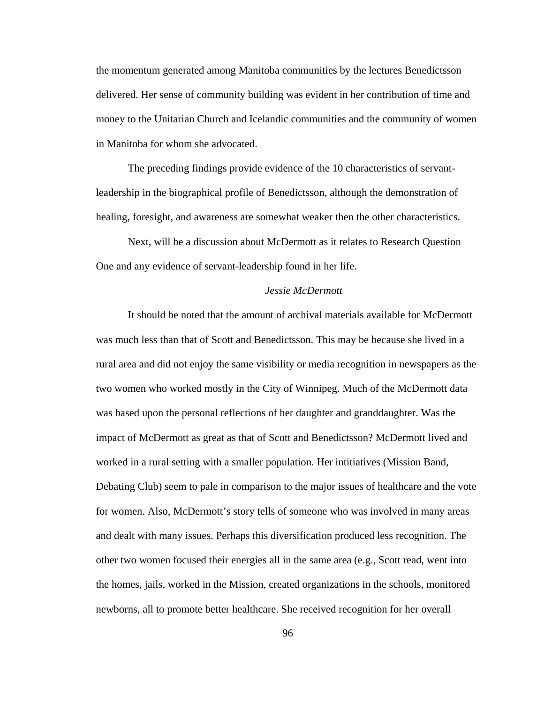the momentum generated among Manitoba communities by the lectures Benedictsson delivered. Her sense of community building was evident in her contribution of time and money to the Unitarian Church and Icelandic communities and the community of women in Manitoba for whom she advocated.

The preceding findings provide evidence of the 10 characteristics of servantleadership in the biographical profile of Benedictsson, although the demonstration of healing, foresight, and awareness are somewhat weaker then the other characteristics.

Next, will be a discussion about McDermott as it relates to Research Question One and any evidence of servant-leadership found in her life.

### *Jessie McDermott*

 It should be noted that the amount of archival materials available for McDermott was much less than that of Scott and Benedictsson. This may be because she lived in a rural area and did not enjoy the same visibility or media recognition in newspapers as the two women who worked mostly in the City of Winnipeg. Much of the McDermott data was based upon the personal reflections of her daughter and granddaughter. Was the impact of McDermott as great as that of Scott and Benedictsson? McDermott lived and worked in a rural setting with a smaller population. Her intitiatives (Mission Band, Debating Club) seem to pale in comparison to the major issues of healthcare and the vote for women. Also, McDermott's story tells of someone who was involved in many areas and dealt with many issues. Perhaps this diversification produced less recognition. The other two women focused their energies all in the same area (e.g., Scott read, went into the homes, jails, worked in the Mission, created organizations in the schools, monitored newborns, all to promote better healthcare. She received recognition for her overall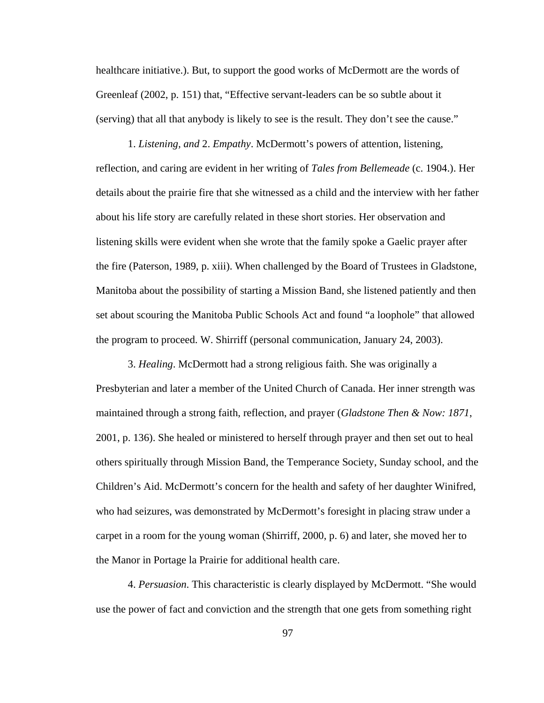healthcare initiative.). But, to support the good works of McDermott are the words of Greenleaf (2002, p. 151) that, "Effective servant-leaders can be so subtle about it (serving) that all that anybody is likely to see is the result. They don't see the cause."

1. *Listening, and* 2. *Empathy*. McDermott's powers of attention, listening, reflection, and caring are evident in her writing of *Tales from Bellemeade* (c. 1904.). Her details about the prairie fire that she witnessed as a child and the interview with her father about his life story are carefully related in these short stories. Her observation and listening skills were evident when she wrote that the family spoke a Gaelic prayer after the fire (Paterson, 1989, p. xiii). When challenged by the Board of Trustees in Gladstone, Manitoba about the possibility of starting a Mission Band, she listened patiently and then set about scouring the Manitoba Public Schools Act and found "a loophole" that allowed the program to proceed. W. Shirriff (personal communication, January 24, 2003).

3. *Healing*. McDermott had a strong religious faith. She was originally a Presbyterian and later a member of the United Church of Canada. Her inner strength was maintained through a strong faith, reflection, and prayer (*Gladstone Then & Now: 1871*, 2001, p. 136). She healed or ministered to herself through prayer and then set out to heal others spiritually through Mission Band, the Temperance Society, Sunday school, and the Children's Aid. McDermott's concern for the health and safety of her daughter Winifred, who had seizures, was demonstrated by McDermott's foresight in placing straw under a carpet in a room for the young woman (Shirriff, 2000, p. 6) and later, she moved her to the Manor in Portage la Prairie for additional health care.

4. *Persuasion*. This characteristic is clearly displayed by McDermott. "She would use the power of fact and conviction and the strength that one gets from something right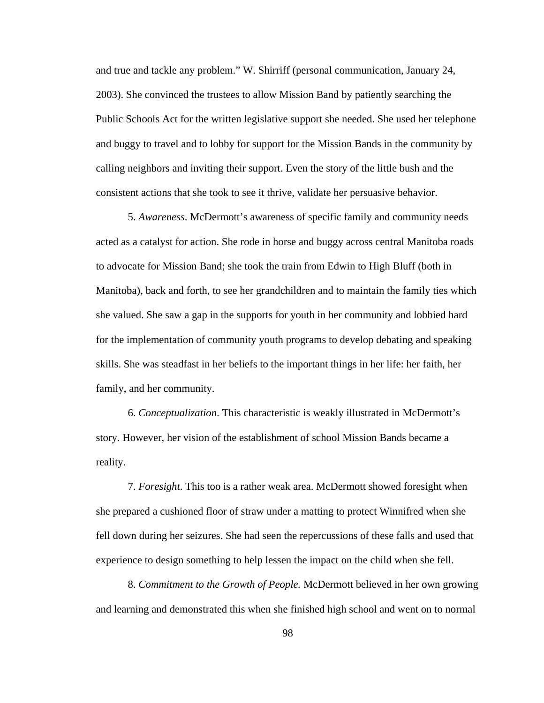and true and tackle any problem." W. Shirriff (personal communication, January 24, 2003). She convinced the trustees to allow Mission Band by patiently searching the Public Schools Act for the written legislative support she needed. She used her telephone and buggy to travel and to lobby for support for the Mission Bands in the community by calling neighbors and inviting their support. Even the story of the little bush and the consistent actions that she took to see it thrive, validate her persuasive behavior.

5. *Awareness*. McDermott's awareness of specific family and community needs acted as a catalyst for action. She rode in horse and buggy across central Manitoba roads to advocate for Mission Band; she took the train from Edwin to High Bluff (both in Manitoba), back and forth, to see her grandchildren and to maintain the family ties which she valued. She saw a gap in the supports for youth in her community and lobbied hard for the implementation of community youth programs to develop debating and speaking skills. She was steadfast in her beliefs to the important things in her life: her faith, her family, and her community.

6. *Conceptualization*. This characteristic is weakly illustrated in McDermott's story. However, her vision of the establishment of school Mission Bands became a reality.

7. *Foresight*. This too is a rather weak area. McDermott showed foresight when she prepared a cushioned floor of straw under a matting to protect Winnifred when she fell down during her seizures. She had seen the repercussions of these falls and used that experience to design something to help lessen the impact on the child when she fell.

8. *Commitment to the Growth of People.* McDermott believed in her own growing and learning and demonstrated this when she finished high school and went on to normal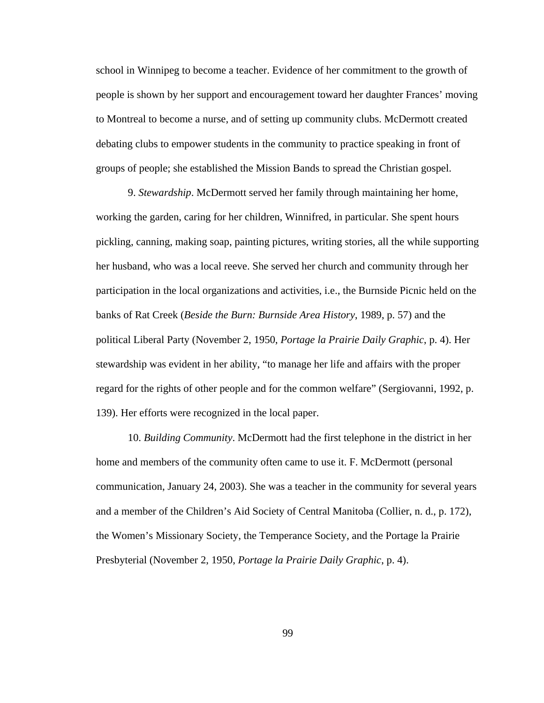school in Winnipeg to become a teacher. Evidence of her commitment to the growth of people is shown by her support and encouragement toward her daughter Frances' moving to Montreal to become a nurse, and of setting up community clubs. McDermott created debating clubs to empower students in the community to practice speaking in front of groups of people; she established the Mission Bands to spread the Christian gospel.

9. *Stewardship*. McDermott served her family through maintaining her home, working the garden, caring for her children, Winnifred, in particular. She spent hours pickling, canning, making soap, painting pictures, writing stories, all the while supporting her husband, who was a local reeve. She served her church and community through her participation in the local organizations and activities, i.e., the Burnside Picnic held on the banks of Rat Creek (*Beside the Burn: Burnside Area History*, 1989, p. 57) and the political Liberal Party (November 2, 1950, *Portage la Prairie Daily Graphic*, p. 4). Her stewardship was evident in her ability, "to manage her life and affairs with the proper regard for the rights of other people and for the common welfare" (Sergiovanni, 1992, p. 139). Her efforts were recognized in the local paper.

10. *Building Community*. McDermott had the first telephone in the district in her home and members of the community often came to use it. F. McDermott (personal communication, January 24, 2003). She was a teacher in the community for several years and a member of the Children's Aid Society of Central Manitoba (Collier, n. d., p. 172), the Women's Missionary Society, the Temperance Society, and the Portage la Prairie Presbyterial (November 2, 1950, *Portage la Prairie Daily Graphic*, p. 4).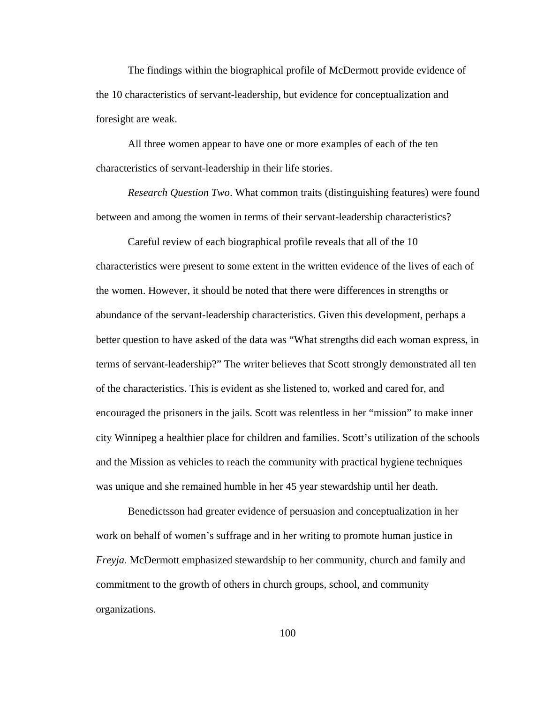The findings within the biographical profile of McDermott provide evidence of the 10 characteristics of servant-leadership, but evidence for conceptualization and foresight are weak.

All three women appear to have one or more examples of each of the ten characteristics of servant-leadership in their life stories.

*Research Question Two*. What common traits (distinguishing features) were found between and among the women in terms of their servant-leadership characteristics?

Careful review of each biographical profile reveals that all of the 10 characteristics were present to some extent in the written evidence of the lives of each of the women. However, it should be noted that there were differences in strengths or abundance of the servant-leadership characteristics. Given this development, perhaps a better question to have asked of the data was "What strengths did each woman express, in terms of servant-leadership?" The writer believes that Scott strongly demonstrated all ten of the characteristics. This is evident as she listened to, worked and cared for, and encouraged the prisoners in the jails. Scott was relentless in her "mission" to make inner city Winnipeg a healthier place for children and families. Scott's utilization of the schools and the Mission as vehicles to reach the community with practical hygiene techniques was unique and she remained humble in her 45 year stewardship until her death.

Benedictsson had greater evidence of persuasion and conceptualization in her work on behalf of women's suffrage and in her writing to promote human justice in *Freyja.* McDermott emphasized stewardship to her community, church and family and commitment to the growth of others in church groups, school, and community organizations.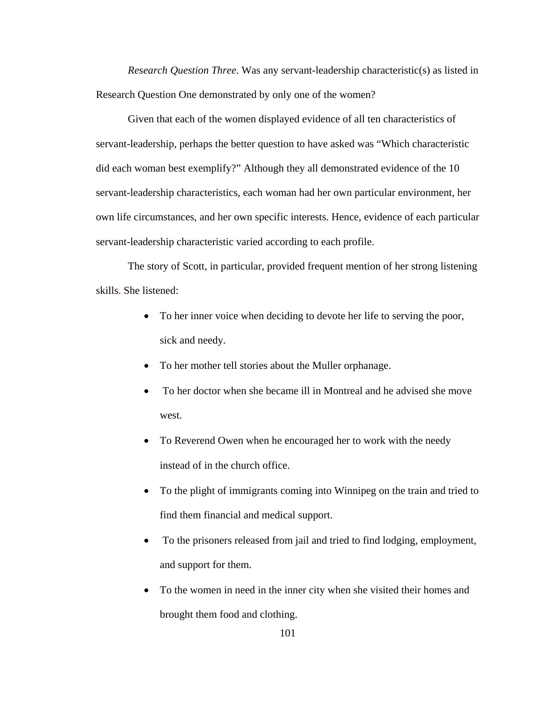*Research Question Three*. Was any servant-leadership characteristic(s) as listed in Research Question One demonstrated by only one of the women?

Given that each of the women displayed evidence of all ten characteristics of servant-leadership, perhaps the better question to have asked was "Which characteristic did each woman best exemplify?" Although they all demonstrated evidence of the 10 servant-leadership characteristics, each woman had her own particular environment, her own life circumstances, and her own specific interests. Hence, evidence of each particular servant-leadership characteristic varied according to each profile.

The story of Scott, in particular, provided frequent mention of her strong listening skills. She listened:

- To her inner voice when deciding to devote her life to serving the poor, sick and needy.
- To her mother tell stories about the Muller orphanage.
- To her doctor when she became ill in Montreal and he advised she move west.
- To Reverend Owen when he encouraged her to work with the needy instead of in the church office.
- To the plight of immigrants coming into Winnipeg on the train and tried to find them financial and medical support.
- To the prisoners released from jail and tried to find lodging, employment, and support for them.
- To the women in need in the inner city when she visited their homes and brought them food and clothing.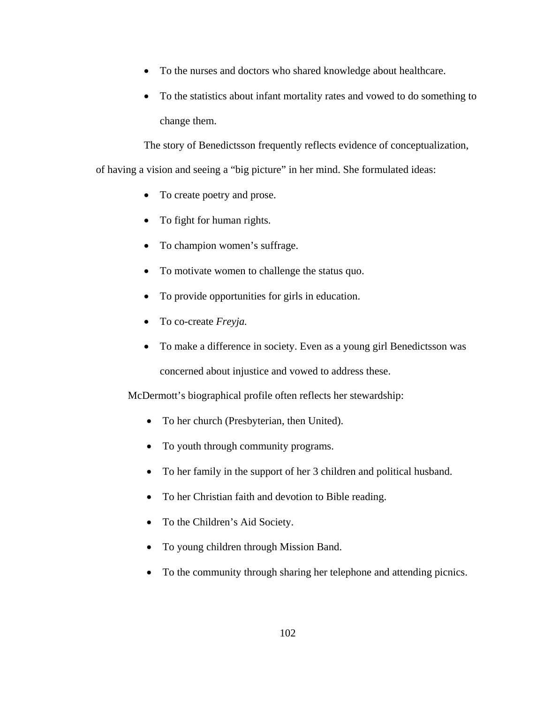- To the nurses and doctors who shared knowledge about healthcare.
- To the statistics about infant mortality rates and vowed to do something to change them.

The story of Benedictsson frequently reflects evidence of conceptualization,

of having a vision and seeing a "big picture" in her mind. She formulated ideas:

- To create poetry and prose.
- To fight for human rights.
- To champion women's suffrage.
- To motivate women to challenge the status quo.
- To provide opportunities for girls in education.
- To co-create *Freyja.*
- To make a difference in society. Even as a young girl Benedictsson was concerned about injustice and vowed to address these.

McDermott's biographical profile often reflects her stewardship:

- To her church (Presbyterian, then United).
- To youth through community programs.
- To her family in the support of her 3 children and political husband.
- To her Christian faith and devotion to Bible reading.
- To the Children's Aid Society.
- To young children through Mission Band.
- To the community through sharing her telephone and attending picnics.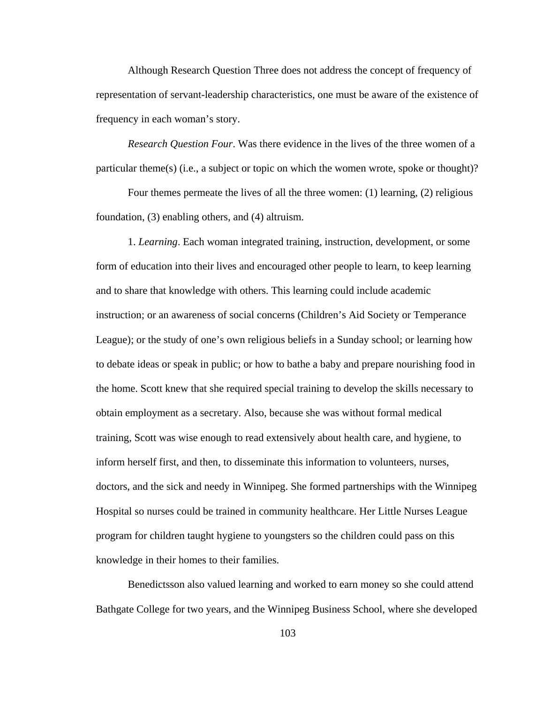Although Research Question Three does not address the concept of frequency of representation of servant-leadership characteristics, one must be aware of the existence of frequency in each woman's story.

*Research Question Four*. Was there evidence in the lives of the three women of a particular theme(s) (i.e., a subject or topic on which the women wrote, spoke or thought)?

Four themes permeate the lives of all the three women: (1) learning, (2) religious foundation, (3) enabling others, and (4) altruism.

1. *Learning*. Each woman integrated training, instruction, development, or some form of education into their lives and encouraged other people to learn, to keep learning and to share that knowledge with others. This learning could include academic instruction; or an awareness of social concerns (Children's Aid Society or Temperance League); or the study of one's own religious beliefs in a Sunday school; or learning how to debate ideas or speak in public; or how to bathe a baby and prepare nourishing food in the home. Scott knew that she required special training to develop the skills necessary to obtain employment as a secretary. Also, because she was without formal medical training, Scott was wise enough to read extensively about health care, and hygiene, to inform herself first, and then, to disseminate this information to volunteers, nurses, doctors, and the sick and needy in Winnipeg. She formed partnerships with the Winnipeg Hospital so nurses could be trained in community healthcare. Her Little Nurses League program for children taught hygiene to youngsters so the children could pass on this knowledge in their homes to their families.

 Benedictsson also valued learning and worked to earn money so she could attend Bathgate College for two years, and the Winnipeg Business School, where she developed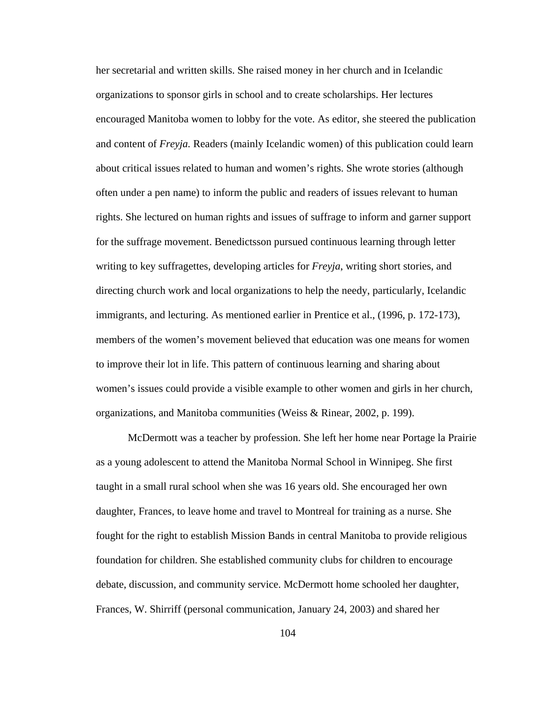her secretarial and written skills. She raised money in her church and in Icelandic organizations to sponsor girls in school and to create scholarships. Her lectures encouraged Manitoba women to lobby for the vote. As editor, she steered the publication and content of *Freyja.* Readers (mainly Icelandic women) of this publication could learn about critical issues related to human and women's rights. She wrote stories (although often under a pen name) to inform the public and readers of issues relevant to human rights. She lectured on human rights and issues of suffrage to inform and garner support for the suffrage movement. Benedictsson pursued continuous learning through letter writing to key suffragettes, developing articles for *Freyja*, writing short stories, and directing church work and local organizations to help the needy, particularly, Icelandic immigrants, and lecturing. As mentioned earlier in Prentice et al., (1996, p. 172-173), members of the women's movement believed that education was one means for women to improve their lot in life. This pattern of continuous learning and sharing about women's issues could provide a visible example to other women and girls in her church, organizations, and Manitoba communities (Weiss & Rinear, 2002, p. 199).

 McDermott was a teacher by profession. She left her home near Portage la Prairie as a young adolescent to attend the Manitoba Normal School in Winnipeg. She first taught in a small rural school when she was 16 years old. She encouraged her own daughter, Frances, to leave home and travel to Montreal for training as a nurse. She fought for the right to establish Mission Bands in central Manitoba to provide religious foundation for children. She established community clubs for children to encourage debate, discussion, and community service. McDermott home schooled her daughter, Frances, W. Shirriff (personal communication, January 24, 2003) and shared her

104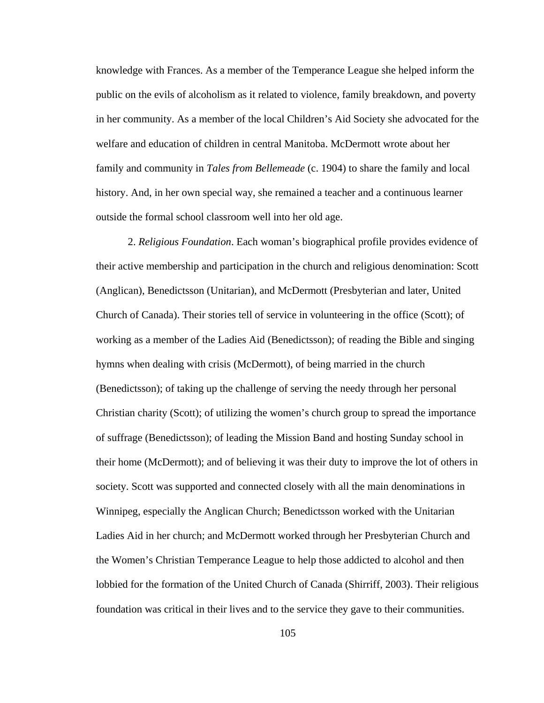knowledge with Frances. As a member of the Temperance League she helped inform the public on the evils of alcoholism as it related to violence, family breakdown, and poverty in her community. As a member of the local Children's Aid Society she advocated for the welfare and education of children in central Manitoba. McDermott wrote about her family and community in *Tales from Bellemeade* (c. 1904) to share the family and local history. And, in her own special way, she remained a teacher and a continuous learner outside the formal school classroom well into her old age.

2. *Religious Foundation*. Each woman's biographical profile provides evidence of their active membership and participation in the church and religious denomination: Scott (Anglican), Benedictsson (Unitarian), and McDermott (Presbyterian and later, United Church of Canada). Their stories tell of service in volunteering in the office (Scott); of working as a member of the Ladies Aid (Benedictsson); of reading the Bible and singing hymns when dealing with crisis (McDermott), of being married in the church (Benedictsson); of taking up the challenge of serving the needy through her personal Christian charity (Scott); of utilizing the women's church group to spread the importance of suffrage (Benedictsson); of leading the Mission Band and hosting Sunday school in their home (McDermott); and of believing it was their duty to improve the lot of others in society. Scott was supported and connected closely with all the main denominations in Winnipeg, especially the Anglican Church; Benedictsson worked with the Unitarian Ladies Aid in her church; and McDermott worked through her Presbyterian Church and the Women's Christian Temperance League to help those addicted to alcohol and then lobbied for the formation of the United Church of Canada (Shirriff, 2003). Their religious foundation was critical in their lives and to the service they gave to their communities.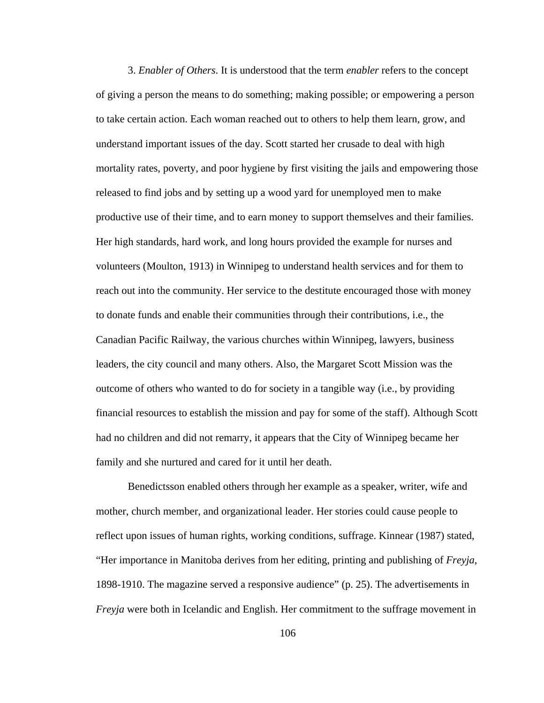3. *Enabler of Others*. It is understood that the term *enabler* refers to the concept of giving a person the means to do something; making possible; or empowering a person to take certain action. Each woman reached out to others to help them learn, grow, and understand important issues of the day. Scott started her crusade to deal with high mortality rates, poverty, and poor hygiene by first visiting the jails and empowering those released to find jobs and by setting up a wood yard for unemployed men to make productive use of their time, and to earn money to support themselves and their families. Her high standards, hard work, and long hours provided the example for nurses and volunteers (Moulton, 1913) in Winnipeg to understand health services and for them to reach out into the community. Her service to the destitute encouraged those with money to donate funds and enable their communities through their contributions, i.e., the Canadian Pacific Railway, the various churches within Winnipeg, lawyers, business leaders, the city council and many others. Also, the Margaret Scott Mission was the outcome of others who wanted to do for society in a tangible way (i.e., by providing financial resources to establish the mission and pay for some of the staff). Although Scott had no children and did not remarry, it appears that the City of Winnipeg became her family and she nurtured and cared for it until her death.

Benedictsson enabled others through her example as a speaker, writer, wife and mother, church member, and organizational leader. Her stories could cause people to reflect upon issues of human rights, working conditions, suffrage. Kinnear (1987) stated, "Her importance in Manitoba derives from her editing, printing and publishing of *Freyja*, 1898-1910. The magazine served a responsive audience" (p. 25). The advertisements in *Freyja* were both in Icelandic and English. Her commitment to the suffrage movement in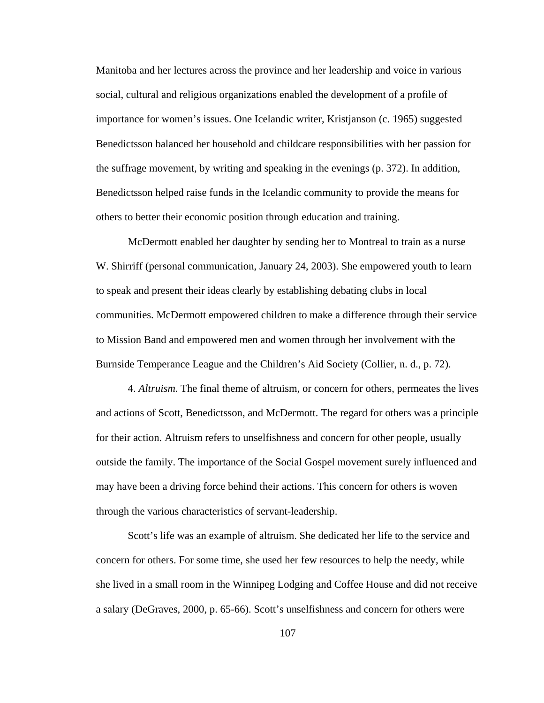Manitoba and her lectures across the province and her leadership and voice in various social, cultural and religious organizations enabled the development of a profile of importance for women's issues. One Icelandic writer, Kristjanson (c. 1965) suggested Benedictsson balanced her household and childcare responsibilities with her passion for the suffrage movement, by writing and speaking in the evenings (p. 372). In addition, Benedictsson helped raise funds in the Icelandic community to provide the means for others to better their economic position through education and training.

McDermott enabled her daughter by sending her to Montreal to train as a nurse W. Shirriff (personal communication, January 24, 2003). She empowered youth to learn to speak and present their ideas clearly by establishing debating clubs in local communities. McDermott empowered children to make a difference through their service to Mission Band and empowered men and women through her involvement with the Burnside Temperance League and the Children's Aid Society (Collier, n. d., p. 72).

4. *Altruism*. The final theme of altruism, or concern for others, permeates the lives and actions of Scott, Benedictsson, and McDermott. The regard for others was a principle for their action. Altruism refers to unselfishness and concern for other people, usually outside the family. The importance of the Social Gospel movement surely influenced and may have been a driving force behind their actions. This concern for others is woven through the various characteristics of servant-leadership.

Scott's life was an example of altruism. She dedicated her life to the service and concern for others. For some time, she used her few resources to help the needy, while she lived in a small room in the Winnipeg Lodging and Coffee House and did not receive a salary (DeGraves, 2000, p. 65-66). Scott's unselfishness and concern for others were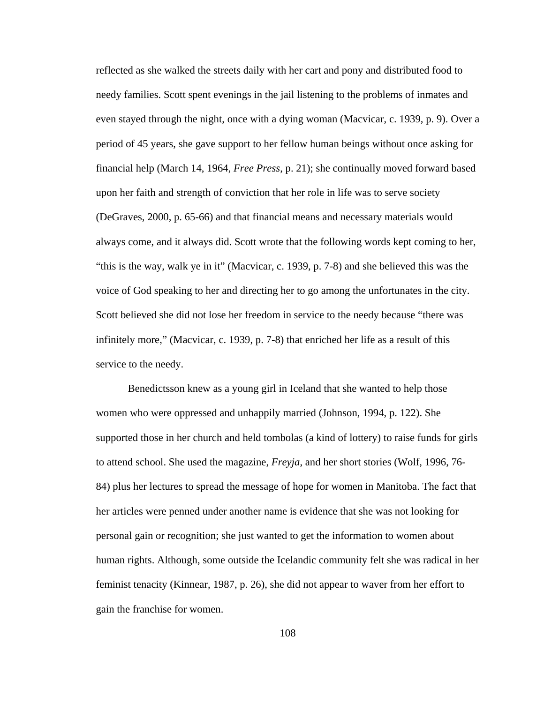reflected as she walked the streets daily with her cart and pony and distributed food to needy families. Scott spent evenings in the jail listening to the problems of inmates and even stayed through the night, once with a dying woman (Macvicar, c. 1939, p. 9). Over a period of 45 years, she gave support to her fellow human beings without once asking for financial help (March 14, 1964, *Free Press*, p. 21); she continually moved forward based upon her faith and strength of conviction that her role in life was to serve society (DeGraves, 2000, p. 65-66) and that financial means and necessary materials would always come, and it always did. Scott wrote that the following words kept coming to her, "this is the way, walk ye in it" (Macvicar, c. 1939, p. 7-8) and she believed this was the voice of God speaking to her and directing her to go among the unfortunates in the city. Scott believed she did not lose her freedom in service to the needy because "there was infinitely more," (Macvicar, c. 1939, p. 7-8) that enriched her life as a result of this service to the needy.

Benedictsson knew as a young girl in Iceland that she wanted to help those women who were oppressed and unhappily married (Johnson, 1994, p. 122). She supported those in her church and held tombolas (a kind of lottery) to raise funds for girls to attend school. She used the magazine, *Freyja*, and her short stories (Wolf, 1996, 76- 84) plus her lectures to spread the message of hope for women in Manitoba. The fact that her articles were penned under another name is evidence that she was not looking for personal gain or recognition; she just wanted to get the information to women about human rights. Although, some outside the Icelandic community felt she was radical in her feminist tenacity (Kinnear, 1987, p. 26), she did not appear to waver from her effort to gain the franchise for women.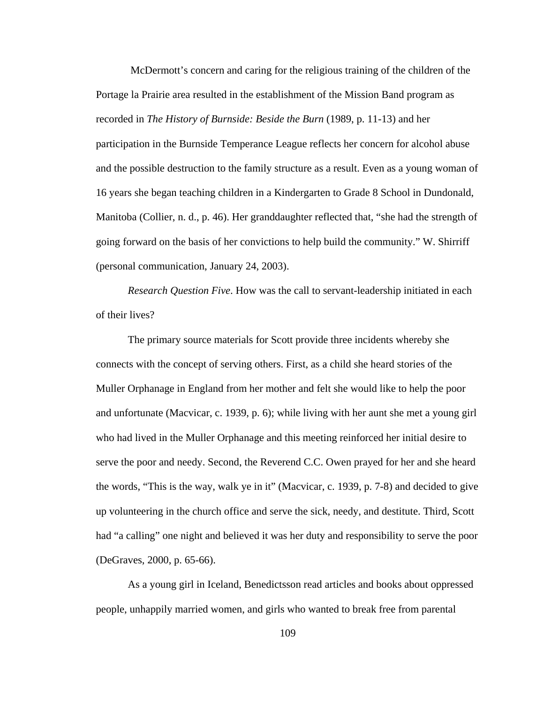McDermott's concern and caring for the religious training of the children of the Portage la Prairie area resulted in the establishment of the Mission Band program as recorded in *The History of Burnside: Beside the Burn* (1989, p. 11-13) and her participation in the Burnside Temperance League reflects her concern for alcohol abuse and the possible destruction to the family structure as a result. Even as a young woman of 16 years she began teaching children in a Kindergarten to Grade 8 School in Dundonald, Manitoba (Collier, n. d., p. 46). Her granddaughter reflected that, "she had the strength of going forward on the basis of her convictions to help build the community." W. Shirriff (personal communication, January 24, 2003).

*Research Question Five*. How was the call to servant-leadership initiated in each of their lives?

The primary source materials for Scott provide three incidents whereby she connects with the concept of serving others. First, as a child she heard stories of the Muller Orphanage in England from her mother and felt she would like to help the poor and unfortunate (Macvicar, c. 1939, p. 6); while living with her aunt she met a young girl who had lived in the Muller Orphanage and this meeting reinforced her initial desire to serve the poor and needy. Second, the Reverend C.C. Owen prayed for her and she heard the words, "This is the way, walk ye in it" (Macvicar, c. 1939, p. 7-8) and decided to give up volunteering in the church office and serve the sick, needy, and destitute. Third, Scott had "a calling" one night and believed it was her duty and responsibility to serve the poor (DeGraves, 2000, p. 65-66).

 As a young girl in Iceland, Benedictsson read articles and books about oppressed people, unhappily married women, and girls who wanted to break free from parental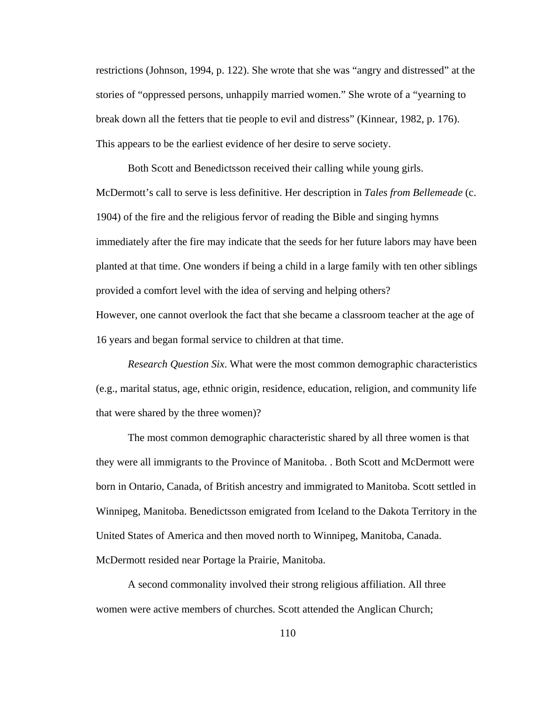restrictions (Johnson, 1994, p. 122). She wrote that she was "angry and distressed" at the stories of "oppressed persons, unhappily married women." She wrote of a "yearning to break down all the fetters that tie people to evil and distress" (Kinnear, 1982, p. 176). This appears to be the earliest evidence of her desire to serve society.

 Both Scott and Benedictsson received their calling while young girls. McDermott's call to serve is less definitive. Her description in *Tales from Bellemeade* (c. 1904) of the fire and the religious fervor of reading the Bible and singing hymns immediately after the fire may indicate that the seeds for her future labors may have been planted at that time. One wonders if being a child in a large family with ten other siblings provided a comfort level with the idea of serving and helping others?

However, one cannot overlook the fact that she became a classroom teacher at the age of 16 years and began formal service to children at that time.

*Research Question Six*. What were the most common demographic characteristics (e.g., marital status, age, ethnic origin, residence, education, religion, and community life that were shared by the three women)?

The most common demographic characteristic shared by all three women is that they were all immigrants to the Province of Manitoba. . Both Scott and McDermott were born in Ontario, Canada, of British ancestry and immigrated to Manitoba. Scott settled in Winnipeg, Manitoba. Benedictsson emigrated from Iceland to the Dakota Territory in the United States of America and then moved north to Winnipeg, Manitoba, Canada. McDermott resided near Portage la Prairie, Manitoba.

A second commonality involved their strong religious affiliation. All three women were active members of churches. Scott attended the Anglican Church;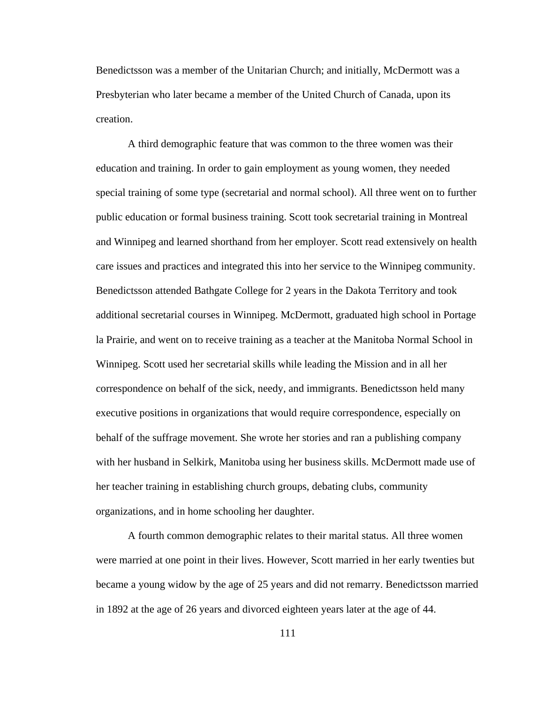Benedictsson was a member of the Unitarian Church; and initially, McDermott was a Presbyterian who later became a member of the United Church of Canada, upon its creation.

A third demographic feature that was common to the three women was their education and training. In order to gain employment as young women, they needed special training of some type (secretarial and normal school). All three went on to further public education or formal business training. Scott took secretarial training in Montreal and Winnipeg and learned shorthand from her employer. Scott read extensively on health care issues and practices and integrated this into her service to the Winnipeg community. Benedictsson attended Bathgate College for 2 years in the Dakota Territory and took additional secretarial courses in Winnipeg. McDermott, graduated high school in Portage la Prairie, and went on to receive training as a teacher at the Manitoba Normal School in Winnipeg. Scott used her secretarial skills while leading the Mission and in all her correspondence on behalf of the sick, needy, and immigrants. Benedictsson held many executive positions in organizations that would require correspondence, especially on behalf of the suffrage movement. She wrote her stories and ran a publishing company with her husband in Selkirk, Manitoba using her business skills. McDermott made use of her teacher training in establishing church groups, debating clubs, community organizations, and in home schooling her daughter.

A fourth common demographic relates to their marital status. All three women were married at one point in their lives. However, Scott married in her early twenties but became a young widow by the age of 25 years and did not remarry. Benedictsson married in 1892 at the age of 26 years and divorced eighteen years later at the age of 44.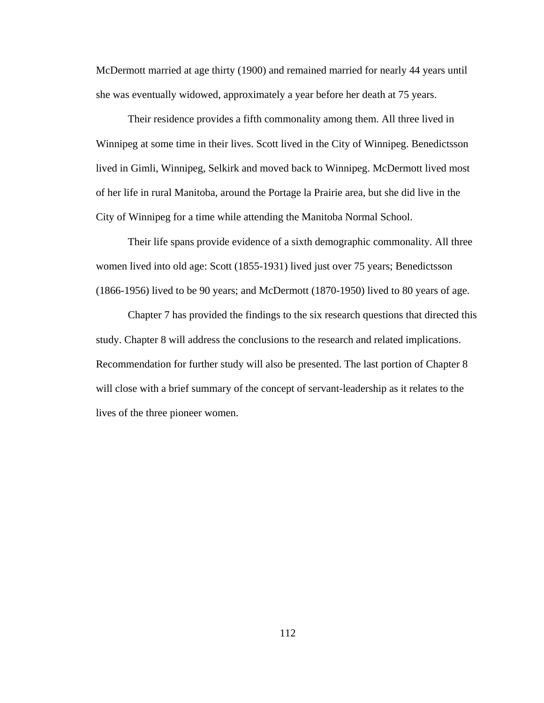McDermott married at age thirty (1900) and remained married for nearly 44 years until she was eventually widowed, approximately a year before her death at 75 years.

Their residence provides a fifth commonality among them. All three lived in Winnipeg at some time in their lives. Scott lived in the City of Winnipeg. Benedictsson lived in Gimli, Winnipeg, Selkirk and moved back to Winnipeg. McDermott lived most of her life in rural Manitoba, around the Portage la Prairie area, but she did live in the City of Winnipeg for a time while attending the Manitoba Normal School.

Their life spans provide evidence of a sixth demographic commonality. All three women lived into old age: Scott (1855-1931) lived just over 75 years; Benedictsson (1866-1956) lived to be 90 years; and McDermott (1870-1950) lived to 80 years of age.

 Chapter 7 has provided the findings to the six research questions that directed this study. Chapter 8 will address the conclusions to the research and related implications. Recommendation for further study will also be presented. The last portion of Chapter 8 will close with a brief summary of the concept of servant-leadership as it relates to the lives of the three pioneer women.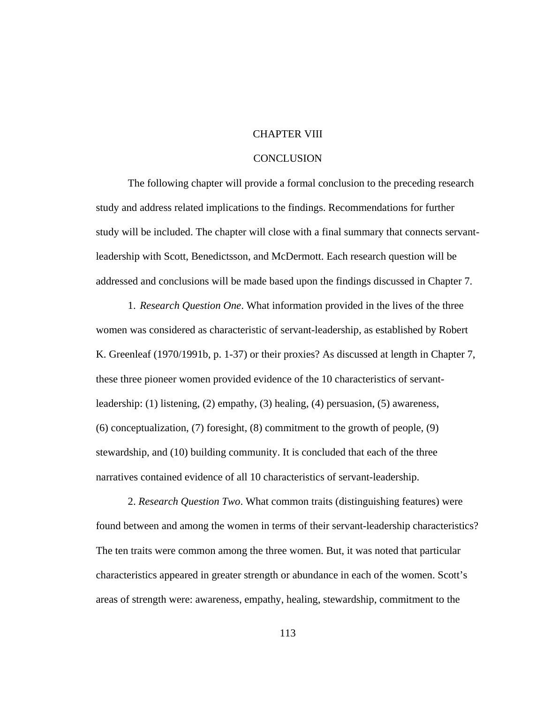# CHAPTER VIII

## **CONCLUSION**

 The following chapter will provide a formal conclusion to the preceding research study and address related implications to the findings. Recommendations for further study will be included. The chapter will close with a final summary that connects servantleadership with Scott, Benedictsson, and McDermott. Each research question will be addressed and conclusions will be made based upon the findings discussed in Chapter 7.

1. *Research Question One*. What information provided in the lives of the three women was considered as characteristic of servant-leadership, as established by Robert K. Greenleaf (1970/1991b, p. 1-37) or their proxies? As discussed at length in Chapter 7, these three pioneer women provided evidence of the 10 characteristics of servantleadership: (1) listening, (2) empathy, (3) healing, (4) persuasion, (5) awareness, (6) conceptualization, (7) foresight, (8) commitment to the growth of people, (9) stewardship, and (10) building community. It is concluded that each of the three narratives contained evidence of all 10 characteristics of servant-leadership.

2. *Research Question Two*. What common traits (distinguishing features) were found between and among the women in terms of their servant-leadership characteristics? The ten traits were common among the three women. But, it was noted that particular characteristics appeared in greater strength or abundance in each of the women. Scott's areas of strength were: awareness, empathy, healing, stewardship, commitment to the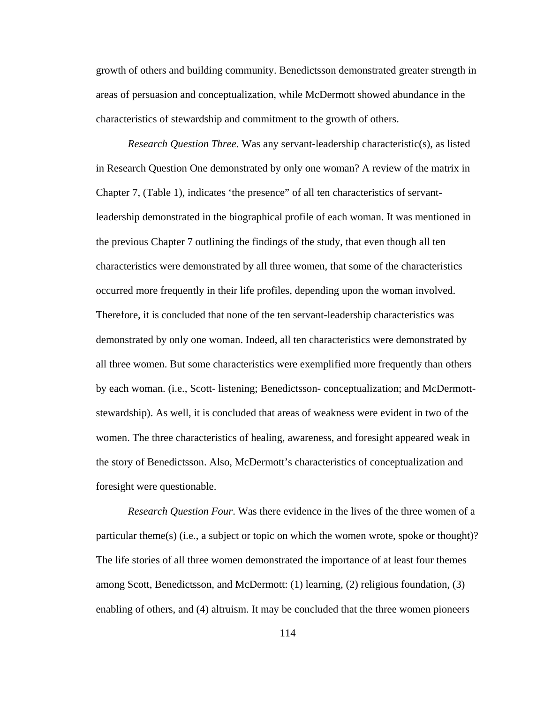growth of others and building community. Benedictsson demonstrated greater strength in areas of persuasion and conceptualization, while McDermott showed abundance in the characteristics of stewardship and commitment to the growth of others.

*Research Question Three*. Was any servant-leadership characteristic(s), as listed in Research Question One demonstrated by only one woman? A review of the matrix in Chapter 7, (Table 1), indicates 'the presence" of all ten characteristics of servantleadership demonstrated in the biographical profile of each woman. It was mentioned in the previous Chapter 7 outlining the findings of the study, that even though all ten characteristics were demonstrated by all three women, that some of the characteristics occurred more frequently in their life profiles, depending upon the woman involved. Therefore, it is concluded that none of the ten servant-leadership characteristics was demonstrated by only one woman. Indeed, all ten characteristics were demonstrated by all three women. But some characteristics were exemplified more frequently than others by each woman. (i.e., Scott- listening; Benedictsson- conceptualization; and McDermottstewardship). As well, it is concluded that areas of weakness were evident in two of the women. The three characteristics of healing, awareness, and foresight appeared weak in the story of Benedictsson. Also, McDermott's characteristics of conceptualization and foresight were questionable.

*Research Question Four*. Was there evidence in the lives of the three women of a particular theme(s) (i.e., a subject or topic on which the women wrote, spoke or thought)? The life stories of all three women demonstrated the importance of at least four themes among Scott, Benedictsson, and McDermott: (1) learning, (2) religious foundation, (3) enabling of others, and (4) altruism. It may be concluded that the three women pioneers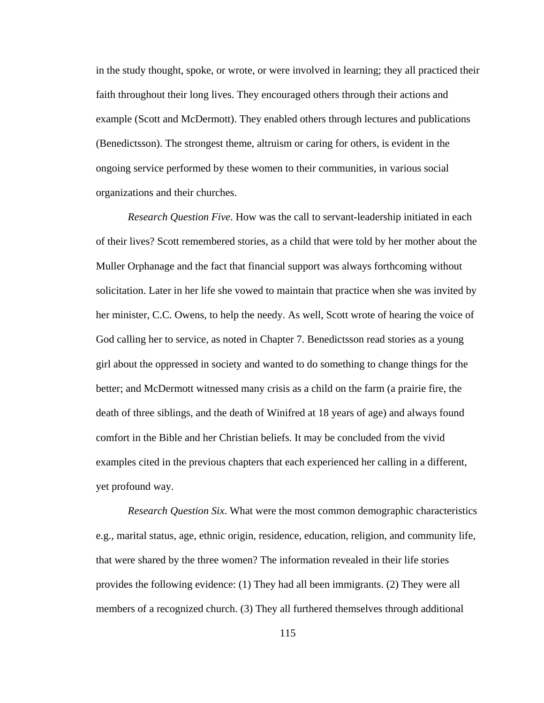in the study thought, spoke, or wrote, or were involved in learning; they all practiced their faith throughout their long lives. They encouraged others through their actions and example (Scott and McDermott). They enabled others through lectures and publications (Benedictsson). The strongest theme, altruism or caring for others, is evident in the ongoing service performed by these women to their communities, in various social organizations and their churches.

*Research Question Five*. How was the call to servant-leadership initiated in each of their lives? Scott remembered stories, as a child that were told by her mother about the Muller Orphanage and the fact that financial support was always forthcoming without solicitation. Later in her life she vowed to maintain that practice when she was invited by her minister, C.C. Owens, to help the needy. As well, Scott wrote of hearing the voice of God calling her to service, as noted in Chapter 7. Benedictsson read stories as a young girl about the oppressed in society and wanted to do something to change things for the better; and McDermott witnessed many crisis as a child on the farm (a prairie fire, the death of three siblings, and the death of Winifred at 18 years of age) and always found comfort in the Bible and her Christian beliefs. It may be concluded from the vivid examples cited in the previous chapters that each experienced her calling in a different, yet profound way.

*Research Question Six*. What were the most common demographic characteristics e.g., marital status, age, ethnic origin, residence, education, religion, and community life, that were shared by the three women? The information revealed in their life stories provides the following evidence: (1) They had all been immigrants. (2) They were all members of a recognized church. (3) They all furthered themselves through additional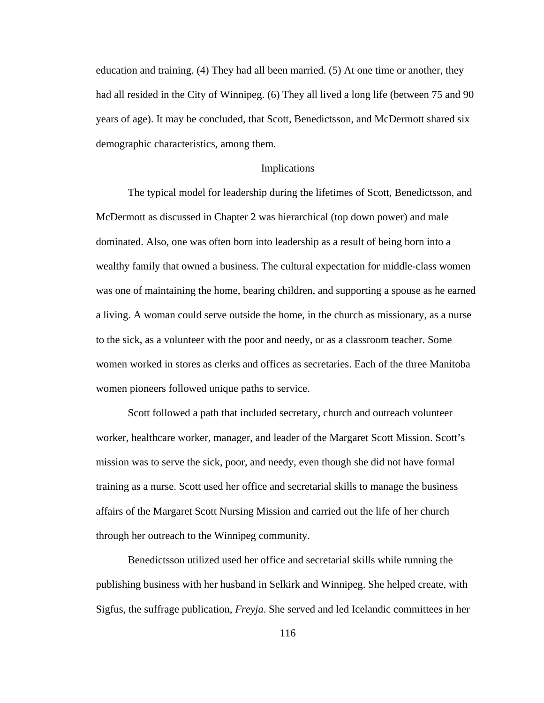education and training. (4) They had all been married. (5) At one time or another, they had all resided in the City of Winnipeg. (6) They all lived a long life (between 75 and 90 years of age). It may be concluded, that Scott, Benedictsson, and McDermott shared six demographic characteristics, among them.

### Implications

 The typical model for leadership during the lifetimes of Scott, Benedictsson, and McDermott as discussed in Chapter 2 was hierarchical (top down power) and male dominated. Also, one was often born into leadership as a result of being born into a wealthy family that owned a business. The cultural expectation for middle-class women was one of maintaining the home, bearing children, and supporting a spouse as he earned a living. A woman could serve outside the home, in the church as missionary, as a nurse to the sick, as a volunteer with the poor and needy, or as a classroom teacher. Some women worked in stores as clerks and offices as secretaries. Each of the three Manitoba women pioneers followed unique paths to service.

Scott followed a path that included secretary, church and outreach volunteer worker, healthcare worker, manager, and leader of the Margaret Scott Mission. Scott's mission was to serve the sick, poor, and needy, even though she did not have formal training as a nurse. Scott used her office and secretarial skills to manage the business affairs of the Margaret Scott Nursing Mission and carried out the life of her church through her outreach to the Winnipeg community.

Benedictsson utilized used her office and secretarial skills while running the publishing business with her husband in Selkirk and Winnipeg. She helped create, with Sigfus, the suffrage publication, *Freyja*. She served and led Icelandic committees in her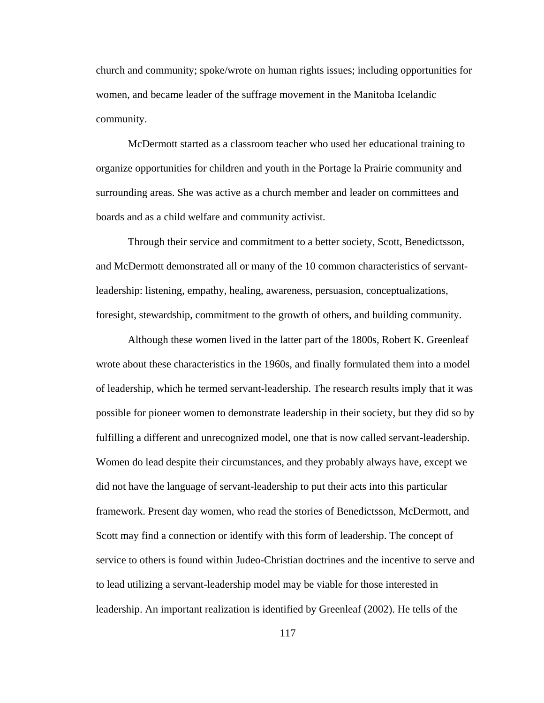church and community; spoke/wrote on human rights issues; including opportunities for women, and became leader of the suffrage movement in the Manitoba Icelandic community.

McDermott started as a classroom teacher who used her educational training to organize opportunities for children and youth in the Portage la Prairie community and surrounding areas. She was active as a church member and leader on committees and boards and as a child welfare and community activist.

Through their service and commitment to a better society, Scott, Benedictsson, and McDermott demonstrated all or many of the 10 common characteristics of servantleadership: listening, empathy, healing, awareness, persuasion, conceptualizations, foresight, stewardship, commitment to the growth of others, and building community.

Although these women lived in the latter part of the 1800s, Robert K. Greenleaf wrote about these characteristics in the 1960s, and finally formulated them into a model of leadership, which he termed servant-leadership. The research results imply that it was possible for pioneer women to demonstrate leadership in their society, but they did so by fulfilling a different and unrecognized model, one that is now called servant-leadership. Women do lead despite their circumstances, and they probably always have, except we did not have the language of servant-leadership to put their acts into this particular framework. Present day women, who read the stories of Benedictsson, McDermott, and Scott may find a connection or identify with this form of leadership. The concept of service to others is found within Judeo-Christian doctrines and the incentive to serve and to lead utilizing a servant-leadership model may be viable for those interested in leadership. An important realization is identified by Greenleaf (2002). He tells of the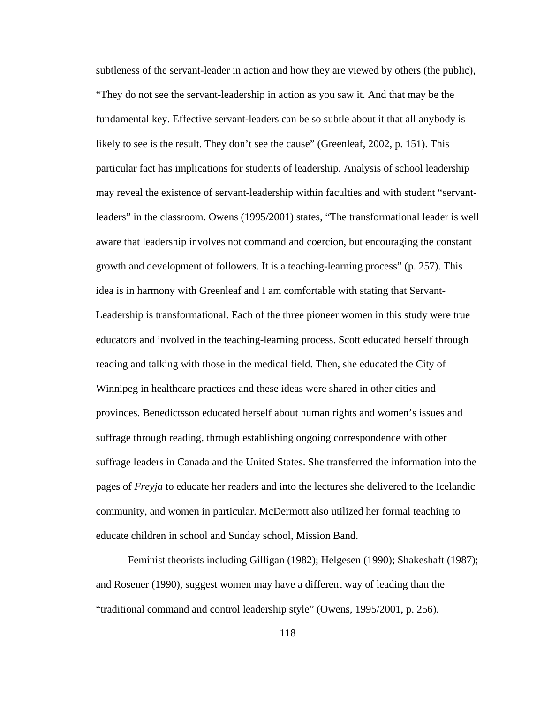subtleness of the servant-leader in action and how they are viewed by others (the public), "They do not see the servant-leadership in action as you saw it. And that may be the fundamental key. Effective servant-leaders can be so subtle about it that all anybody is likely to see is the result. They don't see the cause" (Greenleaf, 2002, p. 151). This particular fact has implications for students of leadership. Analysis of school leadership may reveal the existence of servant-leadership within faculties and with student "servantleaders" in the classroom. Owens (1995/2001) states, "The transformational leader is well aware that leadership involves not command and coercion, but encouraging the constant growth and development of followers. It is a teaching-learning process" (p. 257). This idea is in harmony with Greenleaf and I am comfortable with stating that Servant-Leadership is transformational. Each of the three pioneer women in this study were true educators and involved in the teaching-learning process. Scott educated herself through reading and talking with those in the medical field. Then, she educated the City of Winnipeg in healthcare practices and these ideas were shared in other cities and provinces. Benedictsson educated herself about human rights and women's issues and suffrage through reading, through establishing ongoing correspondence with other suffrage leaders in Canada and the United States. She transferred the information into the pages of *Freyja* to educate her readers and into the lectures she delivered to the Icelandic community, and women in particular. McDermott also utilized her formal teaching to educate children in school and Sunday school, Mission Band.

Feminist theorists including Gilligan (1982); Helgesen (1990); Shakeshaft (1987); and Rosener (1990), suggest women may have a different way of leading than the "traditional command and control leadership style" (Owens, 1995/2001, p. 256).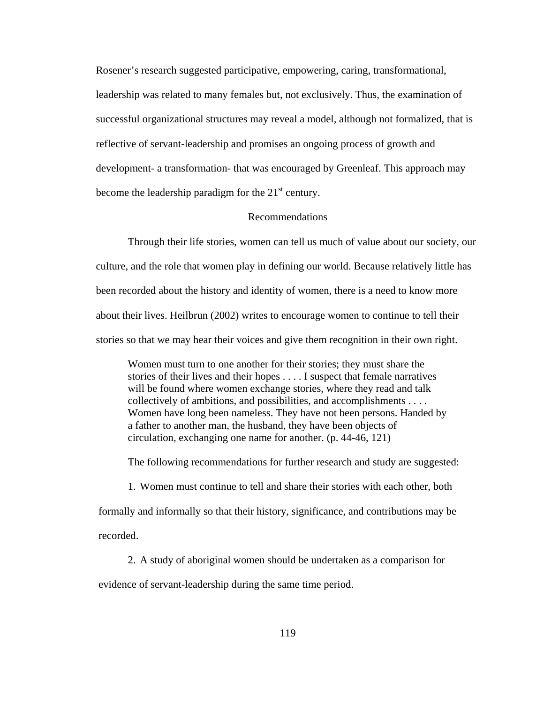Rosener's research suggested participative, empowering, caring, transformational, leadership was related to many females but, not exclusively. Thus, the examination of successful organizational structures may reveal a model, although not formalized, that is reflective of servant-leadership and promises an ongoing process of growth and development- a transformation- that was encouraged by Greenleaf. This approach may become the leadership paradigm for the  $21<sup>st</sup>$  century.

#### Recommendations

Through their life stories, women can tell us much of value about our society, our culture, and the role that women play in defining our world. Because relatively little has been recorded about the history and identity of women, there is a need to know more about their lives. Heilbrun (2002) writes to encourage women to continue to tell their stories so that we may hear their voices and give them recognition in their own right.

Women must turn to one another for their stories; they must share the stories of their lives and their hopes . . . . I suspect that female narratives will be found where women exchange stories, where they read and talk collectively of ambitions, and possibilities, and accomplishments . . . . Women have long been nameless. They have not been persons. Handed by a father to another man, the husband, they have been objects of circulation, exchanging one name for another. (p. 44-46, 121)

The following recommendations for further research and study are suggested:

1. Women must continue to tell and share their stories with each other, both formally and informally so that their history, significance, and contributions may be recorded.

2. A study of aboriginal women should be undertaken as a comparison for evidence of servant-leadership during the same time period.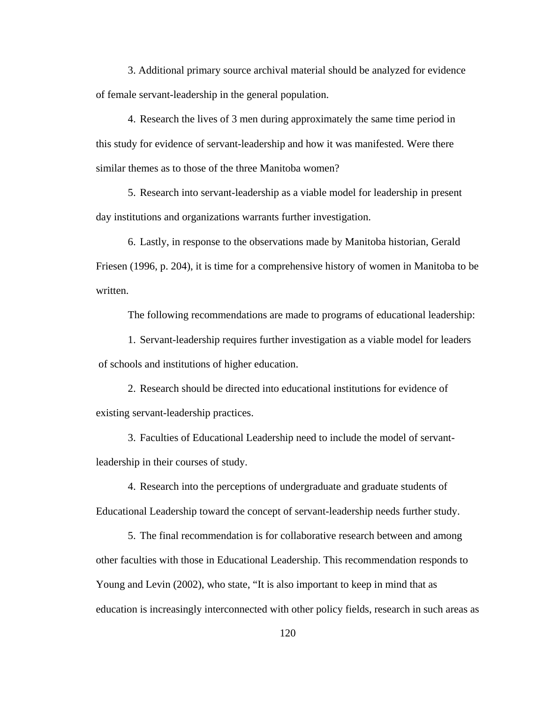3. Additional primary source archival material should be analyzed for evidence of female servant-leadership in the general population.

4. Research the lives of 3 men during approximately the same time period in this study for evidence of servant-leadership and how it was manifested. Were there similar themes as to those of the three Manitoba women?

5. Research into servant-leadership as a viable model for leadership in present day institutions and organizations warrants further investigation.

6. Lastly, in response to the observations made by Manitoba historian, Gerald Friesen (1996, p. 204), it is time for a comprehensive history of women in Manitoba to be written.

The following recommendations are made to programs of educational leadership:

1. Servant-leadership requires further investigation as a viable model for leaders of schools and institutions of higher education.

2. Research should be directed into educational institutions for evidence of existing servant-leadership practices.

3. Faculties of Educational Leadership need to include the model of servantleadership in their courses of study.

4. Research into the perceptions of undergraduate and graduate students of Educational Leadership toward the concept of servant-leadership needs further study.

5. The final recommendation is for collaborative research between and among other faculties with those in Educational Leadership. This recommendation responds to Young and Levin (2002), who state, "It is also important to keep in mind that as education is increasingly interconnected with other policy fields, research in such areas as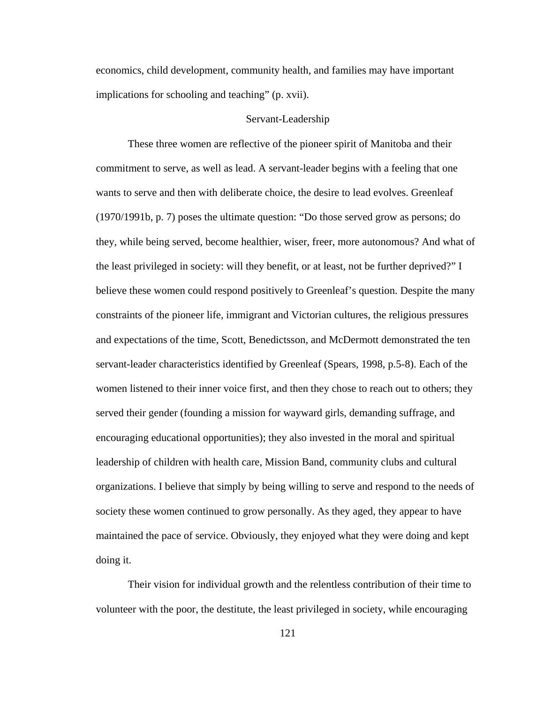economics, child development, community health, and families may have important implications for schooling and teaching" (p. xvii).

## Servant-Leadership

These three women are reflective of the pioneer spirit of Manitoba and their commitment to serve, as well as lead. A servant-leader begins with a feeling that one wants to serve and then with deliberate choice, the desire to lead evolves. Greenleaf (1970/1991b, p. 7) poses the ultimate question: "Do those served grow as persons; do they, while being served, become healthier, wiser, freer, more autonomous? And what of the least privileged in society: will they benefit, or at least, not be further deprived?" I believe these women could respond positively to Greenleaf's question. Despite the many constraints of the pioneer life, immigrant and Victorian cultures, the religious pressures and expectations of the time, Scott, Benedictsson, and McDermott demonstrated the ten servant-leader characteristics identified by Greenleaf (Spears, 1998, p.5-8). Each of the women listened to their inner voice first, and then they chose to reach out to others; they served their gender (founding a mission for wayward girls, demanding suffrage, and encouraging educational opportunities); they also invested in the moral and spiritual leadership of children with health care, Mission Band, community clubs and cultural organizations. I believe that simply by being willing to serve and respond to the needs of society these women continued to grow personally. As they aged, they appear to have maintained the pace of service. Obviously, they enjoyed what they were doing and kept doing it.

Their vision for individual growth and the relentless contribution of their time to volunteer with the poor, the destitute, the least privileged in society, while encouraging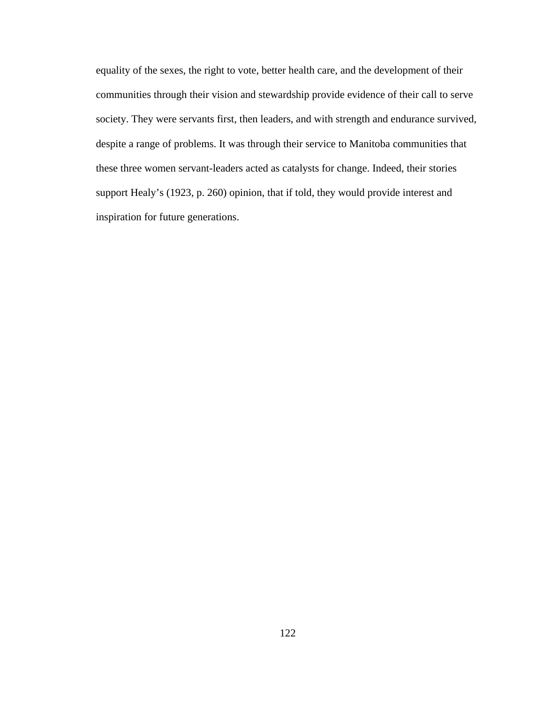equality of the sexes, the right to vote, better health care, and the development of their communities through their vision and stewardship provide evidence of their call to serve society. They were servants first, then leaders, and with strength and endurance survived, despite a range of problems. It was through their service to Manitoba communities that these three women servant-leaders acted as catalysts for change. Indeed, their stories support Healy's (1923, p. 260) opinion, that if told, they would provide interest and inspiration for future generations.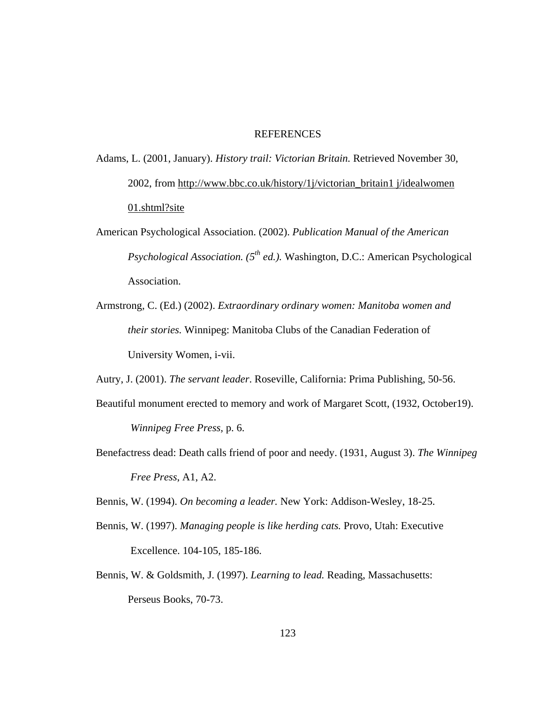### REFERENCES

Adams, L. (2001, January). *History trail: Victorian Britain.* Retrieved November 30, 2002, from http://www.bbc.co.uk/history/1j/victorian\_britain1 j/idealwomen 01.shtml?site

- American Psychological Association. (2002). *Publication Manual of the American Psychological Association.* (5<sup>th</sup> ed.). Washington, D.C.: American Psychological Association.
- Armstrong, C. (Ed.) (2002). *Extraordinary ordinary women: Manitoba women and their stories.* Winnipeg: Manitoba Clubs of the Canadian Federation of University Women, i-vii.
- Autry, J. (2001). *The servant leader*. Roseville, California: Prima Publishing, 50-56.
- Beautiful monument erected to memory and work of Margaret Scott, (1932, October19).

*Winnipeg Free Press,* p. 6.

Benefactress dead: Death calls friend of poor and needy. (1931, August 3). *The Winnipeg Free Press*, A1, A2.

Bennis, W. (1994). *On becoming a leader.* New York: Addison-Wesley, 18-25.

- Bennis, W. (1997). *Managing people is like herding cats.* Provo, Utah: Executive Excellence. 104-105, 185-186.
- Bennis, W. & Goldsmith, J. (1997). *Learning to lead.* Reading, Massachusetts: Perseus Books, 70-73.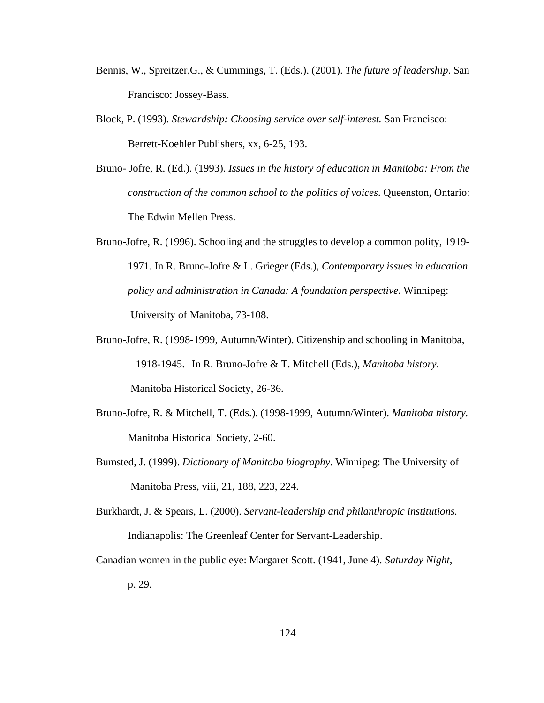- Bennis, W., Spreitzer,G., & Cummings, T. (Eds.). (2001). *The future of leadership*. San Francisco: Jossey-Bass.
- Block, P. (1993). *Stewardship: Choosing service over self-interest.* San Francisco: Berrett-Koehler Publishers, xx, 6-25, 193.
- Bruno- Jofre, R. (Ed.). (1993). *Issues in the history of education in Manitoba: From the construction of the common school to the politics of voices*. Queenston, Ontario: The Edwin Mellen Press.
- Bruno-Jofre, R. (1996). Schooling and the struggles to develop a common polity, 1919- 1971. In R. Bruno-Jofre & L. Grieger (Eds.), *Contemporary issues in education policy and administration in Canada: A foundation perspective.* Winnipeg: University of Manitoba, 73-108.
- Bruno-Jofre, R. (1998-1999, Autumn/Winter). Citizenship and schooling in Manitoba, 1918-1945. In R. Bruno-Jofre & T. Mitchell (Eds.), *Manitoba history*. Manitoba Historical Society, 26-36.
- Bruno-Jofre, R. & Mitchell, T. (Eds.). (1998-1999, Autumn/Winter). *Manitoba history.* Manitoba Historical Society, 2-60.
- Bumsted, J. (1999). *Dictionary of Manitoba biography*. Winnipeg: The University of Manitoba Press, viii, 21, 188, 223, 224.
- Burkhardt, J. & Spears, L. (2000). *Servant-leadership and philanthropic institutions.* Indianapolis: The Greenleaf Center for Servant-Leadership.
- Canadian women in the public eye: Margaret Scott. (1941, June 4). *Saturday Night*, p. 29.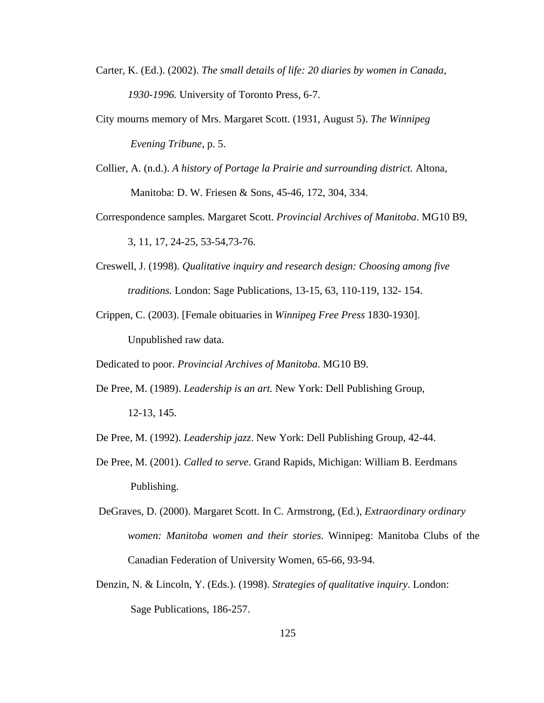Carter, K. (Ed.). (2002). *The small details of life: 20 diaries by women in Canada, 1930-1996.* University of Toronto Press, 6-7.

City mourns memory of Mrs. Margaret Scott. (1931, August 5). *The Winnipeg Evening Tribune*, p. 5.

- Collier, A. (n.d.). *A history of Portage la Prairie and surrounding district.* Altona, Manitoba: D. W. Friesen & Sons, 45-46, 172, 304, 334.
- Correspondence samples. Margaret Scott. *Provincial Archives of Manitoba*. MG10 B9, 3, 11, 17, 24-25, 53-54,73-76.
- Creswell, J. (1998). *Qualitative inquiry and research design: Choosing among five traditions.* London: Sage Publications, 13-15, 63, 110-119, 132- 154.
- Crippen, C. (2003). [Female obituaries in *Winnipeg Free Press* 1830-1930]. Unpublished raw data.

Dedicated to poor. *Provincial Archives of Manitoba*. MG10 B9.

- De Pree, M. (1989). *Leadership is an art.* New York: Dell Publishing Group, 12-13, 145.
- De Pree, M. (1992). *Leadership jazz*. New York: Dell Publishing Group, 42-44.
- De Pree, M. (2001). *Called to serve*. Grand Rapids, Michigan: William B. Eerdmans Publishing.
- DeGraves, D. (2000). Margaret Scott. In C. Armstrong, (Ed.), *Extraordinary ordinary women: Manitoba women and their stories*. Winnipeg: Manitoba Clubs of the Canadian Federation of University Women, 65-66, 93-94.
- Denzin, N. & Lincoln, Y. (Eds.). (1998). *Strategies of qualitative inquiry*. London: Sage Publications, 186-257.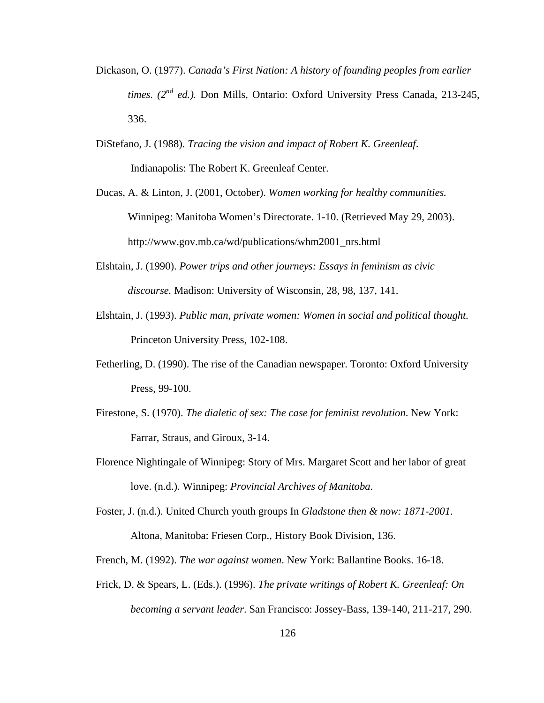- Dickason, O. (1977). *Canada's First Nation: A history of founding peoples from earlier times. (2nd ed.).* Don Mills, Ontario: Oxford University Press Canada, 213-245, 336.
- DiStefano, J. (1988). *Tracing the vision and impact of Robert K. Greenleaf*. Indianapolis: The Robert K. Greenleaf Center.
- Ducas, A. & Linton, J. (2001, October). *Women working for healthy communities.*  Winnipeg: Manitoba Women's Directorate. 1-10. (Retrieved May 29, 2003). http://www.gov.mb.ca/wd/publications/whm2001\_nrs.html
- Elshtain, J. (1990). *Power trips and other journeys: Essays in feminism as civic discourse.* Madison: University of Wisconsin, 28, 98, 137, 141.
- Elshtain, J. (1993). *Public man, private women: Women in social and political thought.* Princeton University Press, 102-108.
- Fetherling, D. (1990). The rise of the Canadian newspaper. Toronto: Oxford University Press, 99-100.
- Firestone, S. (1970). *The dialetic of sex: The case for feminist revolution*. New York: Farrar, Straus, and Giroux, 3-14.
- Florence Nightingale of Winnipeg: Story of Mrs. Margaret Scott and her labor of great love. (n.d.). Winnipeg: *Provincial Archives of Manitoba.*

Foster, J. (n.d.). United Church youth groups In *Gladstone then & now: 1871-2001*. Altona, Manitoba: Friesen Corp., History Book Division, 136.

French, M. (1992). *The war against women*. New York: Ballantine Books. 16-18.

Frick, D. & Spears, L. (Eds.). (1996). *The private writings of Robert K. Greenleaf: On becoming a servant leader*. San Francisco: Jossey-Bass, 139-140, 211-217, 290.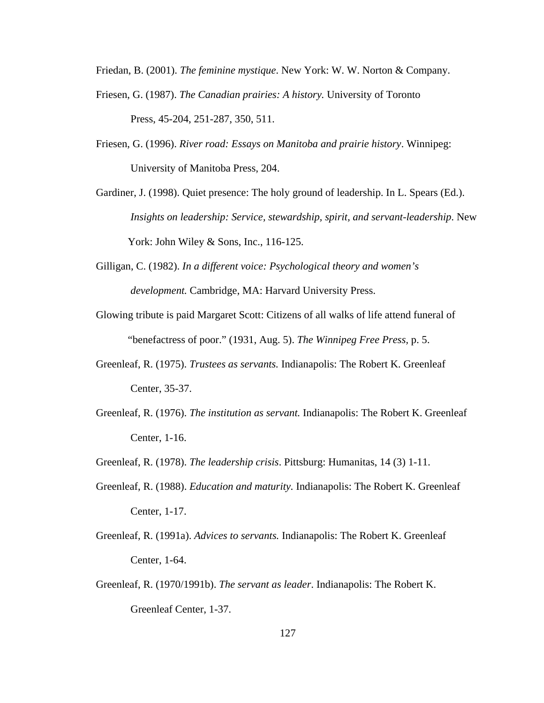Friedan, B. (2001). *The feminine mystique*. New York: W. W. Norton & Company.

- Friesen, G. (1987). *The Canadian prairies: A history.* University of Toronto Press, 45-204, 251-287, 350, 511.
- Friesen, G. (1996). *River road: Essays on Manitoba and prairie history*. Winnipeg: University of Manitoba Press, 204.
- Gardiner, J. (1998). Quiet presence: The holy ground of leadership. In L. Spears (Ed.). *Insights on leadership: Service, stewardship, spirit, and servant-leadership*. New York: John Wiley & Sons, Inc., 116-125.
- Gilligan, C. (1982). *In a different voice: Psychological theory and women's development.* Cambridge, MA: Harvard University Press.
- Glowing tribute is paid Margaret Scott: Citizens of all walks of life attend funeral of "benefactress of poor." (1931, Aug. 5). *The Winnipeg Free Press,* p. 5.
- Greenleaf, R. (1975). *Trustees as servants.* Indianapolis: The Robert K. Greenleaf Center, 35-37.
- Greenleaf, R. (1976). *The institution as servant.* Indianapolis: The Robert K. Greenleaf Center, 1-16.
- Greenleaf, R. (1978). *The leadership crisis*. Pittsburg: Humanitas, 14 (3) 1-11.
- Greenleaf, R. (1988). *Education and maturity.* Indianapolis: The Robert K. Greenleaf Center, 1-17.
- Greenleaf, R. (1991a). *Advices to servants.* Indianapolis: The Robert K. Greenleaf Center, 1-64.
- Greenleaf, R. (1970/1991b). *The servant as leader*. Indianapolis: The Robert K. Greenleaf Center, 1-37.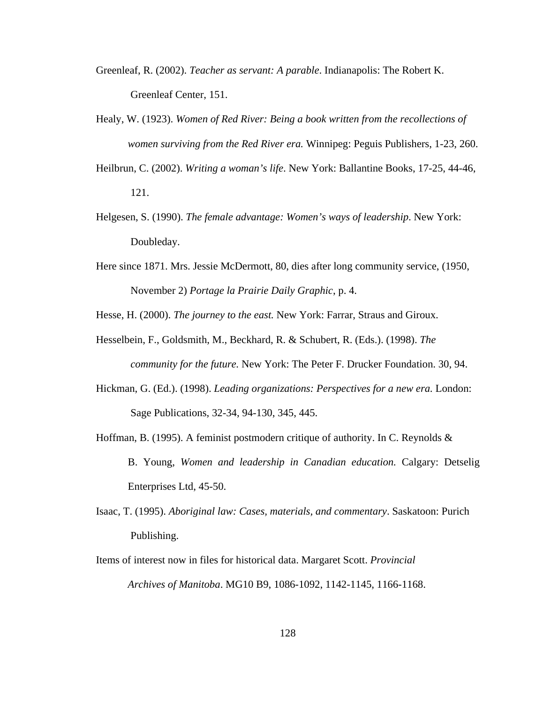- Greenleaf, R. (2002). *Teacher as servant: A parable*. Indianapolis: The Robert K. Greenleaf Center, 151.
- Healy, W. (1923). *Women of Red River: Being a book written from the recollections of women surviving from the Red River era.* Winnipeg: Peguis Publishers, 1-23, 260.
- Heilbrun, C. (2002). *Writing a woman's life*. New York: Ballantine Books, 17-25, 44-46, 121.
- Helgesen, S. (1990). *The female advantage: Women's ways of leadership*. New York: Doubleday.
- Here since 1871. Mrs. Jessie McDermott, 80, dies after long community service, (1950, November 2) *Portage la Prairie Daily Graphic*, p. 4.

Hesse, H. (2000). *The journey to the east.* New York: Farrar, Straus and Giroux.

- Hesselbein, F., Goldsmith, M., Beckhard, R. & Schubert, R. (Eds.). (1998). *The community for the future.* New York: The Peter F. Drucker Foundation. 30, 94.
- Hickman, G. (Ed.). (1998). *Leading organizations: Perspectives for a new era.* London: Sage Publications, 32-34, 94-130, 345, 445.
- Hoffman, B. (1995). A feminist postmodern critique of authority. In C. Reynolds  $\&$ B. Young, *Women and leadership in Canadian education.* Calgary: Detselig Enterprises Ltd, 45-50.
- Isaac, T. (1995). *Aboriginal law: Cases, materials, and commentary*. Saskatoon: Purich Publishing.
- Items of interest now in files for historical data. Margaret Scott. *Provincial Archives of Manitoba*. MG10 B9, 1086-1092, 1142-1145, 1166-1168.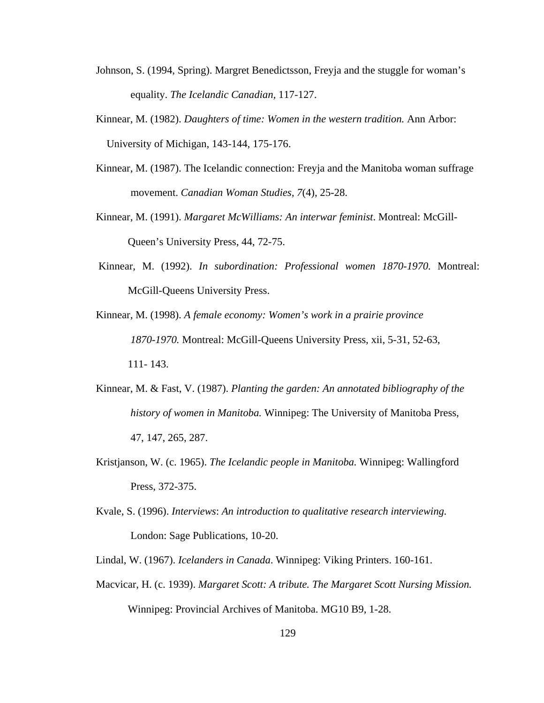- Johnson, S. (1994, Spring). Margret Benedictsson, Freyja and the stuggle for woman's equality. *The Icelandic Canadian,* 117-127.
- Kinnear, M. (1982). *Daughters of time: Women in the western tradition.* Ann Arbor: University of Michigan, 143-144, 175-176.
- Kinnear, M. (1987). The Icelandic connection: Freyja and the Manitoba woman suffrage movement. *Canadian Woman Studies, 7*(4), 25-28.
- Kinnear, M. (1991). *Margaret McWilliams: An interwar feminist*. Montreal: McGill-Queen's University Press, 44, 72-75.
- Kinnear, M. (1992). *In subordination: Professional women 1870-1970.* Montreal: McGill-Queens University Press.
- Kinnear, M. (1998). *A female economy: Women's work in a prairie province 1870-1970.* Montreal: McGill-Queens University Press, xii, 5-31, 52-63, 111- 143.
- Kinnear, M. & Fast, V. (1987). *Planting the garden: An annotated bibliography of the history of women in Manitoba.* Winnipeg: The University of Manitoba Press, 47, 147, 265, 287.
- Kristjanson, W. (c. 1965). *The Icelandic people in Manitoba.* Winnipeg: Wallingford Press, 372-375.
- Kvale, S. (1996). *Interviews*: *An introduction to qualitative research interviewing.* London: Sage Publications, 10-20.
- Lindal, W. (1967). *Icelanders in Canada*. Winnipeg: Viking Printers. 160-161.
- Macvicar, H. (c. 1939). *Margaret Scott: A tribute. The Margaret Scott Nursing Mission.*  Winnipeg: Provincial Archives of Manitoba. MG10 B9, 1-28.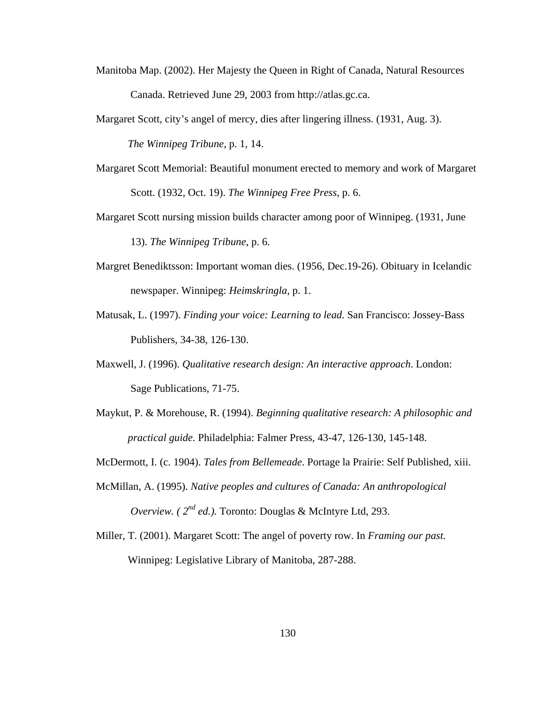- Manitoba Map. (2002). Her Majesty the Queen in Right of Canada, Natural Resources Canada. Retrieved June 29, 2003 from http://atlas.gc.ca.
- Margaret Scott, city's angel of mercy, dies after lingering illness. (1931, Aug. 3). *The Winnipeg Tribune*, p. 1, 14.
- Margaret Scott Memorial: Beautiful monument erected to memory and work of Margaret Scott. (1932, Oct. 19). *The Winnipeg Free Press*, p. 6.
- Margaret Scott nursing mission builds character among poor of Winnipeg. (1931, June 13). *The Winnipeg Tribune*, p. 6.
- Margret Benediktsson: Important woman dies. (1956, Dec.19-26). Obituary in Icelandic newspaper. Winnipeg: *Heimskringla,* p. 1.
- Matusak, L. (1997). *Finding your voice: Learning to lead.* San Francisco: Jossey-Bass Publishers, 34-38, 126-130.
- Maxwell, J. (1996). *Qualitative research design: An interactive approach*. London: Sage Publications, 71-75.
- Maykut, P. & Morehouse, R. (1994). *Beginning qualitative research: A philosophic and practical guide.* Philadelphia: Falmer Press, 43-47, 126-130, 145-148.
- McDermott, I. (c. 1904). *Tales from Bellemeade*. Portage la Prairie: Self Published, xiii.
- McMillan, A. (1995). *Native peoples and cultures of Canada: An anthropological Overview. ( 2nd ed.).* Toronto: Douglas & McIntyre Ltd, 293.
- Miller, T. (2001). Margaret Scott: The angel of poverty row. In *Framing our past.*  Winnipeg: Legislative Library of Manitoba, 287-288.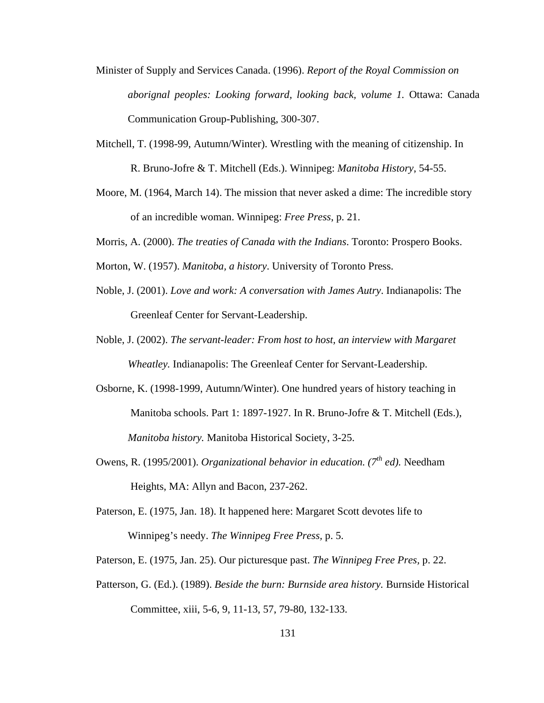- Minister of Supply and Services Canada. (1996). *Report of the Royal Commission on aborignal peoples: Looking forward, looking back, volume 1.* Ottawa: Canada Communication Group-Publishing, 300-307.
- Mitchell, T. (1998-99, Autumn/Winter). Wrestling with the meaning of citizenship. In R. Bruno-Jofre & T. Mitchell (Eds.). Winnipeg: *Manitoba History*, 54-55.
- Moore, M. (1964, March 14). The mission that never asked a dime: The incredible story of an incredible woman. Winnipeg: *Free Press*, p. 21.
- Morris, A. (2000). *The treaties of Canada with the Indians*. Toronto: Prospero Books.
- Morton, W. (1957). *Manitoba, a history*. University of Toronto Press.
- Noble, J. (2001). *Love and work: A conversation with James Autry*. Indianapolis: The Greenleaf Center for Servant-Leadership.
- Noble, J. (2002). *The servant-leader: From host to host, an interview with Margaret Wheatley.* Indianapolis: The Greenleaf Center for Servant-Leadership.
- Osborne, K. (1998-1999, Autumn/Winter). One hundred years of history teaching in Manitoba schools. Part 1: 1897-1927. In R. Bruno-Jofre & T. Mitchell (Eds.), *Manitoba history.* Manitoba Historical Society, 3-25.
- Owens, R. (1995/2001). *Organizational behavior in education. (7th ed).* Needham Heights, MA: Allyn and Bacon, 237-262.
- Paterson, E. (1975, Jan. 18). It happened here: Margaret Scott devotes life to Winnipeg's needy. *The Winnipeg Free Press,* p. 5.
- Paterson, E. (1975, Jan. 25). Our picturesque past. *The Winnipeg Free Pres,* p. 22.
- Patterson, G. (Ed.). (1989). *Beside the burn: Burnside area history.* Burnside Historical Committee, xiii, 5-6, 9, 11-13, 57, 79-80, 132-133.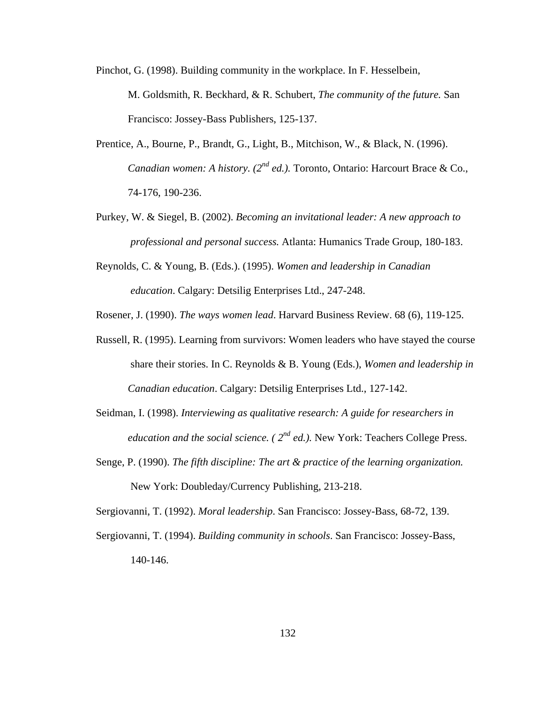- Pinchot, G. (1998). Building community in the workplace. In F. Hesselbein, M. Goldsmith, R. Beckhard, & R. Schubert, *The community of the future.* San Francisco: Jossey-Bass Publishers, 125-137.
- Prentice, A., Bourne, P., Brandt, G., Light, B., Mitchison, W., & Black, N. (1996). *Canadian women: A history. (2nd ed.).* Toronto, Ontario: Harcourt Brace & Co., 74-176, 190-236.
- Purkey, W. & Siegel, B. (2002). *Becoming an invitational leader: A new approach to professional and personal success.* Atlanta: Humanics Trade Group, 180-183.
- Reynolds, C. & Young, B. (Eds.). (1995). *Women and leadership in Canadian education*. Calgary: Detsilig Enterprises Ltd., 247-248.
- Rosener, J. (1990). *The ways women lead*. Harvard Business Review. 68 (6), 119-125.
- Russell, R. (1995). Learning from survivors: Women leaders who have stayed the course share their stories. In C. Reynolds & B. Young (Eds.), *Women and leadership in Canadian education*. Calgary: Detsilig Enterprises Ltd., 127-142.
- Seidman, I. (1998). *Interviewing as qualitative research: A guide for researchers in education and the social science. ( 2nd ed.).* New York: Teachers College Press.
- Senge, P. (1990). *The fifth discipline: The art & practice of the learning organization.* New York: Doubleday/Currency Publishing, 213-218.

Sergiovanni, T. (1992). *Moral leadership*. San Francisco: Jossey-Bass, 68-72, 139.

Sergiovanni, T. (1994). *Building community in schools*. San Francisco: Jossey-Bass, 140-146.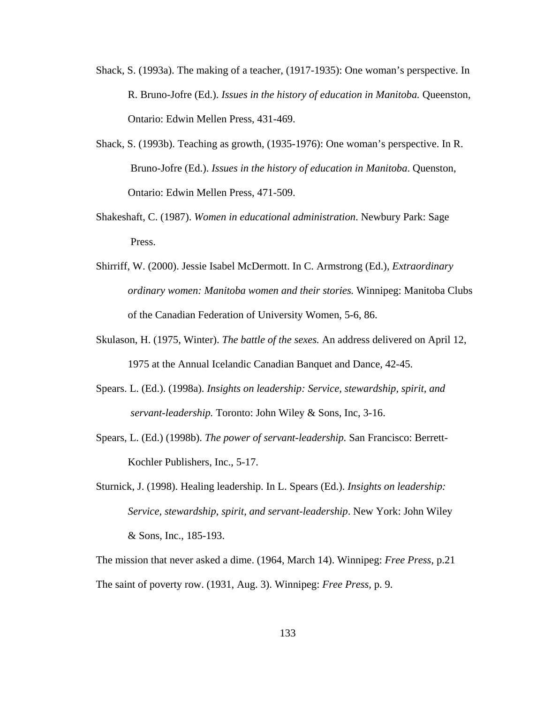- Shack, S. (1993a). The making of a teacher, (1917-1935): One woman's perspective. In R. Bruno-Jofre (Ed.). *Issues in the history of education in Manitoba.* Queenston, Ontario: Edwin Mellen Press, 431-469.
- Shack, S. (1993b). Teaching as growth, (1935-1976): One woman's perspective. In R. Bruno-Jofre (Ed.). *Issues in the history of education in Manitoba*. Quenston, Ontario: Edwin Mellen Press, 471-509.
- Shakeshaft, C. (1987). *Women in educational administration*. Newbury Park: Sage Press.
- Shirriff, W. (2000). Jessie Isabel McDermott. In C. Armstrong (Ed.), *Extraordinary ordinary women: Manitoba women and their stories.* Winnipeg: Manitoba Clubs of the Canadian Federation of University Women, 5-6, 86.
- Skulason, H. (1975, Winter). *The battle of the sexes.* An address delivered on April 12, 1975 at the Annual Icelandic Canadian Banquet and Dance, 42-45.
- Spears. L. (Ed.). (1998a). *Insights on leadership: Service, stewardship, spirit, and servant-leadership.* Toronto: John Wiley & Sons, Inc, 3-16.
- Spears, L. (Ed.) (1998b). *The power of servant-leadership.* San Francisco: Berrett-Kochler Publishers, Inc., 5-17.
- Sturnick, J. (1998). Healing leadership. In L. Spears (Ed.). *Insights on leadership: Service, stewardship, spirit, and servant-leadership*. New York: John Wiley & Sons, Inc., 185-193.

The mission that never asked a dime. (1964, March 14). Winnipeg: *Free Press,* p.21 The saint of poverty row. (1931, Aug. 3). Winnipeg: *Free Press,* p. 9.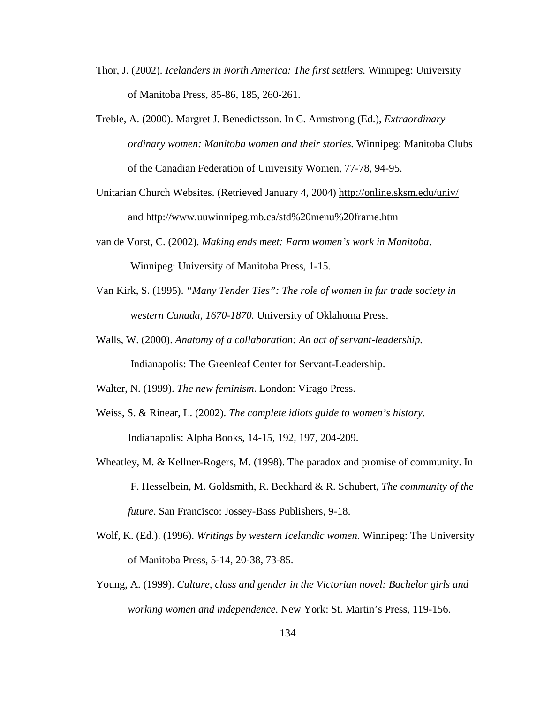- Thor, J. (2002). *Icelanders in North America: The first settlers.* Winnipeg: University of Manitoba Press, 85-86, 185, 260-261.
- Treble, A. (2000). Margret J. Benedictsson. In C. Armstrong (Ed.), *Extraordinary ordinary women: Manitoba women and their stories.* Winnipeg: Manitoba Clubs of the Canadian Federation of University Women, 77-78, 94-95.
- Unitarian Church Websites. (Retrieved January 4, 2004) http://online.sksm.edu/univ/ and http://www.uuwinnipeg.mb.ca/std%20menu%20frame.htm
- van de Vorst, C. (2002). *Making ends meet: Farm women's work in Manitoba*. Winnipeg: University of Manitoba Press, 1-15.
- Van Kirk, S. (1995). *"Many Tender Ties": The role of women in fur trade society in western Canada, 1670-1870.* University of Oklahoma Press.
- Walls, W. (2000). *Anatomy of a collaboration: An act of servant-leadership.* Indianapolis: The Greenleaf Center for Servant-Leadership.
- Walter, N. (1999). *The new feminism*. London: Virago Press.
- Weiss, S. & Rinear, L. (2002). *The complete idiots guide to women's history*. Indianapolis: Alpha Books, 14-15, 192, 197, 204-209.
- Wheatley, M. & Kellner-Rogers, M. (1998). The paradox and promise of community. In F. Hesselbein, M. Goldsmith, R. Beckhard & R. Schubert, *The community of the future*. San Francisco: Jossey-Bass Publishers, 9-18.
- Wolf, K. (Ed.). (1996). *Writings by western Icelandic women*. Winnipeg: The University of Manitoba Press, 5-14, 20-38, 73-85.
- Young, A. (1999). *Culture, class and gender in the Victorian novel: Bachelor girls and working women and independence.* New York: St. Martin's Press, 119-156.